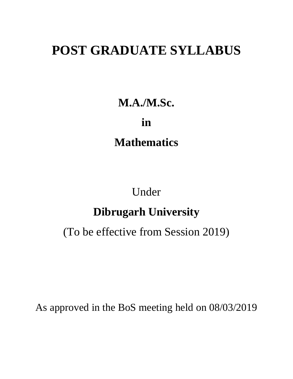## **POST GRADUATE SYLLABUS**

**M.A./M.Sc.**

**in Mathematics**

Under

## **Dibrugarh University**

(To be effective from Session 2019)

As approved in the BoS meeting held on 08/03/2019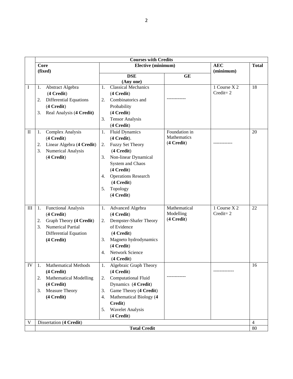|              |                                     | <b>Courses with Credits</b>                   |                           |              |                |
|--------------|-------------------------------------|-----------------------------------------------|---------------------------|--------------|----------------|
|              | <b>Core</b>                         | Elective (minimum)                            |                           | <b>AEC</b>   | <b>Total</b>   |
|              | (fixed)                             |                                               |                           | (minimum)    |                |
|              |                                     | <b>DSE</b>                                    | <b>GE</b>                 |              |                |
| I            | Abstract Algebra<br>1.              | (Any one)<br><b>Classical Mechanics</b><br>1. |                           | 1 Course X 2 | 18             |
|              |                                     |                                               |                           | $Credit = 2$ |                |
|              | $(4$ Credit $)$                     | $(4$ Credit $)$<br>Combinatorics and          |                           |              |                |
|              | <b>Differential Equations</b><br>2. | 2.                                            |                           |              |                |
|              | $(4$ Credit $)$                     | Probability                                   |                           |              |                |
|              | Real Analysis (4 Credit)<br>3.      | (4 Credit)                                    |                           |              |                |
|              |                                     | <b>Tensor Analysis</b><br>3.                  |                           |              |                |
|              |                                     | (4 Credit)                                    |                           |              |                |
| $\mathbf{I}$ | <b>Complex Analysis</b><br>1.       | <b>Fluid Dynamics</b><br>1.                   | Foundation in             |              | 20             |
|              | (4 Credit)                          | (4 Credit).                                   | Mathematics<br>(4 Credit) |              |                |
|              | Linear Algebra (4 Credit)<br>2.     | <b>Fuzzy Set Theory</b><br>2.                 |                           |              |                |
|              | 3.<br>Numerical Analysis            | (4 Credit)                                    |                           |              |                |
|              | (4 Credit)                          | Non-linear Dynamical<br>3.                    |                           |              |                |
|              |                                     | System and Chaos                              |                           |              |                |
|              |                                     | (4 Credit)                                    |                           |              |                |
|              |                                     | <b>Operations Research</b><br>4.              |                           |              |                |
|              |                                     | (4 Credit)                                    |                           |              |                |
|              |                                     | Topology<br>5.                                |                           |              |                |
|              |                                     | (4 Credit)                                    |                           |              |                |
|              |                                     |                                               |                           |              |                |
| $\rm III$    | 1.<br><b>Functional Analysis</b>    | Advanced Algebra<br>1.                        | Mathematical              | 1 Course X 2 | 22             |
|              | (4 Credit)                          | (4 Credit)                                    | Modelling                 | $Credit = 2$ |                |
|              | Graph Theory (4 Credit)<br>2.       | Dempster-Shafer Theory<br>2.                  | (4 Credit)                |              |                |
|              | 3.<br><b>Numerical Partial</b>      | of Evidence                                   |                           |              |                |
|              | Differential Equation               | (4 Credit)                                    |                           |              |                |
|              | (4 Credit)                          | Magneto hydrodynamics<br>3.                   |                           |              |                |
|              |                                     | (4 Credit)                                    |                           |              |                |
|              |                                     | Network Science<br>4.                         |                           |              |                |
|              |                                     | (4 Credit)                                    |                           |              |                |
| IV           | <b>Mathematical Methods</b><br>1.   | Algebraic Graph Theory<br>1.                  |                           |              | 16             |
|              | (4 Credit)                          | $(4$ Credit $)$                               |                           |              |                |
|              | 2.<br><b>Mathematical Modelling</b> | <b>Computational Fluid</b><br>2.              |                           |              |                |
|              | (4 Credit)                          | Dynamics (4 Credit)                           |                           |              |                |
|              | Measure Theory<br>3.                | Game Theory (4 Credit)<br>3.                  |                           |              |                |
|              | (4 Credit)                          | Mathematical Biology (4<br>4.                 |                           |              |                |
|              |                                     | Credit)                                       |                           |              |                |
|              |                                     | <b>Wavelet Analysis</b><br>5.                 |                           |              |                |
|              |                                     | (4 Credit)                                    |                           |              |                |
| V            | Dissertation (4 Credit)             |                                               |                           |              | $\overline{4}$ |
|              |                                     | <b>Total Credit</b>                           |                           |              | 80             |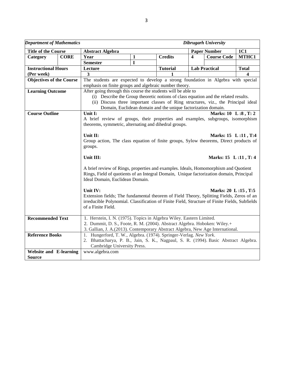| <b>Department of Mathematics</b>                                          |             | <b>Dibrugarh University</b>                                                                                                                                                                                       |              |                 |                         |                      |              |  |  |  |  |
|---------------------------------------------------------------------------|-------------|-------------------------------------------------------------------------------------------------------------------------------------------------------------------------------------------------------------------|--------------|-----------------|-------------------------|----------------------|--------------|--|--|--|--|
| <b>Title of the Course</b>                                                |             | <b>Abstract Algebra</b>                                                                                                                                                                                           |              |                 |                         | <b>Paper Number</b>  | <b>1C1</b>   |  |  |  |  |
| Category                                                                  | <b>CORE</b> | Year                                                                                                                                                                                                              | $\mathbf{1}$ | <b>Credits</b>  | $\overline{\mathbf{4}}$ | <b>Course Code</b>   | MTHC1        |  |  |  |  |
|                                                                           |             | <b>Semester</b>                                                                                                                                                                                                   | I            |                 |                         |                      |              |  |  |  |  |
| <b>Instructional Hours</b>                                                |             | Lecture                                                                                                                                                                                                           |              | <b>Tutorial</b> |                         | <b>Lab Practical</b> | <b>Total</b> |  |  |  |  |
| (Per week)                                                                |             | $\overline{\mathbf{3}}$                                                                                                                                                                                           |              |                 |                         |                      |              |  |  |  |  |
| <b>Objectives of the Course</b>                                           |             | The students are expected to develop a strong foundation in Algebra with special                                                                                                                                  |              |                 |                         |                      |              |  |  |  |  |
|                                                                           |             | emphasis on finite groups and algebraic number theory.                                                                                                                                                            |              |                 |                         |                      |              |  |  |  |  |
| <b>Learning Outcome</b>                                                   |             | After going through this course the students will be able to                                                                                                                                                      |              |                 |                         |                      |              |  |  |  |  |
|                                                                           |             | (i) Describe the Group theoretic notions of class equation and the related results.                                                                                                                               |              |                 |                         |                      |              |  |  |  |  |
|                                                                           |             | (ii) Discuss three important classes of Ring structures, viz., the Principal ideal                                                                                                                                |              |                 |                         |                      |              |  |  |  |  |
|                                                                           |             | Domain, Euclidean domain and the unique factorization domain.                                                                                                                                                     |              |                 |                         |                      |              |  |  |  |  |
| <b>Course Outline</b>                                                     |             | Unit I:                                                                                                                                                                                                           |              |                 |                         | Marks: 10 L:8, T:2   |              |  |  |  |  |
|                                                                           |             | A brief review of groups, their properties and examples, subgroups, isomorphism                                                                                                                                   |              |                 |                         |                      |              |  |  |  |  |
|                                                                           |             | theorems, symmetric, alternating and dihedral groups.                                                                                                                                                             |              |                 |                         |                      |              |  |  |  |  |
|                                                                           |             |                                                                                                                                                                                                                   |              |                 |                         |                      |              |  |  |  |  |
|                                                                           |             | Unit II:                                                                                                                                                                                                          |              |                 |                         | Marks: 15 L:11, T:4  |              |  |  |  |  |
|                                                                           |             | Group action, The class equation of finite groups, Sylow theorems, Direct products of                                                                                                                             |              |                 |                         |                      |              |  |  |  |  |
|                                                                           |             | groups.                                                                                                                                                                                                           |              |                 |                         |                      |              |  |  |  |  |
|                                                                           |             | Unit III:<br>Marks: 15 L:11, T: 4                                                                                                                                                                                 |              |                 |                         |                      |              |  |  |  |  |
|                                                                           |             | A brief review of Rings, properties and examples. Ideals, Homomorphism and Quotient<br>Rings, Field of quotients of an Integral Domain, Unique factorization domain, Principal<br>Ideal Domain, Euclidean Domain. |              |                 |                         |                      |              |  |  |  |  |
|                                                                           |             |                                                                                                                                                                                                                   |              |                 |                         |                      |              |  |  |  |  |
|                                                                           |             | Unit IV:<br>Extension fields; The fundamental theorem of Field Theory, Splitting Fields, Zeros of an                                                                                                              |              |                 |                         | Marks: 20 L:15, T:5  |              |  |  |  |  |
|                                                                           |             | irreducible Polynomial. Classification of Finite Field, Structure of Finite Fields, Subfields                                                                                                                     |              |                 |                         |                      |              |  |  |  |  |
|                                                                           |             | of a Finite Field.                                                                                                                                                                                                |              |                 |                         |                      |              |  |  |  |  |
|                                                                           |             |                                                                                                                                                                                                                   |              |                 |                         |                      |              |  |  |  |  |
| <b>Recommended Text</b>                                                   |             | 1. Herstein, I. N. (1975). Topics in Algebra Wiley. Eastern Limited.                                                                                                                                              |              |                 |                         |                      |              |  |  |  |  |
| 2. Dummit, D. S., Foote, R. M. (2004). Abstract Algebra. Hoboken: Wiley.+ |             |                                                                                                                                                                                                                   |              |                 |                         |                      |              |  |  |  |  |
|                                                                           |             | 3. Gallian, J. A.(2013). Contemporary Abstract Algebra, New Age International.                                                                                                                                    |              |                 |                         |                      |              |  |  |  |  |
| <b>Reference Books</b>                                                    |             | 1. Hungerford, T. W., Algebra. (1974). Springer-Verlag. New York.                                                                                                                                                 |              |                 |                         |                      |              |  |  |  |  |
|                                                                           |             | 2. Bhattacharya, P. B., Jain, S. K., Nagpaul, S. R. (1994). Basic Abstract Algebra.                                                                                                                               |              |                 |                         |                      |              |  |  |  |  |
|                                                                           |             | Cambridge University Press.                                                                                                                                                                                       |              |                 |                         |                      |              |  |  |  |  |
| <b>Website and E-learning</b>                                             |             | www.algebra.com                                                                                                                                                                                                   |              |                 |                         |                      |              |  |  |  |  |
| <b>Source</b>                                                             |             |                                                                                                                                                                                                                   |              |                 |                         |                      |              |  |  |  |  |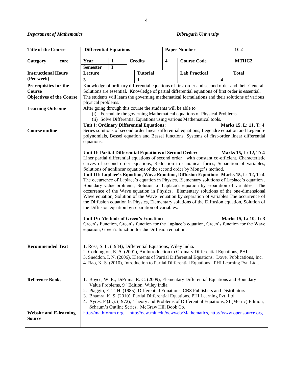*Department of Mathematics Dibrugarh University*

| <b>Title of the Course</b>                     |      | <b>Differential Equations</b>                                                                                                                   |                                                                                                                                                                                        |                |                                                      |   | <b>Paper Number</b>                                                                    | 1C <sub>2</sub>                                                                                                          |  |  |  |  |
|------------------------------------------------|------|-------------------------------------------------------------------------------------------------------------------------------------------------|----------------------------------------------------------------------------------------------------------------------------------------------------------------------------------------|----------------|------------------------------------------------------|---|----------------------------------------------------------------------------------------|--------------------------------------------------------------------------------------------------------------------------|--|--|--|--|
| Category                                       | core | Year                                                                                                                                            | 1                                                                                                                                                                                      | <b>Credits</b> |                                                      | 4 | <b>Course Code</b>                                                                     | MTHC <sub>2</sub>                                                                                                        |  |  |  |  |
|                                                |      | <b>Semester</b>                                                                                                                                 | I                                                                                                                                                                                      |                |                                                      |   |                                                                                        |                                                                                                                          |  |  |  |  |
| <b>Instructional Hours</b>                     |      | Lecture                                                                                                                                         |                                                                                                                                                                                        |                | <b>Tutorial</b>                                      |   | <b>Lab Practical</b>                                                                   | <b>Total</b>                                                                                                             |  |  |  |  |
| (Per week)                                     |      | 3                                                                                                                                               |                                                                                                                                                                                        | 1              |                                                      |   |                                                                                        | $\boldsymbol{4}$                                                                                                         |  |  |  |  |
| Prerequisites for the                          |      | Knowledge of ordinary differential equations of first order and second order and their General                                                  |                                                                                                                                                                                        |                |                                                      |   |                                                                                        |                                                                                                                          |  |  |  |  |
| Course                                         |      | Solutions are essential. Knowledge of partial differential equations of first order is essential.                                               |                                                                                                                                                                                        |                |                                                      |   |                                                                                        |                                                                                                                          |  |  |  |  |
| <b>Objectives of the Course</b>                |      | The students will learn the governing mathematical formulations and their solutions of various                                                  |                                                                                                                                                                                        |                |                                                      |   |                                                                                        |                                                                                                                          |  |  |  |  |
| <b>Learning Outcome</b>                        |      | physical problems.<br>After going through this course the students will be able to                                                              |                                                                                                                                                                                        |                |                                                      |   |                                                                                        |                                                                                                                          |  |  |  |  |
|                                                |      |                                                                                                                                                 |                                                                                                                                                                                        |                |                                                      |   | (i) Formulate the governing Mathematical equations of Physical Problems.               |                                                                                                                          |  |  |  |  |
|                                                |      |                                                                                                                                                 |                                                                                                                                                                                        |                |                                                      |   | (ii) Solve Differential Equations using various Mathematical tools.                    |                                                                                                                          |  |  |  |  |
|                                                |      | <b>Unit I: Ordinary Differential Equations:</b>                                                                                                 |                                                                                                                                                                                        |                |                                                      |   |                                                                                        | Marks 15, L: 11, T: 4                                                                                                    |  |  |  |  |
| <b>Course outline</b>                          |      |                                                                                                                                                 |                                                                                                                                                                                        |                |                                                      |   |                                                                                        | Series solutions of second order linear differential equations, Legendre equation and Legendre                           |  |  |  |  |
|                                                |      |                                                                                                                                                 |                                                                                                                                                                                        |                |                                                      |   |                                                                                        | polynomials, Bessel equation and Bessel functions, Systems of first-order linear differential                            |  |  |  |  |
|                                                |      | equations.                                                                                                                                      |                                                                                                                                                                                        |                |                                                      |   |                                                                                        |                                                                                                                          |  |  |  |  |
|                                                |      |                                                                                                                                                 |                                                                                                                                                                                        |                |                                                      |   |                                                                                        |                                                                                                                          |  |  |  |  |
|                                                |      | Unit II: Partial Differential Equations of Second Order:                                                                                        |                                                                                                                                                                                        |                |                                                      |   |                                                                                        | Marks 15, L: 12, T: 4<br>Liner partial differential equations of second order with constant co-efficient, Characteristic |  |  |  |  |
|                                                |      |                                                                                                                                                 |                                                                                                                                                                                        |                |                                                      |   |                                                                                        | curves of second-order equations, Reduction to canonical forms, Separation of variables,                                 |  |  |  |  |
|                                                |      |                                                                                                                                                 |                                                                                                                                                                                        |                |                                                      |   | Solutions of nonlinear equations of the second order by Monge's method.                |                                                                                                                          |  |  |  |  |
|                                                |      |                                                                                                                                                 |                                                                                                                                                                                        |                |                                                      |   |                                                                                        |                                                                                                                          |  |  |  |  |
|                                                |      |                                                                                                                                                 | Unit III: Laplace's Equation, Wave Equation, Diffusion Equation: Marks 15, L: 12, T: 4<br>The occurrence of Laplace's equation in Physics, Elementary solutions of Laplace's equation, |                |                                                      |   |                                                                                        |                                                                                                                          |  |  |  |  |
|                                                |      | Boundary value problems, Solution of Laplace's equation by separation of variables, The                                                         |                                                                                                                                                                                        |                |                                                      |   |                                                                                        |                                                                                                                          |  |  |  |  |
|                                                |      | occurrence of the Wave equation in Physics, Elementary solutions of the one-dimensional                                                         |                                                                                                                                                                                        |                |                                                      |   |                                                                                        |                                                                                                                          |  |  |  |  |
|                                                |      | Wave equation, Solution of the Wave equation by separation of variables The occurrence of                                                       |                                                                                                                                                                                        |                |                                                      |   |                                                                                        |                                                                                                                          |  |  |  |  |
|                                                |      | the Diffusion equation in Physics, Elementary solutions of the Diffusion equation, Solution of                                                  |                                                                                                                                                                                        |                |                                                      |   |                                                                                        |                                                                                                                          |  |  |  |  |
|                                                |      | the Diffusion equation by separation of variables.                                                                                              |                                                                                                                                                                                        |                |                                                      |   |                                                                                        |                                                                                                                          |  |  |  |  |
|                                                |      | Unit IV: Methods of Green's Function:                                                                                                           |                                                                                                                                                                                        |                |                                                      |   |                                                                                        | Marks 15, L: 10, T: 3                                                                                                    |  |  |  |  |
|                                                |      |                                                                                                                                                 |                                                                                                                                                                                        |                |                                                      |   |                                                                                        | Green's Function, Green's function for the Laplace's equation, Green's function for the Wave                             |  |  |  |  |
|                                                |      | equation, Green's function for the Diffusion equation.                                                                                          |                                                                                                                                                                                        |                |                                                      |   |                                                                                        |                                                                                                                          |  |  |  |  |
|                                                |      |                                                                                                                                                 |                                                                                                                                                                                        |                |                                                      |   |                                                                                        |                                                                                                                          |  |  |  |  |
|                                                |      |                                                                                                                                                 |                                                                                                                                                                                        |                |                                                      |   |                                                                                        |                                                                                                                          |  |  |  |  |
| <b>Recommended Text</b>                        |      | 1. Ross, S. L. (1984), Differential Equations, Wiley India.                                                                                     |                                                                                                                                                                                        |                |                                                      |   |                                                                                        |                                                                                                                          |  |  |  |  |
|                                                |      |                                                                                                                                                 |                                                                                                                                                                                        |                |                                                      |   | 2. Coddington, E. A. (2001), An Introduction to Ordinary Differential Equations, PHI.  |                                                                                                                          |  |  |  |  |
|                                                |      |                                                                                                                                                 |                                                                                                                                                                                        |                |                                                      |   |                                                                                        | 3. Sneddon, I. N. (2006), Elements of Partial Differential Equations, Dover Publications, Inc.                           |  |  |  |  |
|                                                |      | 4. Rao, K. S. (2010), Introduction to Partial Differential Equations, PHI Learning Pvt. Ltd                                                     |                                                                                                                                                                                        |                |                                                      |   |                                                                                        |                                                                                                                          |  |  |  |  |
|                                                |      |                                                                                                                                                 |                                                                                                                                                                                        |                |                                                      |   |                                                                                        |                                                                                                                          |  |  |  |  |
| <b>Reference Books</b>                         |      |                                                                                                                                                 |                                                                                                                                                                                        |                |                                                      |   | 1. Boyce, W. E., DiPrima, R. C. (2009), Elementary Differential Equations and Boundary |                                                                                                                          |  |  |  |  |
|                                                |      |                                                                                                                                                 |                                                                                                                                                                                        |                | Value Problems, 9 <sup>th</sup> Edition, Wiley India |   |                                                                                        |                                                                                                                          |  |  |  |  |
|                                                |      | 2. Piaggio, E. T. H. (1985), Differential Equations, CBS Publishers and Distributors                                                            |                                                                                                                                                                                        |                |                                                      |   |                                                                                        |                                                                                                                          |  |  |  |  |
|                                                |      | 3. Bhamra, K. S. (2010), Partial Differential Equations, PHI Learning Pvt. Ltd.                                                                 |                                                                                                                                                                                        |                |                                                      |   |                                                                                        |                                                                                                                          |  |  |  |  |
|                                                |      | 4. Ayres, F (Jr.). (1972), Theory and Problems of Differential Equations, SI (Metric) Edition,<br>Schaum's Outline Series, McGraw Hill Book Co. |                                                                                                                                                                                        |                |                                                      |   |                                                                                        |                                                                                                                          |  |  |  |  |
|                                                |      |                                                                                                                                                 |                                                                                                                                                                                        |                |                                                      |   |                                                                                        |                                                                                                                          |  |  |  |  |
| <b>Website and E-learning</b><br><b>Source</b> |      | http://mathforum.org,                                                                                                                           |                                                                                                                                                                                        |                |                                                      |   |                                                                                        | http://ocw.mit.edu/ocwweb/Mathematics, http://www.opensource.org                                                         |  |  |  |  |
|                                                |      |                                                                                                                                                 |                                                                                                                                                                                        |                |                                                      |   |                                                                                        |                                                                                                                          |  |  |  |  |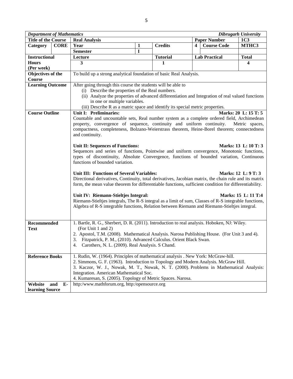| <b>Department of Mathematics</b><br><b>Dibrugarh University</b> |             |                                                                                                                                                                                                        |   |                 |   |                      |                      |  |  |  |  |
|-----------------------------------------------------------------|-------------|--------------------------------------------------------------------------------------------------------------------------------------------------------------------------------------------------------|---|-----------------|---|----------------------|----------------------|--|--|--|--|
| <b>Title of the Course</b>                                      |             | <b>Real Analysis</b>                                                                                                                                                                                   |   |                 |   | <b>Paper Number</b>  | 1C <sub>3</sub>      |  |  |  |  |
| Category                                                        | <b>CORE</b> | Year                                                                                                                                                                                                   | 1 | <b>Credits</b>  | 4 | <b>Course Code</b>   | MTHC3                |  |  |  |  |
|                                                                 |             | <b>Semester</b>                                                                                                                                                                                        | I |                 |   |                      |                      |  |  |  |  |
| <b>Instructional</b>                                            |             | Lecture                                                                                                                                                                                                |   | <b>Tutorial</b> |   | <b>Lab Practical</b> | <b>Total</b>         |  |  |  |  |
| <b>Hours</b>                                                    |             | 3                                                                                                                                                                                                      |   | 1               |   |                      | 4                    |  |  |  |  |
| (Per week)                                                      |             |                                                                                                                                                                                                        |   |                 |   |                      |                      |  |  |  |  |
| Objectives of the                                               |             | To build up a strong analytical foundation of basic Real Analysis.                                                                                                                                     |   |                 |   |                      |                      |  |  |  |  |
| <b>Course</b>                                                   |             |                                                                                                                                                                                                        |   |                 |   |                      |                      |  |  |  |  |
| <b>Learning Outcome</b>                                         |             | After going through this course the students will be able to                                                                                                                                           |   |                 |   |                      |                      |  |  |  |  |
|                                                                 |             | (i) Describe the properties of the Real numbers.                                                                                                                                                       |   |                 |   |                      |                      |  |  |  |  |
|                                                                 |             | (ii) Analyze the properties of advanced differentiation and Integration of real valued functions                                                                                                       |   |                 |   |                      |                      |  |  |  |  |
|                                                                 |             | in one or multiple variables.                                                                                                                                                                          |   |                 |   |                      |                      |  |  |  |  |
|                                                                 |             | (iii) Describe R as a matric space and identify its special metric properties.                                                                                                                         |   |                 |   |                      |                      |  |  |  |  |
| <b>Course Outline</b>                                           |             | Unit I: Preliminaries:                                                                                                                                                                                 |   |                 |   |                      | Marks: 20 L: 15 T: 5 |  |  |  |  |
|                                                                 |             | Countable and uncountable sets, Real number system as a complete ordered field, Archimedean                                                                                                            |   |                 |   |                      |                      |  |  |  |  |
|                                                                 |             | property, convergence of sequence, continuity and uniform continuity.                                                                                                                                  |   |                 |   |                      | Metric spaces,       |  |  |  |  |
|                                                                 |             | compactness, completeness, Bolzano-Weierstrass theorem, Heine-Borel theorem; connectedness                                                                                                             |   |                 |   |                      |                      |  |  |  |  |
|                                                                 |             | and continuity.                                                                                                                                                                                        |   |                 |   |                      |                      |  |  |  |  |
|                                                                 |             |                                                                                                                                                                                                        |   |                 |   |                      |                      |  |  |  |  |
|                                                                 |             | Unit II: Sequences of Functions:                                                                                                                                                                       |   |                 |   |                      | Marks: 13 L: 10 T: 3 |  |  |  |  |
|                                                                 |             | Sequences and series of functions, Pointwise and uniform convergence, Monotonic functions,                                                                                                             |   |                 |   |                      |                      |  |  |  |  |
|                                                                 |             | types of discontinuity, Absolute Convergence, functions of bounded variation, Continuous                                                                                                               |   |                 |   |                      |                      |  |  |  |  |
|                                                                 |             | functions of bounded variation.                                                                                                                                                                        |   |                 |   |                      |                      |  |  |  |  |
|                                                                 |             |                                                                                                                                                                                                        |   |                 |   |                      |                      |  |  |  |  |
|                                                                 |             | Unit III: Functions of Several Variables:<br>Marks: 12 L: 9 T: 3                                                                                                                                       |   |                 |   |                      |                      |  |  |  |  |
|                                                                 |             | Directional derivatives, Continuity, total derivatives, Jacobian matrix, the chain rule and its matrix                                                                                                 |   |                 |   |                      |                      |  |  |  |  |
|                                                                 |             | form, the mean value theorem for differentiable functions, sufficient condition for differentiability.                                                                                                 |   |                 |   |                      |                      |  |  |  |  |
|                                                                 |             | Unit IV: Riemann-Stieltjes Integral:                                                                                                                                                                   |   |                 |   |                      | Marks: 15 L: 11 T:4  |  |  |  |  |
|                                                                 |             |                                                                                                                                                                                                        |   |                 |   |                      |                      |  |  |  |  |
|                                                                 |             | Riemann-Stieltjes integrals, The R-S integral as a limit of sum, Classes of R-S integrable functions,<br>Algebra of R-S integrable functions, Relation between Riemann and Riemann-Stieltjes integral. |   |                 |   |                      |                      |  |  |  |  |
|                                                                 |             |                                                                                                                                                                                                        |   |                 |   |                      |                      |  |  |  |  |
|                                                                 |             |                                                                                                                                                                                                        |   |                 |   |                      |                      |  |  |  |  |
| Recommended                                                     |             | 1. Bartle, R. G., Sherbert, D. R. (2011). Introduction to real analysis. Hoboken, NJ: Wiley.                                                                                                           |   |                 |   |                      |                      |  |  |  |  |
| <b>Text</b>                                                     |             | (For Unit 1 and 2)                                                                                                                                                                                     |   |                 |   |                      |                      |  |  |  |  |
|                                                                 |             |                                                                                                                                                                                                        |   |                 |   |                      |                      |  |  |  |  |
|                                                                 |             | 2. Apostol, T.M. (2008). Mathematical Analysis. Narosa Publishing House. (For Unit 3 and 4).<br>3. Fitzpatrick, P. M., (2010). Advanced Calculus. Orient Black Swan.                                   |   |                 |   |                      |                      |  |  |  |  |
|                                                                 |             | 4. Carothers, N. L. (2009). Real Analysis. S Chand.                                                                                                                                                    |   |                 |   |                      |                      |  |  |  |  |
|                                                                 |             |                                                                                                                                                                                                        |   |                 |   |                      |                      |  |  |  |  |
| <b>Reference Books</b>                                          |             | 1. Rudin, W. (1964). Principles of mathematical analysis . New York: McGraw-hill.                                                                                                                      |   |                 |   |                      |                      |  |  |  |  |
|                                                                 |             | 2. Simmons, G. F. (1963). Introduction to Topology and Modern Analysis. McGraw Hill.                                                                                                                   |   |                 |   |                      |                      |  |  |  |  |
|                                                                 |             | 3. Kaczor, W. J., Nowak, M. T., Nowak, N. T. (2000). Problems in Mathematical Analysis:                                                                                                                |   |                 |   |                      |                      |  |  |  |  |
|                                                                 |             | Integration. American Mathematical Soc.                                                                                                                                                                |   |                 |   |                      |                      |  |  |  |  |
|                                                                 |             | 4. Kumaresan, S. (2005). Topology of Metric Spaces. Narosa.                                                                                                                                            |   |                 |   |                      |                      |  |  |  |  |
| Website                                                         | and<br>E-   | http:/www.mathforum.org, http:/opensource.org                                                                                                                                                          |   |                 |   |                      |                      |  |  |  |  |
| learning Source                                                 |             |                                                                                                                                                                                                        |   |                 |   |                      |                      |  |  |  |  |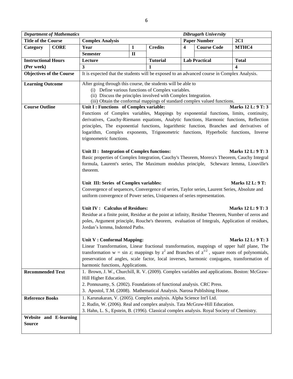|                                                                                             | <b>Department of Mathematics</b> | <b>Dibrugarh University</b>                                                                                                                                                                                                                                                                                                                                                                         |              |                 |                         |                      |              |  |  |  |  |
|---------------------------------------------------------------------------------------------|----------------------------------|-----------------------------------------------------------------------------------------------------------------------------------------------------------------------------------------------------------------------------------------------------------------------------------------------------------------------------------------------------------------------------------------------------|--------------|-----------------|-------------------------|----------------------|--------------|--|--|--|--|
| <b>Title of the Course</b>                                                                  |                                  | <b>Complex Analysis</b>                                                                                                                                                                                                                                                                                                                                                                             |              |                 |                         | <b>Paper Number</b>  | 2C1          |  |  |  |  |
| Category                                                                                    | <b>CORE</b>                      | Year                                                                                                                                                                                                                                                                                                                                                                                                | 1            | <b>Credits</b>  | $\overline{\mathbf{4}}$ | <b>Course Code</b>   | MTHC4        |  |  |  |  |
|                                                                                             |                                  | <b>Semester</b>                                                                                                                                                                                                                                                                                                                                                                                     | $\mathbf{I}$ |                 |                         |                      |              |  |  |  |  |
| <b>Instructional Hours</b>                                                                  |                                  | Lecture                                                                                                                                                                                                                                                                                                                                                                                             |              | <b>Tutorial</b> |                         | <b>Lab Practical</b> | <b>Total</b> |  |  |  |  |
| (Per week)                                                                                  |                                  | 3                                                                                                                                                                                                                                                                                                                                                                                                   |              | $\mathbf{1}$    |                         |                      | 4            |  |  |  |  |
| <b>Objectives of the Course</b>                                                             |                                  | It is expected that the students will be exposed to an advanced course in Complex Analysis.                                                                                                                                                                                                                                                                                                         |              |                 |                         |                      |              |  |  |  |  |
| <b>Learning Outcome</b>                                                                     |                                  | After going through this course, the students will be able to<br>(i) Define various functions of Complex variables.<br>(ii) Discuss the principles involved with Complex Integration.<br>(iii) Obtain the conformal mappings of standard complex valued functions.                                                                                                                                  |              |                 |                         |                      |              |  |  |  |  |
| <b>Course Outline</b>                                                                       |                                  | Unit I : Functions of Complex variable:<br>Marks 12 L: 9 T: 3                                                                                                                                                                                                                                                                                                                                       |              |                 |                         |                      |              |  |  |  |  |
|                                                                                             |                                  | Functions of Complex variables, Mappings by exponential functions, limits, continuity,<br>derivatives, Cauchy-Riemann equations, Analytic functions, Harmonic functions, Reflection<br>principles, The exponential functions, logarithmic function, Branches and derivatives of<br>logarithm, Complex exponents, Trigonometric functions, Hyperbolic functions, Inverse<br>trigonometric functions. |              |                 |                         |                      |              |  |  |  |  |
|                                                                                             |                                  | Marks 12 L: 9 T: 3<br>Unit II : Integration of Complex functions:<br>Basic properties of Complex Integration, Cauchy's Theorem, Morera's Theorem, Cauchy Integral<br>formula, Laurent's series, The Maximum modulus principle, Schewarz lemma, Liouville's<br>theorem.                                                                                                                              |              |                 |                         |                      |              |  |  |  |  |
|                                                                                             |                                  | Unit III: Series of Complex variables:<br><b>Marks 12 L: 9 T:</b><br>Convergence of sequences, Convergence of series, Taylor series, Laurent Series, Absolute and<br>uniform convergence of Power series, Uniqueness of series representation.                                                                                                                                                      |              |                 |                         |                      |              |  |  |  |  |
|                                                                                             |                                  | Unit IV: Calculus of Residues:<br>Marks 12 L: 9 T: 3<br>Residue at a finite point, Residue at the point at infinity, Residue Theorem, Number of zeros and<br>poles, Argument principle, Rouche's theorem, evaluation of Integrals, Application of residues,<br>Jordan's lemma, Indented Paths.                                                                                                      |              |                 |                         |                      |              |  |  |  |  |
|                                                                                             |                                  | Unit V: Conformal Mapping:<br>Marks 12 L: 9 T: 3<br>Linear Transformation, Linear fractional transformation, mappings of upper half plane, The<br>transformation $w = \sin z$ ; mappings by $z^2$ and Branches of $z^{1/2}$ , square roots of polynomials,<br>preservation of angles, scale factor, local inverses, harmonic conjugates, transformation of<br>harmonic functions, Applications.     |              |                 |                         |                      |              |  |  |  |  |
| <b>Recommended Text</b>                                                                     |                                  | 1. Brown, J. W., Churchill, R. V. (2009). Complex variables and applications. Boston: McGraw-<br>Hill Higher Education.<br>2. Ponnusamy, S. (2002). Foundations of functional analysis. CRC Press.<br>3. Apostol, T.M. (2008). Mathematical Analysis. Narosa Publishing House.                                                                                                                      |              |                 |                         |                      |              |  |  |  |  |
| <b>Reference Books</b>                                                                      |                                  | 1. Karunakaran, V. (2005). Complex analysis. Alpha Science Int'l Ltd.<br>2. Rudin, W. (2006). Real and complex analysis. Tata McGraw-Hill Education.                                                                                                                                                                                                                                                |              |                 |                         |                      |              |  |  |  |  |
| 3. Hahn, L. S., Epstein, B. (1996). Classical complex analysis. Royal Society of Chemistry. |                                  |                                                                                                                                                                                                                                                                                                                                                                                                     |              |                 |                         |                      |              |  |  |  |  |
| Source                                                                                      | Website and E-learning           |                                                                                                                                                                                                                                                                                                                                                                                                     |              |                 |                         |                      |              |  |  |  |  |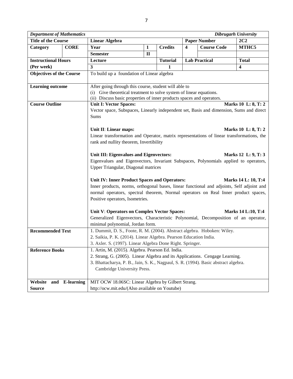| <b>Department of Mathematics</b> |                   |                                                                                                                                                                                                       |              |                 |                         |                     | <b>Dibrugarh University</b> |  |  |  |  |
|----------------------------------|-------------------|-------------------------------------------------------------------------------------------------------------------------------------------------------------------------------------------------------|--------------|-----------------|-------------------------|---------------------|-----------------------------|--|--|--|--|
| <b>Title of the Course</b>       |                   | <b>Linear Algebra</b>                                                                                                                                                                                 |              |                 |                         | <b>Paper Number</b> | 2C2                         |  |  |  |  |
| Category                         | <b>CORE</b>       | Year                                                                                                                                                                                                  | $\mathbf{1}$ | <b>Credits</b>  | $\overline{\mathbf{4}}$ | <b>Course Code</b>  | MTHC5                       |  |  |  |  |
|                                  |                   | <b>Semester</b>                                                                                                                                                                                       | $\mathbf{I}$ |                 |                         |                     |                             |  |  |  |  |
| <b>Instructional Hours</b>       |                   | Lecture                                                                                                                                                                                               |              | <b>Tutorial</b> | <b>Lab Practical</b>    |                     | <b>Total</b>                |  |  |  |  |
| (Per week)                       |                   | $\overline{3}$                                                                                                                                                                                        |              | 1               |                         |                     | $\overline{\mathbf{4}}$     |  |  |  |  |
| <b>Objectives of the Course</b>  |                   | To build up a foundation of Linear algebra                                                                                                                                                            |              |                 |                         |                     |                             |  |  |  |  |
| <b>Learning outcome</b>          |                   | After going through this course, student will able to<br>(i) Give theoretical treatment to solve system of linear equations.<br>(ii) Discuss basic properties of inner products spaces and operators. |              |                 |                         |                     |                             |  |  |  |  |
| <b>Course Outline</b>            |                   | <b>Unit I: Vector Spaces:</b>                                                                                                                                                                         |              |                 |                         |                     | Marks 10 L: 8, T: 2         |  |  |  |  |
|                                  |                   | Vector space, Subspaces, Linearly independent set, Basis and dimension, Sums and direct<br>Sums                                                                                                       |              |                 |                         |                     |                             |  |  |  |  |
|                                  |                   | Unit II: Linear maps:                                                                                                                                                                                 |              |                 |                         |                     | Marks 10 L: 8, T: 2         |  |  |  |  |
|                                  |                   | Linear transformation and Operator, matrix representations of linear transformations, the                                                                                                             |              |                 |                         |                     |                             |  |  |  |  |
|                                  |                   | rank and nullity theorem, Invertibility                                                                                                                                                               |              |                 |                         |                     |                             |  |  |  |  |
|                                  |                   |                                                                                                                                                                                                       |              |                 |                         |                     |                             |  |  |  |  |
|                                  |                   | Unit III: Eigenvalues and Eigenvectors:<br>Marks 12 L: 9, T: 3                                                                                                                                        |              |                 |                         |                     |                             |  |  |  |  |
|                                  |                   | Eigenvalues and Eigenvectors, Invariant Subspaces, Polynomials applied to operators,                                                                                                                  |              |                 |                         |                     |                             |  |  |  |  |
|                                  |                   | Upper Triangular, Diagonal matrices                                                                                                                                                                   |              |                 |                         |                     |                             |  |  |  |  |
|                                  |                   |                                                                                                                                                                                                       |              |                 |                         |                     |                             |  |  |  |  |
|                                  |                   | Unit IV: Inner Product Spaces and Operators:<br>Marks 14 L: 10, T:4                                                                                                                                   |              |                 |                         |                     |                             |  |  |  |  |
|                                  |                   | Inner products, norms, orthogonal bases, linear functional and adjoints, Self adjoint and                                                                                                             |              |                 |                         |                     |                             |  |  |  |  |
|                                  |                   | normal operators, spectral theorem, Normal operators on Real Inner product spaces,                                                                                                                    |              |                 |                         |                     |                             |  |  |  |  |
|                                  |                   | Positive operators, Isometries.                                                                                                                                                                       |              |                 |                         |                     |                             |  |  |  |  |
|                                  |                   | Unit V: Operators on Complex Vector Spaces:<br><b>Marks 14 L:10, T:4</b>                                                                                                                              |              |                 |                         |                     |                             |  |  |  |  |
|                                  |                   | Generalized Eigenvectors, Characteristic Polynomial, Decomposition of an operator,                                                                                                                    |              |                 |                         |                     |                             |  |  |  |  |
|                                  |                   | minimal polynomial, Jordan form.                                                                                                                                                                      |              |                 |                         |                     |                             |  |  |  |  |
| <b>Recommended Text</b>          |                   | 1. Dummit, D. S., Foote, R. M. (2004). Abstract algebra. Hoboken: Wiley.                                                                                                                              |              |                 |                         |                     |                             |  |  |  |  |
|                                  |                   | 2. Saikia, P. K. (2014). Linear Algebra. Pearson Education India.                                                                                                                                     |              |                 |                         |                     |                             |  |  |  |  |
|                                  |                   | 3. Axler. S. (1997). Linear Algebra Done Right. Springer.                                                                                                                                             |              |                 |                         |                     |                             |  |  |  |  |
| <b>Reference Books</b>           |                   | 1. Artin, M. (2015). Algebra. Pearson Ed. India.                                                                                                                                                      |              |                 |                         |                     |                             |  |  |  |  |
|                                  |                   | 2. Strang, G. (2005). Linear Algebra and its Applications. Cengage Learning.                                                                                                                          |              |                 |                         |                     |                             |  |  |  |  |
|                                  |                   | 3. Bhattacharya, P. B., Jain, S. K., Nagpaul, S. R. (1994). Basic abstract algebra.                                                                                                                   |              |                 |                         |                     |                             |  |  |  |  |
|                                  |                   | Cambridge University Press.                                                                                                                                                                           |              |                 |                         |                     |                             |  |  |  |  |
|                                  |                   |                                                                                                                                                                                                       |              |                 |                         |                     |                             |  |  |  |  |
| Website<br>and                   | <b>E-learning</b> | MIT OCW 18.06SC: Linear Algebra by Gilbert Strang.                                                                                                                                                    |              |                 |                         |                     |                             |  |  |  |  |
| <b>Source</b>                    |                   | http://ocw.mit.edu/(Also available on Youtube)                                                                                                                                                        |              |                 |                         |                     |                             |  |  |  |  |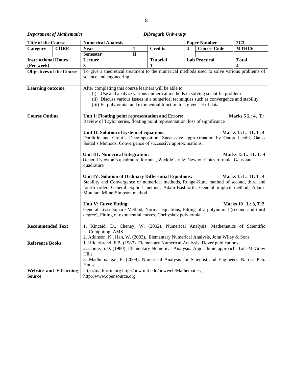|                                                                                                                                                            | <b>Department of Mathematics</b> | <b>Dibrugarh University</b>                                                                                                                                                                                                                                                                                                                                                                                                                                                                                                     |                                                                                                                                                                                                                                                                      |                 |   |                      |                  |  |  |  |  |
|------------------------------------------------------------------------------------------------------------------------------------------------------------|----------------------------------|---------------------------------------------------------------------------------------------------------------------------------------------------------------------------------------------------------------------------------------------------------------------------------------------------------------------------------------------------------------------------------------------------------------------------------------------------------------------------------------------------------------------------------|----------------------------------------------------------------------------------------------------------------------------------------------------------------------------------------------------------------------------------------------------------------------|-----------------|---|----------------------|------------------|--|--|--|--|
| <b>Title of the Course</b>                                                                                                                                 |                                  | <b>Numerical Analysis</b>                                                                                                                                                                                                                                                                                                                                                                                                                                                                                                       |                                                                                                                                                                                                                                                                      |                 |   | <b>Paper Number</b>  | 2C <sub>3</sub>  |  |  |  |  |
| Category                                                                                                                                                   | <b>CORE</b>                      | Year                                                                                                                                                                                                                                                                                                                                                                                                                                                                                                                            | 1                                                                                                                                                                                                                                                                    | <b>Credits</b>  | 4 | <b>Course Code</b>   | MTHC6            |  |  |  |  |
|                                                                                                                                                            |                                  | <b>Semester</b>                                                                                                                                                                                                                                                                                                                                                                                                                                                                                                                 | $\mathbf{I}$                                                                                                                                                                                                                                                         |                 |   |                      |                  |  |  |  |  |
| <b>Instructional Hours</b>                                                                                                                                 |                                  | Lecture                                                                                                                                                                                                                                                                                                                                                                                                                                                                                                                         |                                                                                                                                                                                                                                                                      | <b>Tutorial</b> |   | <b>Lab Practical</b> | Total            |  |  |  |  |
| (Per week)                                                                                                                                                 |                                  | 3                                                                                                                                                                                                                                                                                                                                                                                                                                                                                                                               |                                                                                                                                                                                                                                                                      |                 |   |                      | 4                |  |  |  |  |
| <b>Objectives of the Course</b>                                                                                                                            |                                  | To give a theoretical treatment to the numerical methods used to solve various problems of                                                                                                                                                                                                                                                                                                                                                                                                                                      |                                                                                                                                                                                                                                                                      |                 |   |                      |                  |  |  |  |  |
|                                                                                                                                                            |                                  | science and engineering                                                                                                                                                                                                                                                                                                                                                                                                                                                                                                         |                                                                                                                                                                                                                                                                      |                 |   |                      |                  |  |  |  |  |
| <b>Learning outcome</b>                                                                                                                                    |                                  | After completing this course learners will be able to<br>(i) Use and analyze various numerical methods in solving scientific problem<br>(ii) Discuss various issues in a numerical techniques such as convergence and stability<br>(iii) Fit polynomial and exponential function to a given set of data                                                                                                                                                                                                                         |                                                                                                                                                                                                                                                                      |                 |   |                      |                  |  |  |  |  |
| <b>Course Outline</b><br>Unit I: Floating point representation and Errors:<br>Review of Taylor series, floating point representation, loss of significance |                                  |                                                                                                                                                                                                                                                                                                                                                                                                                                                                                                                                 |                                                                                                                                                                                                                                                                      |                 |   |                      | Marks 5 L: 4, T: |  |  |  |  |
|                                                                                                                                                            |                                  | Unit II: Solution of system of equations:<br>Marks 15 L: 11, T: 4<br>Doolittle and Crout's Decomposition, Successive approximation by Gauss Jacobi, Gauss<br>Seidal's Methods, Convergence of successive approximations.<br>Unit III: Numerical Integration:<br>Marks 15 L: 11, T: 4<br>General Newton's quadrature formula, Weddle's rule, Newton-Cotes formula, Gaussian                                                                                                                                                      |                                                                                                                                                                                                                                                                      |                 |   |                      |                  |  |  |  |  |
|                                                                                                                                                            |                                  | quadrature<br>Unit IV: Solution of Ordinary Differential Equations:<br>Marks 15 L: 11, T: 4<br>Stability and Convergence of numerical methods, Runge-Kutta method of second, third and<br>fourth order, General explicit method, Adam-Bashforth, General implicit method, Adam-<br>Moultan, Milne-Simpson method.<br>Unit V: Curve Fitting:<br>Marks 10 L: 8, T:2<br>General Least Square Method, Normal equations, Fitting of a polynomial (second and third<br>degree), Fitting of exponential curves, Chebyshev polynomials. |                                                                                                                                                                                                                                                                      |                 |   |                      |                  |  |  |  |  |
| <b>Recommended Text</b>                                                                                                                                    |                                  | 1. Kincaid, D., Cheney, W. (2002). Numerical Analysis: Mathematics of Scientific<br>Computing. AMS.<br>2. Atkinson, K., Han, W. (2003). Elementary Numerical Analysis, John Wiley & Sons.                                                                                                                                                                                                                                                                                                                                       |                                                                                                                                                                                                                                                                      |                 |   |                      |                  |  |  |  |  |
| <b>Reference Books</b>                                                                                                                                     |                                  | Hills<br>House                                                                                                                                                                                                                                                                                                                                                                                                                                                                                                                  | 1. Hilderbrand, F.B. (1987). Elementary Numerical Analysis. Dover publications.<br>2. Conte, S.D. (1980). Elementary Numerical Analysis: Algorithmic approach. Tata McGraw<br>3. Madhumangal, P. (2009). Numerical Analysis for Scientist and Engineers. Narosa Pub. |                 |   |                      |                  |  |  |  |  |
| <b>Website and E-learning</b>                                                                                                                              |                                  | http://mathform.org.http://ocw.mit.edu/ocwweb/Mathematics,                                                                                                                                                                                                                                                                                                                                                                                                                                                                      |                                                                                                                                                                                                                                                                      |                 |   |                      |                  |  |  |  |  |
| <b>Source</b>                                                                                                                                              |                                  | http://www.opensource.org.                                                                                                                                                                                                                                                                                                                                                                                                                                                                                                      |                                                                                                                                                                                                                                                                      |                 |   |                      |                  |  |  |  |  |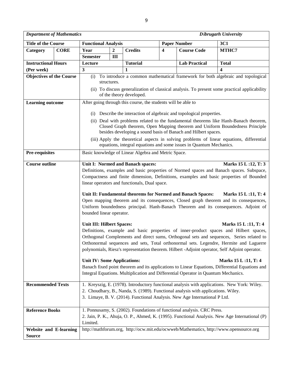| <b>Department of Mathematics</b> |             |                                                                                                                           |                  |                                                                                    |   |                                                                                                                                                                 | <b>Dibrugarh University</b>                                                                                                                                                                                                                                                                                                                                                                                                                                                                                                                                                                                                                                                                                                                                                                                                                                                                                                                         |  |  |  |  |
|----------------------------------|-------------|---------------------------------------------------------------------------------------------------------------------------|------------------|------------------------------------------------------------------------------------|---|-----------------------------------------------------------------------------------------------------------------------------------------------------------------|-----------------------------------------------------------------------------------------------------------------------------------------------------------------------------------------------------------------------------------------------------------------------------------------------------------------------------------------------------------------------------------------------------------------------------------------------------------------------------------------------------------------------------------------------------------------------------------------------------------------------------------------------------------------------------------------------------------------------------------------------------------------------------------------------------------------------------------------------------------------------------------------------------------------------------------------------------|--|--|--|--|
| <b>Title of the Course</b>       |             | <b>Functional Analysis</b>                                                                                                |                  |                                                                                    |   | <b>Paper Number</b>                                                                                                                                             | 3C1                                                                                                                                                                                                                                                                                                                                                                                                                                                                                                                                                                                                                                                                                                                                                                                                                                                                                                                                                 |  |  |  |  |
| Category                         | <b>CORE</b> | Year                                                                                                                      | $\boldsymbol{2}$ | <b>Credits</b>                                                                     | 4 | <b>Course Code</b>                                                                                                                                              | MTHC7                                                                                                                                                                                                                                                                                                                                                                                                                                                                                                                                                                                                                                                                                                                                                                                                                                                                                                                                               |  |  |  |  |
|                                  |             | <b>Semester</b>                                                                                                           | III              |                                                                                    |   |                                                                                                                                                                 |                                                                                                                                                                                                                                                                                                                                                                                                                                                                                                                                                                                                                                                                                                                                                                                                                                                                                                                                                     |  |  |  |  |
| <b>Instructional Hours</b>       |             | Lecture                                                                                                                   |                  | <b>Tutorial</b>                                                                    |   | <b>Lab Practical</b>                                                                                                                                            | <b>Total</b>                                                                                                                                                                                                                                                                                                                                                                                                                                                                                                                                                                                                                                                                                                                                                                                                                                                                                                                                        |  |  |  |  |
| (Per week)                       |             | $\mathbf{3}$                                                                                                              |                  | 1                                                                                  |   |                                                                                                                                                                 | 4                                                                                                                                                                                                                                                                                                                                                                                                                                                                                                                                                                                                                                                                                                                                                                                                                                                                                                                                                   |  |  |  |  |
| <b>Objectives of the Course</b>  |             | To introduce a common mathematical framework for both algebraic and topological<br>(i)                                    |                  |                                                                                    |   |                                                                                                                                                                 |                                                                                                                                                                                                                                                                                                                                                                                                                                                                                                                                                                                                                                                                                                                                                                                                                                                                                                                                                     |  |  |  |  |
|                                  |             | structures.                                                                                                               |                  |                                                                                    |   |                                                                                                                                                                 |                                                                                                                                                                                                                                                                                                                                                                                                                                                                                                                                                                                                                                                                                                                                                                                                                                                                                                                                                     |  |  |  |  |
|                                  |             | (ii) To discuss generalization of classical analysis. To present some practical applicability<br>of the theory developed. |                  |                                                                                    |   |                                                                                                                                                                 |                                                                                                                                                                                                                                                                                                                                                                                                                                                                                                                                                                                                                                                                                                                                                                                                                                                                                                                                                     |  |  |  |  |
| <b>Learning outcome</b>          |             |                                                                                                                           |                  | After going through this course, the students will be able to                      |   |                                                                                                                                                                 |                                                                                                                                                                                                                                                                                                                                                                                                                                                                                                                                                                                                                                                                                                                                                                                                                                                                                                                                                     |  |  |  |  |
|                                  |             |                                                                                                                           |                  |                                                                                    |   | (i) Describe the interaction of algebraic and topological properties.                                                                                           |                                                                                                                                                                                                                                                                                                                                                                                                                                                                                                                                                                                                                                                                                                                                                                                                                                                                                                                                                     |  |  |  |  |
|                                  |             |                                                                                                                           |                  |                                                                                    |   |                                                                                                                                                                 | (ii) Deal with problems related to the fundamental theorems like Hanh-Banach theorem,                                                                                                                                                                                                                                                                                                                                                                                                                                                                                                                                                                                                                                                                                                                                                                                                                                                               |  |  |  |  |
|                                  |             |                                                                                                                           |                  |                                                                                    |   | besides developing a sound basis of Banach and Hilbert spaces.                                                                                                  | Closed Graph theorem, Open Mapping theorem and Uniform Boundedness Principle                                                                                                                                                                                                                                                                                                                                                                                                                                                                                                                                                                                                                                                                                                                                                                                                                                                                        |  |  |  |  |
|                                  |             |                                                                                                                           |                  |                                                                                    |   | equations, integral equations and some issues in Quantum Mechanics.                                                                                             | (iii) Apply the theoretical aspects in solving problems of linear equations, differential                                                                                                                                                                                                                                                                                                                                                                                                                                                                                                                                                                                                                                                                                                                                                                                                                                                           |  |  |  |  |
| Pre-requisites                   |             | Basic knowledge of Linear Algebra and Metric Space.                                                                       |                  |                                                                                    |   |                                                                                                                                                                 |                                                                                                                                                                                                                                                                                                                                                                                                                                                                                                                                                                                                                                                                                                                                                                                                                                                                                                                                                     |  |  |  |  |
| <b>Course outline</b>            |             | bounded linear operator.<br><b>Unit III: Hilbert Spaces:</b><br><b>Unit IV: Some Applications:</b>                        |                  | Unit I: Normed and Banach spaces:<br>linear operators and functionals, Dual space. |   | Unit II: Fundamental theorems for Normed and Banach Spaces:<br>Integral Equations. Multiplication and Differential Operator in Quantum Mechanics.               | Marks 15 L:12, T: 3<br>Definitions, examples and basic properties of Normed spaces and Banach spaces. Subspace,<br>Compactness and finite dimension, Definitions, examples and basic properties of Bounded<br>Marks 15 L:11, T: 4<br>Open mapping theorem and its consequences, Closed graph theorem and its consequences,<br>Uniform boundedness principal. Hanh-Banach Theorem and its consequences. Adjoint of<br>Marks 15 L:11, T: 4<br>Definitions, example and basic properties of inner-product spaces and Hilbert spaces,<br>Orthogonal Complements and direct sums, Orthogonal sets and sequences, Series related to<br>Orthonormal sequences and sets, Total orthonormal sets. Legendre, Hermite and Laguerre<br>polynomials, Riesz's representation theorem. Hilbert -Adjoint operator, Self Adjoint operator.<br>Marks 15 L:11, T: 4<br>Banach fixed point theorem and its applications to Linear Equations, Differential Equations and |  |  |  |  |
| <b>Recommended Texts</b>         |             |                                                                                                                           |                  |                                                                                    |   | 2. Choudhary, B., Nanda, S. (1989). Functional analysis with applications. Wiley.<br>3. Limaye, B. V. (2014). Functional Analysis. New Age International P Ltd. | 1. Kreyszig, E. (1978). Introductory functional analysis with applications. New York: Wiley.                                                                                                                                                                                                                                                                                                                                                                                                                                                                                                                                                                                                                                                                                                                                                                                                                                                        |  |  |  |  |
| <b>Reference Books</b>           |             | Limited.                                                                                                                  |                  |                                                                                    |   | 1. Ponnusamy, S. (2002). Foundations of functional analysis. CRC Press.                                                                                         | 2. Jain, P. K., Ahuja, O. P., Ahmed, K. (1995). Functional Analysis. New Age International (P)                                                                                                                                                                                                                                                                                                                                                                                                                                                                                                                                                                                                                                                                                                                                                                                                                                                      |  |  |  |  |
| <b>Website and E-learning</b>    |             |                                                                                                                           |                  |                                                                                    |   |                                                                                                                                                                 | http://mathforum.org, http://ocw.mit.edu/ocwweb/Mathematics, http://www.opensource.org                                                                                                                                                                                                                                                                                                                                                                                                                                                                                                                                                                                                                                                                                                                                                                                                                                                              |  |  |  |  |
| <b>Source</b>                    |             |                                                                                                                           |                  |                                                                                    |   |                                                                                                                                                                 |                                                                                                                                                                                                                                                                                                                                                                                                                                                                                                                                                                                                                                                                                                                                                                                                                                                                                                                                                     |  |  |  |  |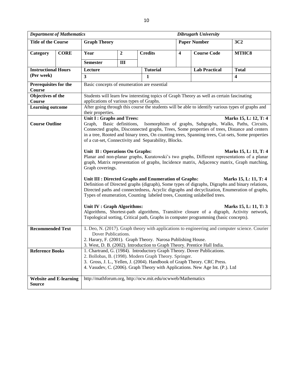|                                                                                                                                                                                                                                                                                                                                                                                                                                                                                                                                                                                                                                                                                                                                                                                                                                                                                                                                                                                                                                                                                                                                                                                                                                                                                                                               | <b>Department of Mathematics</b> | <b>Dibrugarh University</b>                                                               |                |                                                             |                         |                                                                                                   |                         |  |  |  |  |  |
|-------------------------------------------------------------------------------------------------------------------------------------------------------------------------------------------------------------------------------------------------------------------------------------------------------------------------------------------------------------------------------------------------------------------------------------------------------------------------------------------------------------------------------------------------------------------------------------------------------------------------------------------------------------------------------------------------------------------------------------------------------------------------------------------------------------------------------------------------------------------------------------------------------------------------------------------------------------------------------------------------------------------------------------------------------------------------------------------------------------------------------------------------------------------------------------------------------------------------------------------------------------------------------------------------------------------------------|----------------------------------|-------------------------------------------------------------------------------------------|----------------|-------------------------------------------------------------|-------------------------|---------------------------------------------------------------------------------------------------|-------------------------|--|--|--|--|--|
| <b>Title of the Course</b>                                                                                                                                                                                                                                                                                                                                                                                                                                                                                                                                                                                                                                                                                                                                                                                                                                                                                                                                                                                                                                                                                                                                                                                                                                                                                                    |                                  | <b>Graph Theory</b>                                                                       |                |                                                             |                         | <b>Paper Number</b>                                                                               | 3C2                     |  |  |  |  |  |
| Category                                                                                                                                                                                                                                                                                                                                                                                                                                                                                                                                                                                                                                                                                                                                                                                                                                                                                                                                                                                                                                                                                                                                                                                                                                                                                                                      | <b>CORE</b>                      | Year                                                                                      | $\overline{2}$ | <b>Credits</b>                                              | $\overline{\mathbf{4}}$ | <b>Course Code</b>                                                                                | MTHC8                   |  |  |  |  |  |
|                                                                                                                                                                                                                                                                                                                                                                                                                                                                                                                                                                                                                                                                                                                                                                                                                                                                                                                                                                                                                                                                                                                                                                                                                                                                                                                               |                                  | <b>Semester</b>                                                                           | $\mathbf{I}$   |                                                             |                         |                                                                                                   |                         |  |  |  |  |  |
| <b>Instructional Hours</b>                                                                                                                                                                                                                                                                                                                                                                                                                                                                                                                                                                                                                                                                                                                                                                                                                                                                                                                                                                                                                                                                                                                                                                                                                                                                                                    |                                  | Lecture                                                                                   |                | <b>Tutorial</b>                                             |                         | <b>Lab Practical</b>                                                                              | <b>Total</b>            |  |  |  |  |  |
| (Per week)                                                                                                                                                                                                                                                                                                                                                                                                                                                                                                                                                                                                                                                                                                                                                                                                                                                                                                                                                                                                                                                                                                                                                                                                                                                                                                                    |                                  | $\mathbf{3}$                                                                              | 1              |                                                             |                         |                                                                                                   | $\overline{\mathbf{4}}$ |  |  |  |  |  |
| Prerequisites for the<br><b>Course</b>                                                                                                                                                                                                                                                                                                                                                                                                                                                                                                                                                                                                                                                                                                                                                                                                                                                                                                                                                                                                                                                                                                                                                                                                                                                                                        |                                  | Basic concepts of enumeration are essential                                               |                |                                                             |                         |                                                                                                   |                         |  |  |  |  |  |
| Objectives of the                                                                                                                                                                                                                                                                                                                                                                                                                                                                                                                                                                                                                                                                                                                                                                                                                                                                                                                                                                                                                                                                                                                                                                                                                                                                                                             |                                  | Students will learn few interesting topics of Graph Theory as well as certain fascinating |                |                                                             |                         |                                                                                                   |                         |  |  |  |  |  |
| Course                                                                                                                                                                                                                                                                                                                                                                                                                                                                                                                                                                                                                                                                                                                                                                                                                                                                                                                                                                                                                                                                                                                                                                                                                                                                                                                        |                                  | applications of various types of Graphs.                                                  |                |                                                             |                         |                                                                                                   |                         |  |  |  |  |  |
| <b>Learning outcome</b>                                                                                                                                                                                                                                                                                                                                                                                                                                                                                                                                                                                                                                                                                                                                                                                                                                                                                                                                                                                                                                                                                                                                                                                                                                                                                                       |                                  | their properties.                                                                         |                |                                                             |                         | After going through this course the students will be able to identify various types of graphs and |                         |  |  |  |  |  |
| Unit I: Graphs and Trees:<br>Marks 15, L: 12, T: 4<br><b>Course Outline</b><br>Graph, Basic definitions,<br>Isomorphism of graphs, Subgraphs, Walks, Paths, Circuits,<br>Connected graphs, Disconnected graphs, Trees, Some properties of trees, Distance and centers<br>in a tree, Rooted and binary trees, On counting trees, Spanning trees, Cut-sets, Some properties<br>of a cut-set, Connectivity and Separability, Blocks.<br>Unit II : Operations On Graphs:<br>Marks 15, L: 11, T: 4<br>Planar and non-planar graphs, Kuratowski's two graphs, Different representations of a planar<br>graph, Matrix representation of graphs, Incidence matrix, Adjacency matrix, Graph matching,<br>Graph coverings.<br>Unit III : Directed Graphs and Enumeration of Graphs:<br>Marks 15, L: 11, T: 4<br>Definition of Directed graphs (digraph), Some types of digraphs, Digraphs and binary relations,<br>Directed paths and connectedness, Acyclic digraphs and decyclization, Enumeration of graphs,<br>Types of enumeration, Counting labeled trees, Counting unlabelled trees.<br>Unit IV : Graph Algorithms:<br>Marks 15, L: 11, T: 3<br>Algorithms, Shortest-path algorithms, Transitive closure of a digraph, Activity network,<br>Topological sorting, Critical path, Graphs in computer programming (basic concepts). |                                  |                                                                                           |                |                                                             |                         |                                                                                                   |                         |  |  |  |  |  |
| 1. Deo, N. (2017). Graph theory with applications to engineering and computer science. Courier<br><b>Recommended Text</b><br>Dover Publications.<br>2. Harary, F. (2001). Graph Theory. Narosa Publishing House.<br>3. West, D. B. (2002). Introduction to Graph Theory. Prentice Hall India.<br><b>Reference Books</b><br>1. Chartrand, G. (1984). Introductory Graph Theory. Dover Publications.<br>2. Bollobas, B. (1998). Modern Graph Theory. Springer.<br>3. Gross, J. L., Yellen, J. (2004). Handbook of Graph Theory. CRC Press.<br>4. Vasudev, C. (2006). Graph Theory with Applications. New Age Int. (P.). Ltd                                                                                                                                                                                                                                                                                                                                                                                                                                                                                                                                                                                                                                                                                                     |                                  |                                                                                           |                |                                                             |                         |                                                                                                   |                         |  |  |  |  |  |
| <b>Source</b>                                                                                                                                                                                                                                                                                                                                                                                                                                                                                                                                                                                                                                                                                                                                                                                                                                                                                                                                                                                                                                                                                                                                                                                                                                                                                                                 | <b>Website and E-learning</b>    |                                                                                           |                | http://mathforum.org, http://ocw.mit.edu/ocwweb/Mathematics |                         |                                                                                                   |                         |  |  |  |  |  |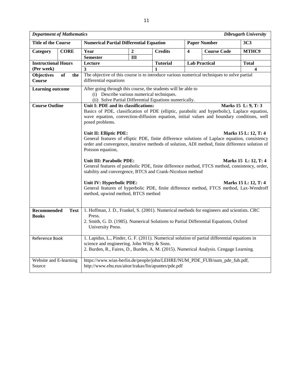| <b>Department of Mathematics</b>                                                                                                                                                                                                                         |                                                                                                                                                                                                                                                                                                                                                                                                                                                                                                   |                                                                                                                                                                                                                                                                              |                 |                |                         |                                                                                            | Dibrugarh University    |  |  |
|----------------------------------------------------------------------------------------------------------------------------------------------------------------------------------------------------------------------------------------------------------|---------------------------------------------------------------------------------------------------------------------------------------------------------------------------------------------------------------------------------------------------------------------------------------------------------------------------------------------------------------------------------------------------------------------------------------------------------------------------------------------------|------------------------------------------------------------------------------------------------------------------------------------------------------------------------------------------------------------------------------------------------------------------------------|-----------------|----------------|-------------------------|--------------------------------------------------------------------------------------------|-------------------------|--|--|
| <b>Title of the Course</b>                                                                                                                                                                                                                               |                                                                                                                                                                                                                                                                                                                                                                                                                                                                                                   | <b>Numerical Partial Differential Equation</b>                                                                                                                                                                                                                               |                 |                |                         | <b>Paper Number</b>                                                                        | 3C <sub>3</sub>         |  |  |
| Category                                                                                                                                                                                                                                                 | <b>CORE</b>                                                                                                                                                                                                                                                                                                                                                                                                                                                                                       | Year                                                                                                                                                                                                                                                                         | $\overline{2}$  | <b>Credits</b> | $\overline{\mathbf{4}}$ | <b>Course Code</b>                                                                         | MTHC9                   |  |  |
|                                                                                                                                                                                                                                                          |                                                                                                                                                                                                                                                                                                                                                                                                                                                                                                   | <b>Semester</b>                                                                                                                                                                                                                                                              | III             |                |                         |                                                                                            |                         |  |  |
| <b>Instructional Hours</b>                                                                                                                                                                                                                               |                                                                                                                                                                                                                                                                                                                                                                                                                                                                                                   | Lecture                                                                                                                                                                                                                                                                      | <b>Tutorial</b> |                | <b>Lab Practical</b>    | <b>Total</b>                                                                               |                         |  |  |
| (Per week)                                                                                                                                                                                                                                               |                                                                                                                                                                                                                                                                                                                                                                                                                                                                                                   | $\overline{\mathbf{3}}$                                                                                                                                                                                                                                                      |                 | 1              |                         |                                                                                            | $\overline{\mathbf{4}}$ |  |  |
| <b>Objectives</b><br>Course                                                                                                                                                                                                                              | $\overline{of}$<br>the                                                                                                                                                                                                                                                                                                                                                                                                                                                                            | differential equations                                                                                                                                                                                                                                                       |                 |                |                         | The objective of this course is to introduce various numerical techniques to solve partial |                         |  |  |
| <b>Learning outcome</b>                                                                                                                                                                                                                                  |                                                                                                                                                                                                                                                                                                                                                                                                                                                                                                   | After going through this course, the students will be able to<br>(i) Describe various numerical techniques.<br>(ii) Solve Partial Differential Equations numerically.                                                                                                        |                 |                |                         |                                                                                            |                         |  |  |
| <b>Course Outline</b>                                                                                                                                                                                                                                    |                                                                                                                                                                                                                                                                                                                                                                                                                                                                                                   | Unit I: PDE and its classifications:<br>Marks 15 L: 9, T: 3<br>Basics of PDE, classification of PDE (elliptic, parabolic and hyperbolic), Laplace equation,<br>wave equation, convection-diffusion equation, initial values and boundary conditions, well<br>posed problems. |                 |                |                         |                                                                                            |                         |  |  |
|                                                                                                                                                                                                                                                          | Unit II: Elliptic PDE:<br>Marks 15 L: 12, T: 4<br>General features of elliptic PDE, finite difference solutions of Laplace equation, consistency<br>order and convergence, iterative methods of solution, ADI method, finite difference solution of<br>Poisson equation,<br><b>Unit III: Parabolic PDE:</b><br>Marks 15 L: 12, T: 4<br>General features of parabolic PDE, finite difference method, FTCS method, consistency, order,<br>stability and convergence, BTCS and Crank-Nicolson method |                                                                                                                                                                                                                                                                              |                 |                |                         |                                                                                            |                         |  |  |
|                                                                                                                                                                                                                                                          |                                                                                                                                                                                                                                                                                                                                                                                                                                                                                                   | Unit IV: Hyperbolic PDE:<br>method, upwind method, BTCS method                                                                                                                                                                                                               |                 |                |                         | General features of hyperbolic PDE, finite difference method, FTCS method, Lax-Wendroff    | Marks 15 L: 12, T: 4    |  |  |
| <b>Books</b>                                                                                                                                                                                                                                             | 1. Hoffman, J. D., Frankel, S. (2001). Numerical methods for engineers and scientists. CRC<br>Recommended<br><b>Text</b><br>Press.<br>2. Smith, G. D. (1985). Numerical Solutions to Partial Differential Equations, Oxford<br>University Press.                                                                                                                                                                                                                                                  |                                                                                                                                                                                                                                                                              |                 |                |                         |                                                                                            |                         |  |  |
| 1. Lapidus, L., Pinder, G. F. (2011). Numerical solution of partial differential equations in<br>Reference Book<br>science and engineering. John Wiley & Sons.<br>2. Burden, R., Faires, D., Burden, A. M. (2015). Numerical Analysis. Cengage Learning. |                                                                                                                                                                                                                                                                                                                                                                                                                                                                                                   |                                                                                                                                                                                                                                                                              |                 |                |                         |                                                                                            |                         |  |  |
| Website and E-learning<br>Source                                                                                                                                                                                                                         |                                                                                                                                                                                                                                                                                                                                                                                                                                                                                                   | http://www.ehu.eus/aitor/irakas/fin/apuntes/pde.pdf                                                                                                                                                                                                                          |                 |                |                         | https://www.wias-berlin.de/people/john/LEHRE/NUM_PDE_FUB/num_pde_fub.pdf,                  |                         |  |  |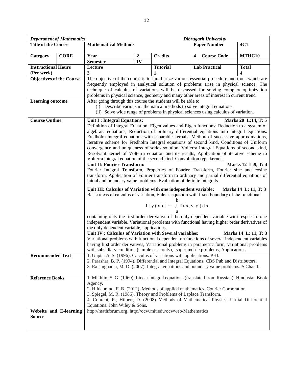|                                 | <b>Department of Mathematics</b> | <b>Dibrugarh University</b>                                                                                                                                                                    |                               |                 |   |                      |                     |  |  |  |  |
|---------------------------------|----------------------------------|------------------------------------------------------------------------------------------------------------------------------------------------------------------------------------------------|-------------------------------|-----------------|---|----------------------|---------------------|--|--|--|--|
| <b>Title of the Course</b>      |                                  | <b>Mathematical Methods</b>                                                                                                                                                                    |                               |                 |   | <b>Paper Number</b>  | 4C1                 |  |  |  |  |
|                                 |                                  |                                                                                                                                                                                                |                               |                 |   |                      |                     |  |  |  |  |
| Category                        | <b>CORE</b>                      | Year                                                                                                                                                                                           | $\overline{\mathbf{2}}$<br>IV | <b>Credits</b>  | 4 | <b>Course Code</b>   | MTHC10              |  |  |  |  |
| <b>Instructional Hours</b>      |                                  | <b>Semester</b><br>Lecture                                                                                                                                                                     |                               | <b>Tutorial</b> |   | <b>Lab Practical</b> | <b>Total</b>        |  |  |  |  |
| (Per week)                      |                                  | 3                                                                                                                                                                                              |                               |                 |   |                      | $\boldsymbol{4}$    |  |  |  |  |
| <b>Objectives of the Course</b> |                                  | The objective of the course is to familiarize various essential procedure and tools which are                                                                                                  |                               |                 |   |                      |                     |  |  |  |  |
|                                 |                                  | frequently employed in analytical solution of problems arise in physical science. The                                                                                                          |                               |                 |   |                      |                     |  |  |  |  |
|                                 |                                  | technique of calculus of variations will be discussed for solving complex optimization                                                                                                         |                               |                 |   |                      |                     |  |  |  |  |
|                                 |                                  | problems in physical science, geometry and many other areas of interest in current trend                                                                                                       |                               |                 |   |                      |                     |  |  |  |  |
| <b>Learning outcome</b>         |                                  | After going through this course the students will be able to                                                                                                                                   |                               |                 |   |                      |                     |  |  |  |  |
|                                 |                                  | (i) Describe various mathematical methods to solve integral equations.                                                                                                                         |                               |                 |   |                      |                     |  |  |  |  |
|                                 |                                  | (ii) Solve wide range of problems in physical sciences using calculus of variation.                                                                                                            |                               |                 |   |                      |                     |  |  |  |  |
| <b>Course Outline</b>           |                                  | Unit I : Integral Equations:                                                                                                                                                                   |                               |                 |   |                      | Marks 20 L:14, T: 5 |  |  |  |  |
|                                 |                                  | Definition of Integral Equation, Eigen values and Eigen functions: Reduction to a system of                                                                                                    |                               |                 |   |                      |                     |  |  |  |  |
|                                 |                                  | algebraic equations, Reduction of ordinary differential equations into integral equations.                                                                                                     |                               |                 |   |                      |                     |  |  |  |  |
|                                 |                                  | Fredholm integral equations with separable kernals, Method of successive approximations,                                                                                                       |                               |                 |   |                      |                     |  |  |  |  |
|                                 |                                  | Iterative scheme for Fredholm Integral equations of second kind, Conditions of Uniform                                                                                                         |                               |                 |   |                      |                     |  |  |  |  |
|                                 |                                  | convergence and uniqueness of series solution. Volterra Integral Equations of second kind,                                                                                                     |                               |                 |   |                      |                     |  |  |  |  |
|                                 |                                  | Resolvant kernel of Volterra equation and its results, Application of iterative scheme to<br>Volterra integral equation of the second kind. Convolution type kernels.                          |                               |                 |   |                      |                     |  |  |  |  |
|                                 |                                  | Unit II: Fourier Transform:                                                                                                                                                                    |                               |                 |   |                      | Marks 12 L:9, T: 4  |  |  |  |  |
|                                 |                                  |                                                                                                                                                                                                |                               |                 |   |                      |                     |  |  |  |  |
|                                 |                                  | Fourier Integral Transform, Properties of Fourier Transform, Fourier sine and cosine<br>transform, Application of Fourier transform to ordinary and partial differential equations of          |                               |                 |   |                      |                     |  |  |  |  |
|                                 |                                  | initial and boundary value problems. Evaluation of definite integrals.                                                                                                                         |                               |                 |   |                      |                     |  |  |  |  |
|                                 |                                  | Unit III: Calculus of Variation with one independent variable:<br>Marks 14 L: 11, T: 3                                                                                                         |                               |                 |   |                      |                     |  |  |  |  |
|                                 |                                  | Basic ideas of calculus of variation, Euler's equation with fixed boundary of the functional                                                                                                   |                               |                 |   |                      |                     |  |  |  |  |
|                                 |                                  |                                                                                                                                                                                                |                               |                 |   |                      |                     |  |  |  |  |
|                                 |                                  | $I[y(x)] = \int_{0}^{b} f(x, y, y') dx$                                                                                                                                                        |                               |                 |   |                      |                     |  |  |  |  |
|                                 |                                  |                                                                                                                                                                                                |                               |                 |   |                      |                     |  |  |  |  |
|                                 |                                  | containing only the first order derivative of the only dependent variable with respect to one<br>independent variable. Variational problems with functional having higher order derivatives of |                               |                 |   |                      |                     |  |  |  |  |
|                                 |                                  | the only dependent variable, applications.                                                                                                                                                     |                               |                 |   |                      |                     |  |  |  |  |
|                                 |                                  | Unit IV : Calculus of Variation with Several variables:<br>Marks 14 L: 11, T: 3                                                                                                                |                               |                 |   |                      |                     |  |  |  |  |
|                                 |                                  | Variational problems with functional dependent on functions of several independent variables                                                                                                   |                               |                 |   |                      |                     |  |  |  |  |
|                                 |                                  | having first order derivatives, Variational problems in parametric form, variational problems                                                                                                  |                               |                 |   |                      |                     |  |  |  |  |
|                                 |                                  | with subsidiary condition (simple case only), Isoperimetric problems, Applications.                                                                                                            |                               |                 |   |                      |                     |  |  |  |  |
| <b>Recommended Text</b>         |                                  | 1. Gupta, A. S. (1996). Calculus of variations with applications. PHI.                                                                                                                         |                               |                 |   |                      |                     |  |  |  |  |
|                                 |                                  | 2. Parashar, B. P. (1994). Differential and Integral Equations. CBS Pub and Distributors.                                                                                                      |                               |                 |   |                      |                     |  |  |  |  |
|                                 |                                  | 3. Raisinghania, M. D. (2007). Integral equations and boundary value problems. S.Chand.                                                                                                        |                               |                 |   |                      |                     |  |  |  |  |
| <b>Reference Books</b>          |                                  | 1. Mikhlin, S. G. (1960). Linear integral equations (translated from Russian). Hindustan Book                                                                                                  |                               |                 |   |                      |                     |  |  |  |  |
|                                 |                                  | Agency.                                                                                                                                                                                        |                               |                 |   |                      |                     |  |  |  |  |
|                                 |                                  | 2. Hildebrand, F. B. (2012). Methods of applied mathematics. Courier Corporation.                                                                                                              |                               |                 |   |                      |                     |  |  |  |  |
|                                 |                                  | 3. Spiegel, M. R. (1986). Theory and Problems of Laplace Transform.                                                                                                                            |                               |                 |   |                      |                     |  |  |  |  |
|                                 |                                  | 4. Courant, R., Hilbert, D. (2008). Methods of Mathematical Physics: Partial Differential                                                                                                      |                               |                 |   |                      |                     |  |  |  |  |
|                                 |                                  | Equations. John Wiley & Sons.                                                                                                                                                                  |                               |                 |   |                      |                     |  |  |  |  |
|                                 | <b>Website and E-learning</b>    | http://mathforum.org, http://ocw.mit.edu/ocwweb/Mathematics                                                                                                                                    |                               |                 |   |                      |                     |  |  |  |  |
| <b>Source</b>                   |                                  |                                                                                                                                                                                                |                               |                 |   |                      |                     |  |  |  |  |
|                                 |                                  |                                                                                                                                                                                                |                               |                 |   |                      |                     |  |  |  |  |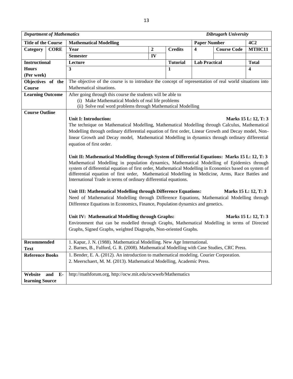| <b>Department of Mathematics</b> |                                                                                                                                                                                                               | <b>Dibrugarh University</b>                                                                                                                                                                                                                                                                                                                                                                                                                                                                                                                                                                                                                                                                                                                                                                                                                                                                                                                                                                                                                                                                                                                                                                                                                                                                                                     |                  |                 |                         |                    |                                                                      |  |  |  |  |  |
|----------------------------------|---------------------------------------------------------------------------------------------------------------------------------------------------------------------------------------------------------------|---------------------------------------------------------------------------------------------------------------------------------------------------------------------------------------------------------------------------------------------------------------------------------------------------------------------------------------------------------------------------------------------------------------------------------------------------------------------------------------------------------------------------------------------------------------------------------------------------------------------------------------------------------------------------------------------------------------------------------------------------------------------------------------------------------------------------------------------------------------------------------------------------------------------------------------------------------------------------------------------------------------------------------------------------------------------------------------------------------------------------------------------------------------------------------------------------------------------------------------------------------------------------------------------------------------------------------|------------------|-----------------|-------------------------|--------------------|----------------------------------------------------------------------|--|--|--|--|--|
| <b>Title of the Course</b>       |                                                                                                                                                                                                               | <b>Mathematical Modelling</b>                                                                                                                                                                                                                                                                                                                                                                                                                                                                                                                                                                                                                                                                                                                                                                                                                                                                                                                                                                                                                                                                                                                                                                                                                                                                                                   |                  |                 | <b>Paper Number</b>     |                    | 4C2                                                                  |  |  |  |  |  |
| Category                         | <b>CORE</b>                                                                                                                                                                                                   | Year                                                                                                                                                                                                                                                                                                                                                                                                                                                                                                                                                                                                                                                                                                                                                                                                                                                                                                                                                                                                                                                                                                                                                                                                                                                                                                                            | $\boldsymbol{2}$ | <b>Credits</b>  | $\overline{\mathbf{4}}$ | <b>Course Code</b> | MTHC11                                                               |  |  |  |  |  |
|                                  |                                                                                                                                                                                                               | <b>Semester</b>                                                                                                                                                                                                                                                                                                                                                                                                                                                                                                                                                                                                                                                                                                                                                                                                                                                                                                                                                                                                                                                                                                                                                                                                                                                                                                                 | IV               |                 |                         |                    |                                                                      |  |  |  |  |  |
| <b>Instructional</b>             |                                                                                                                                                                                                               | Lecture                                                                                                                                                                                                                                                                                                                                                                                                                                                                                                                                                                                                                                                                                                                                                                                                                                                                                                                                                                                                                                                                                                                                                                                                                                                                                                                         |                  | <b>Tutorial</b> | <b>Lab Practical</b>    |                    | <b>Total</b>                                                         |  |  |  |  |  |
| <b>Hours</b>                     |                                                                                                                                                                                                               | 3                                                                                                                                                                                                                                                                                                                                                                                                                                                                                                                                                                                                                                                                                                                                                                                                                                                                                                                                                                                                                                                                                                                                                                                                                                                                                                                               |                  | 1               |                         |                    | $\overline{\mathbf{4}}$                                              |  |  |  |  |  |
| (Per week)                       |                                                                                                                                                                                                               |                                                                                                                                                                                                                                                                                                                                                                                                                                                                                                                                                                                                                                                                                                                                                                                                                                                                                                                                                                                                                                                                                                                                                                                                                                                                                                                                 |                  |                 |                         |                    |                                                                      |  |  |  |  |  |
| Objectives of the                |                                                                                                                                                                                                               | The objective of the course is to introduce the concept of representation of real world situations into                                                                                                                                                                                                                                                                                                                                                                                                                                                                                                                                                                                                                                                                                                                                                                                                                                                                                                                                                                                                                                                                                                                                                                                                                         |                  |                 |                         |                    |                                                                      |  |  |  |  |  |
| Course                           |                                                                                                                                                                                                               | Mathematical situations.                                                                                                                                                                                                                                                                                                                                                                                                                                                                                                                                                                                                                                                                                                                                                                                                                                                                                                                                                                                                                                                                                                                                                                                                                                                                                                        |                  |                 |                         |                    |                                                                      |  |  |  |  |  |
|                                  | After going through this course the students will be able to<br><b>Learning Outcome</b><br>(i) Make Mathematical Models of real life problems<br>(ii) Solve real word problems through Mathematical Modelling |                                                                                                                                                                                                                                                                                                                                                                                                                                                                                                                                                                                                                                                                                                                                                                                                                                                                                                                                                                                                                                                                                                                                                                                                                                                                                                                                 |                  |                 |                         |                    |                                                                      |  |  |  |  |  |
| <b>Course Outline</b>            |                                                                                                                                                                                                               | <b>Unit I: Introduction:</b><br>The technique on Mathematical Modelling, Mathematical Modelling through Calculus, Mathematical<br>Modelling through ordinary differential equation of first order, Linear Growth and Decay model, Non-<br>linear Growth and Decay model, Mathematical Modelling in dynamics through ordinary differential<br>equation of first order.<br>Unit II: Mathematical Modelling through System of Differential Equations: Marks 15 L: 12, T: 3<br>Mathematical Modelling in population dynamics, Mathematical Modelling of Epidemics through<br>system of differential equation of first order, Mathematical Modelling in Economics based on system of<br>differential equation of first order, Mathematical Modelling in Medicine, Arms, Race Battles and<br>International Trade in terms of ordinary differential equations.<br>Unit III: Mathematical Modelling through Difference Equations:<br>Need of Mathematical Modelling through Difference Equations, Mathematical Modelling through<br>Difference Equations in Economics, Finance, Population dynamics and genetics.<br>Unit IV: Mathematical Modelling through Graphs:<br>Environment that can be modelled through Graphs, Mathematical Modelling in terms of Directed<br>Graphs, Signed Graphs, weighted Diagraphs, Non-oriented Graphs. |                  |                 |                         |                    | Marks 15 L: 12, T: 3<br>Marks 15 L: 12, T: 3<br>Marks 15 L: 12, T: 3 |  |  |  |  |  |
| Recommended<br><b>Text</b>       |                                                                                                                                                                                                               | 1. Kapur, J. N. (1988). Mathematical Modelling. New Age International.<br>2. Barnes, B., Fulford, G. R. (2008). Mathematical Modelling with Case Studies, CRC Press.                                                                                                                                                                                                                                                                                                                                                                                                                                                                                                                                                                                                                                                                                                                                                                                                                                                                                                                                                                                                                                                                                                                                                            |                  |                 |                         |                    |                                                                      |  |  |  |  |  |
| <b>Reference Books</b>           |                                                                                                                                                                                                               | 1. Bender, E. A. (2012). An introduction to mathematical modeling. Courier Corporation.<br>2. Meerschaert, M. M. (2013). Mathematical Modelling, Academic Press.                                                                                                                                                                                                                                                                                                                                                                                                                                                                                                                                                                                                                                                                                                                                                                                                                                                                                                                                                                                                                                                                                                                                                                |                  |                 |                         |                    |                                                                      |  |  |  |  |  |
| Website<br>learning Source       | and E-                                                                                                                                                                                                        | http://mathforum.org, http://ocw.mit.edu/ocwweb/Mathematics                                                                                                                                                                                                                                                                                                                                                                                                                                                                                                                                                                                                                                                                                                                                                                                                                                                                                                                                                                                                                                                                                                                                                                                                                                                                     |                  |                 |                         |                    |                                                                      |  |  |  |  |  |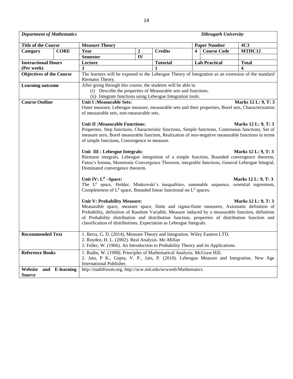*Department of Mathematics Dibrugarh University*

| <b>Title of the Course</b>      |                | <b>Measure Theory</b>                                                                                                                                                 |                |                 |   |  | <b>4C3</b><br><b>Paper Number</b> |                     |  |  |  |
|---------------------------------|----------------|-----------------------------------------------------------------------------------------------------------------------------------------------------------------------|----------------|-----------------|---|--|-----------------------------------|---------------------|--|--|--|
| Category                        | <b>CORE</b>    | Year                                                                                                                                                                  | $\overline{2}$ | <b>Credits</b>  | 4 |  | <b>Course Code</b>                | MTHC12              |  |  |  |
|                                 |                | <b>Semester</b>                                                                                                                                                       | ${\bf IV}$     |                 |   |  |                                   |                     |  |  |  |
| <b>Instructional Hours</b>      |                | Lecture                                                                                                                                                               |                | <b>Tutorial</b> |   |  | <b>Lab Practical</b>              | <b>Total</b>        |  |  |  |
| (Per week)                      |                | 3                                                                                                                                                                     |                | 1               |   |  |                                   | $\boldsymbol{4}$    |  |  |  |
| <b>Objectives of the Course</b> |                | The learners will be exposed to the Lebesgue Theory of Integration as an extension of the standard                                                                    |                |                 |   |  |                                   |                     |  |  |  |
|                                 |                | Riemann Theory.                                                                                                                                                       |                |                 |   |  |                                   |                     |  |  |  |
| <b>Learning outcome</b>         |                | After going through this course, the students will be able to                                                                                                         |                |                 |   |  |                                   |                     |  |  |  |
|                                 |                | (i) Describe the properties of Measurable sets and functions.                                                                                                         |                |                 |   |  |                                   |                     |  |  |  |
|                                 |                | (ii) Integrate functions using Lebesgue Integration tools.                                                                                                            |                |                 |   |  |                                   |                     |  |  |  |
| <b>Course Outline</b>           |                | <b>Unit I:Measurable Sets:</b>                                                                                                                                        |                |                 |   |  |                                   | Marks 12 L: 9, T: 3 |  |  |  |
|                                 |                | Outer measure, Lebesgue measure, measurable sets and their properties, Borel sets, Characterization                                                                   |                |                 |   |  |                                   |                     |  |  |  |
|                                 |                | of measurable sets, non-measurable sets.                                                                                                                              |                |                 |   |  |                                   |                     |  |  |  |
|                                 |                | <b>Unit II: Measurable Functions:</b>                                                                                                                                 |                |                 |   |  |                                   | Marks 12 L: 9, T: 3 |  |  |  |
|                                 |                | Properties, Step functions, Characteristic functions, Simple functions, Continuous functions, Set of                                                                  |                |                 |   |  |                                   |                     |  |  |  |
|                                 |                | measure zero, Borel measurable function, Realization of non-negative measurable functions in terms                                                                    |                |                 |   |  |                                   |                     |  |  |  |
|                                 |                | of simple functions, Convergence in measure.                                                                                                                          |                |                 |   |  |                                   |                     |  |  |  |
|                                 |                |                                                                                                                                                                       |                |                 |   |  |                                   |                     |  |  |  |
|                                 |                | Unit III : Lebesgue Integrals:                                                                                                                                        |                |                 |   |  |                                   | Marks 12 L: 9, T: 3 |  |  |  |
|                                 |                | Riemann integrals, Lebesgue integration of a simple function, Bounded convergence theorem,                                                                            |                |                 |   |  |                                   |                     |  |  |  |
|                                 |                | Fatou's lemma, Monotonic Convergence Theorem, integrable functions, General Lebesgue Integral,                                                                        |                |                 |   |  |                                   |                     |  |  |  |
|                                 |                | Dominated convergence theorem.                                                                                                                                        |                |                 |   |  |                                   |                     |  |  |  |
|                                 |                | Unit IV: $L^p$ -Space:                                                                                                                                                |                |                 |   |  |                                   | Marks 12 L: 9, T: 3 |  |  |  |
|                                 |                | The L <sup>P</sup> space, Holder, Minkowski's inequalities, summable sequence, essential supremum,                                                                    |                |                 |   |  |                                   |                     |  |  |  |
|                                 |                | Completeness of $L^p$ space, Bounded linear functional on $L^p$ spaces.                                                                                               |                |                 |   |  |                                   |                     |  |  |  |
|                                 |                |                                                                                                                                                                       |                |                 |   |  |                                   |                     |  |  |  |
|                                 |                | <b>Unit V: Probability Measure:</b>                                                                                                                                   |                |                 |   |  |                                   | Marks 12 L: 9, T: 3 |  |  |  |
|                                 |                | Measurable space, measure space, finite and sigma-finite measures, Axiomatic definition of                                                                            |                |                 |   |  |                                   |                     |  |  |  |
|                                 |                | Probability, definition of Random Variable, Measure induced by a measurable function, definition                                                                      |                |                 |   |  |                                   |                     |  |  |  |
|                                 |                | of Probability distribution and distribution function, properties of distribution function and<br>classification of distributions, Expectation as Lebesgue Integrals. |                |                 |   |  |                                   |                     |  |  |  |
|                                 |                |                                                                                                                                                                       |                |                 |   |  |                                   |                     |  |  |  |
| <b>Recommended Text</b>         |                | 1. Berra, G. D. (2014). Measure Theory and Integration. Wiley Eastern LTD.                                                                                            |                |                 |   |  |                                   |                     |  |  |  |
|                                 |                | 2. Royden, H. L. (2002). Real Analysis. Mc-Millan                                                                                                                     |                |                 |   |  |                                   |                     |  |  |  |
|                                 |                | 3. Feller, W. (1966). An Introduction to Probability Theory and its Applications.                                                                                     |                |                 |   |  |                                   |                     |  |  |  |
| <b>Reference Books</b>          |                | 1. Rudin, W. (1998). Principles of Mathematical Analysis. McGraw Hill.                                                                                                |                |                 |   |  |                                   |                     |  |  |  |
|                                 |                | 2. Jain, P K., Gupta, V. P., Jain, P. (2010). Lebesgue Measure and Integration. New Age                                                                               |                |                 |   |  |                                   |                     |  |  |  |
|                                 |                | International Publisher.                                                                                                                                              |                |                 |   |  |                                   |                     |  |  |  |
| Website                         | and E-learning | http://mathforum.org, http://ocw.mit.edu/ocwweb/Mathematics                                                                                                           |                |                 |   |  |                                   |                     |  |  |  |
| <b>Source</b>                   |                |                                                                                                                                                                       |                |                 |   |  |                                   |                     |  |  |  |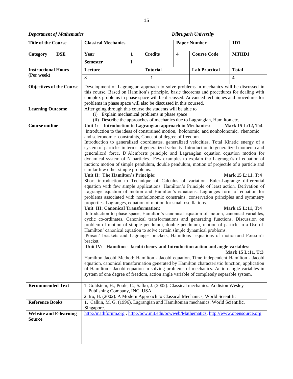| <b>Department of Mathematics</b><br>Dibrugarh University                                                                                |            |                                                                                                                                                                                       |                                                                                  |                                                                                                                                                              |                         |                      |                         |  |  |  |  |
|-----------------------------------------------------------------------------------------------------------------------------------------|------------|---------------------------------------------------------------------------------------------------------------------------------------------------------------------------------------|----------------------------------------------------------------------------------|--------------------------------------------------------------------------------------------------------------------------------------------------------------|-------------------------|----------------------|-------------------------|--|--|--|--|
| <b>Title of the Course</b>                                                                                                              |            | <b>Classical Mechanics</b><br><b>Paper Number</b><br>1D1                                                                                                                              |                                                                                  |                                                                                                                                                              |                         |                      |                         |  |  |  |  |
| Category                                                                                                                                | <b>DSE</b> | Year                                                                                                                                                                                  | $\mathbf{1}$                                                                     | <b>Credits</b>                                                                                                                                               | $\overline{\mathbf{4}}$ | <b>Course Code</b>   | MTHD1                   |  |  |  |  |
|                                                                                                                                         |            | <b>Semester</b>                                                                                                                                                                       | $\mathbf I$                                                                      |                                                                                                                                                              |                         |                      |                         |  |  |  |  |
| <b>Instructional Hours</b>                                                                                                              |            | Lecture                                                                                                                                                                               |                                                                                  | <b>Tutorial</b>                                                                                                                                              |                         | <b>Lab Practical</b> | <b>Total</b>            |  |  |  |  |
| (Per week)                                                                                                                              |            | $\overline{\mathbf{3}}$                                                                                                                                                               |                                                                                  | $\mathbf{1}$                                                                                                                                                 |                         |                      | $\overline{\mathbf{4}}$ |  |  |  |  |
| <b>Objectives of the Course</b>                                                                                                         |            | Development of Lagrangian approach to solve problems in mechanics will be discussed in                                                                                                |                                                                                  |                                                                                                                                                              |                         |                      |                         |  |  |  |  |
|                                                                                                                                         |            | this course. Based on Hamilton's principle, basic theorems and procedures for dealing with                                                                                            |                                                                                  |                                                                                                                                                              |                         |                      |                         |  |  |  |  |
|                                                                                                                                         |            |                                                                                                                                                                                       |                                                                                  | complex problems in phase space will be discussed. Advanced techniques and procedures for<br>problems in phase space will also be discussed in this coursed. |                         |                      |                         |  |  |  |  |
| <b>Learning Outcome</b>                                                                                                                 |            | After going through this course the students will be able to                                                                                                                          |                                                                                  |                                                                                                                                                              |                         |                      |                         |  |  |  |  |
|                                                                                                                                         |            | (i) Explain mechanical problems in phase space                                                                                                                                        |                                                                                  |                                                                                                                                                              |                         |                      |                         |  |  |  |  |
| (ii) Describe the approaches of mechanics due to Lagrangian, Hamilton etc.<br>Unit 1: Introduction to Lagrangian approach in Mechanics: |            |                                                                                                                                                                                       |                                                                                  |                                                                                                                                                              |                         |                      |                         |  |  |  |  |
| <b>Course outline</b>                                                                                                                   |            | Introduction to the ideas of constrained motion, holonomic, and nonholonomic, rhenomic                                                                                                |                                                                                  |                                                                                                                                                              |                         |                      | Mark 15 L:12, T:4       |  |  |  |  |
|                                                                                                                                         |            | and scleronomic constraints, Concept of degree of freedom.                                                                                                                            |                                                                                  |                                                                                                                                                              |                         |                      |                         |  |  |  |  |
|                                                                                                                                         |            | Introduction to generalized coordinates, generalized velocities. Total Kinetic energy of a                                                                                            |                                                                                  |                                                                                                                                                              |                         |                      |                         |  |  |  |  |
|                                                                                                                                         |            | system of particles in terms of generalized velocity. Introduction to generalized momenta and<br>generalized force. D'Alemberts principle and Lagrangian equation equation motion for |                                                                                  |                                                                                                                                                              |                         |                      |                         |  |  |  |  |
|                                                                                                                                         |            | dynamical system of N particles. Few examples to explain the Lagrange's of equation of                                                                                                |                                                                                  |                                                                                                                                                              |                         |                      |                         |  |  |  |  |
|                                                                                                                                         |            | motion: motion of simple pendulum, double pendulum, motion of projectile of a particle and                                                                                            |                                                                                  |                                                                                                                                                              |                         |                      |                         |  |  |  |  |
|                                                                                                                                         |            | similar few other simple problems.                                                                                                                                                    |                                                                                  |                                                                                                                                                              |                         |                      |                         |  |  |  |  |
|                                                                                                                                         |            | Unit II: The Hamilton's Principle:<br>Short introduction to Technique of Calculus of variation, Euler-Lagrange differential                                                           |                                                                                  |                                                                                                                                                              |                         |                      | Mark 15 L:11, T:4       |  |  |  |  |
|                                                                                                                                         |            | equation with few simple applications. Hamilton's Principle of least action. Derivation of                                                                                            |                                                                                  |                                                                                                                                                              |                         |                      |                         |  |  |  |  |
|                                                                                                                                         |            | Lagrange equation of motion and Hamilton's equations. Lagranges form of equation for                                                                                                  |                                                                                  |                                                                                                                                                              |                         |                      |                         |  |  |  |  |
|                                                                                                                                         |            | problems associated with nonholonomic constrains, conservation principles and symmetry<br>properties, Lagranges, equation of motion for small oscillations.                           |                                                                                  |                                                                                                                                                              |                         |                      |                         |  |  |  |  |
|                                                                                                                                         |            | Unit III: Canonical Transformation:                                                                                                                                                   |                                                                                  |                                                                                                                                                              |                         |                      | Mark 15 L:11, T:4       |  |  |  |  |
|                                                                                                                                         |            | Introduction to phase space, Hamilton's canonical equation of motion, canonical variables,                                                                                            |                                                                                  |                                                                                                                                                              |                         |                      |                         |  |  |  |  |
|                                                                                                                                         |            | cyclic co-ordinates, Canonical transformations and generating functions, Discussion on                                                                                                |                                                                                  |                                                                                                                                                              |                         |                      |                         |  |  |  |  |
|                                                                                                                                         |            | problem of motion of simple pendulum, double pendulum, motion of particle in a Use of<br>Hamilton' canonical equation to solve certain simple dynamical problems.                     |                                                                                  |                                                                                                                                                              |                         |                      |                         |  |  |  |  |
|                                                                                                                                         |            | Poison' brackets and Lagranges brackets, Hamiltons equations of motion and Poisson's                                                                                                  |                                                                                  |                                                                                                                                                              |                         |                      |                         |  |  |  |  |
|                                                                                                                                         |            | bracket.                                                                                                                                                                              |                                                                                  |                                                                                                                                                              |                         |                      |                         |  |  |  |  |
|                                                                                                                                         |            | Unit IV: Hamilton - Jacobi theory and Introduction action and angle variables:                                                                                                        |                                                                                  |                                                                                                                                                              |                         |                      | Mark 15 L:11, T:3       |  |  |  |  |
|                                                                                                                                         |            | Hamilton Jacobi Method: Hamilton - Jacobi equation, Time independent Hamilton - Jacobi                                                                                                |                                                                                  |                                                                                                                                                              |                         |                      |                         |  |  |  |  |
|                                                                                                                                         |            | equation, canonical transformation generated by Hamilton characteristic function, application                                                                                         |                                                                                  |                                                                                                                                                              |                         |                      |                         |  |  |  |  |
|                                                                                                                                         |            | of Hamilton - Jacobi equation in solving problems of mechanics. Action-angle variables in<br>system of one degree of freedom, action angle variable of completely separable system.   |                                                                                  |                                                                                                                                                              |                         |                      |                         |  |  |  |  |
|                                                                                                                                         |            |                                                                                                                                                                                       |                                                                                  |                                                                                                                                                              |                         |                      |                         |  |  |  |  |
| <b>Recommended Text</b>                                                                                                                 |            | 1. Goldstein, H., Poole, C., Safko, J. (2002). Classical mechanics. Addision Wesley                                                                                                   |                                                                                  |                                                                                                                                                              |                         |                      |                         |  |  |  |  |
|                                                                                                                                         |            | Publishing Company, INC. USA.<br>2. Iro, H. (2002). A Modern Approach to Classical Mechanics, World Scientific                                                                        |                                                                                  |                                                                                                                                                              |                         |                      |                         |  |  |  |  |
| <b>Reference Books</b>                                                                                                                  |            |                                                                                                                                                                                       | 1. Calkin, M. G. (1996). Lagrangian and Hamiltonian mechanics. World Scientific, |                                                                                                                                                              |                         |                      |                         |  |  |  |  |
|                                                                                                                                         |            | Singapore.                                                                                                                                                                            |                                                                                  |                                                                                                                                                              |                         |                      |                         |  |  |  |  |
| <b>Website and E-learning</b>                                                                                                           |            | http://mathforum.org, http://ocw.mit.edu/ocwweb/Mathematics, http://www.opensource.org                                                                                                |                                                                                  |                                                                                                                                                              |                         |                      |                         |  |  |  |  |
| <b>Source</b>                                                                                                                           |            |                                                                                                                                                                                       |                                                                                  |                                                                                                                                                              |                         |                      |                         |  |  |  |  |
|                                                                                                                                         |            |                                                                                                                                                                                       |                                                                                  |                                                                                                                                                              |                         |                      |                         |  |  |  |  |
|                                                                                                                                         |            |                                                                                                                                                                                       |                                                                                  |                                                                                                                                                              |                         |                      |                         |  |  |  |  |
|                                                                                                                                         |            |                                                                                                                                                                                       |                                                                                  |                                                                                                                                                              |                         |                      |                         |  |  |  |  |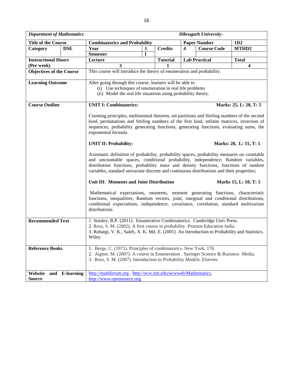| <b>Department of Mathematics</b>           |                                                                                                                                                                                                                                                                                                                                                                                                                                                                     |   |  |                 |   | Dibrugarh University- |                        |  |  |
|--------------------------------------------|---------------------------------------------------------------------------------------------------------------------------------------------------------------------------------------------------------------------------------------------------------------------------------------------------------------------------------------------------------------------------------------------------------------------------------------------------------------------|---|--|-----------------|---|-----------------------|------------------------|--|--|
| <b>Title of the Course</b>                 | <b>Combinatorics and Probability</b>                                                                                                                                                                                                                                                                                                                                                                                                                                |   |  |                 |   | <b>Paper Number</b>   | 1D2                    |  |  |
| <b>DSE</b><br>Category                     | Year                                                                                                                                                                                                                                                                                                                                                                                                                                                                | 1 |  | <b>Credits</b>  | 4 | <b>Course Code</b>    | MTHD <sub>2</sub>      |  |  |
|                                            | <b>Semester</b>                                                                                                                                                                                                                                                                                                                                                                                                                                                     | T |  |                 |   |                       |                        |  |  |
| <b>Instructional Hours</b>                 | Lecture                                                                                                                                                                                                                                                                                                                                                                                                                                                             |   |  | <b>Tutorial</b> |   | <b>Lab Practical</b>  | <b>Total</b>           |  |  |
| (Per week)                                 | 3<br>$\boldsymbol{4}$<br>1                                                                                                                                                                                                                                                                                                                                                                                                                                          |   |  |                 |   |                       |                        |  |  |
| <b>Objectives of the Course</b>            | This course will introduce the theory of enumeration and probability.                                                                                                                                                                                                                                                                                                                                                                                               |   |  |                 |   |                       |                        |  |  |
| <b>Learning Outcome</b>                    | After going through this course, learners will be able to<br>(i) Use techniques of enumeration in real life problems<br>(ii) Model the real life situations using probability theory.                                                                                                                                                                                                                                                                               |   |  |                 |   |                       |                        |  |  |
| <b>Course Outline</b>                      | <b>UNIT I: Combinatorics:</b>                                                                                                                                                                                                                                                                                                                                                                                                                                       |   |  |                 |   |                       | Marks: 25, L: 20, T: 5 |  |  |
|                                            | Counting principles, multinomial theorem, set partitions and Stirling numbers of the second<br>kind, permutations and Stirling numbers of the first kind, infinite matrices, inversion of<br>sequences, probability generating functions, generating functions, evaluating sums, the<br>exponential formula<br><b>UNIT II: Probability:</b><br>Marks: 20, L: 15, T: 5<br>Axiomatic definition of probability, probability spaces, probability measures on countable |   |  |                 |   |                       |                        |  |  |
|                                            | and uncountable spaces, conditional probability, independence; Random variables,<br>distribution functions, probability mass and density functions, functions of random<br>variables, standard univariate discrete and continuous distributions and their properties;                                                                                                                                                                                               |   |  |                 |   |                       |                        |  |  |
|                                            | Unit III: Moments and Joint Distribution                                                                                                                                                                                                                                                                                                                                                                                                                            |   |  |                 |   |                       | Marks 15, L: 10, T: 5  |  |  |
|                                            | Mathematical expectations, moments, moment generating functions, characteristic<br>functions, inequalities; Random vectors, joint, marginal and conditional distributions,<br>conditional expectations, independence, covariance, correlation, standard multivariate<br>distributions                                                                                                                                                                               |   |  |                 |   |                       |                        |  |  |
| <b>Recommended Text</b>                    | 1. Stanley, R.P. (2011). Enumerative Combinatorics. Cambridge Univ Press.<br>2. Ross, S. M. (2002). A first course in probability. Pearson Education India.<br>3. Rohatgi, V. K., Saleh, A. K. Md. E. (2001). An Introduction to Probability and Statistics.<br>Wiley.                                                                                                                                                                                              |   |  |                 |   |                       |                        |  |  |
| <b>Reference Books</b>                     | 1. Berge, C. (1971). Principles of combinatorics. New York, 176.<br>2. Aigner, M. (2007). A course in Enumeration . Springer Science & Business Media.<br>3. Ross, S. M. (2007). Introduction to Probability Models. Elsevier.                                                                                                                                                                                                                                      |   |  |                 |   |                       |                        |  |  |
| Website<br>and E-learning<br><b>Source</b> | http://mathforum.org, http://ocw.mit.edu/ocwweb/Mathematics,<br>http://www.opensource.org                                                                                                                                                                                                                                                                                                                                                                           |   |  |                 |   |                       |                        |  |  |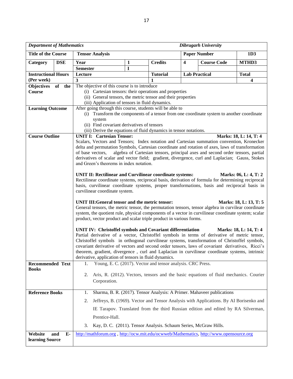| <b>Department of Mathematics</b>         |                                                                                                                                                        |                                                                                                                                                                                                            |              |                                                             |                         | <b>Dibrugarh University</b>                                                           |                                         |  |  |  |
|------------------------------------------|--------------------------------------------------------------------------------------------------------------------------------------------------------|------------------------------------------------------------------------------------------------------------------------------------------------------------------------------------------------------------|--------------|-------------------------------------------------------------|-------------------------|---------------------------------------------------------------------------------------|-----------------------------------------|--|--|--|
| <b>Title of the Course</b>               |                                                                                                                                                        | <b>Tensor Analysis</b><br><b>Paper Number</b><br>1D3                                                                                                                                                       |              |                                                             |                         |                                                                                       |                                         |  |  |  |
| Category                                 | <b>DSE</b>                                                                                                                                             | Year                                                                                                                                                                                                       | $\mathbf{1}$ | <b>Credits</b>                                              | $\overline{\mathbf{4}}$ | <b>Course Code</b>                                                                    | MTHD3                                   |  |  |  |
|                                          |                                                                                                                                                        | <b>Semester</b>                                                                                                                                                                                            | I            |                                                             |                         |                                                                                       |                                         |  |  |  |
| <b>Instructional Hours</b><br>(Per week) |                                                                                                                                                        | Lecture<br>$\overline{\mathbf{3}}$                                                                                                                                                                         |              | <b>Tutorial</b><br>1                                        |                         | <b>Lab Practical</b>                                                                  | <b>Total</b><br>$\overline{\mathbf{4}}$ |  |  |  |
| <b>Objectives</b>                        | of the                                                                                                                                                 | The objective of this course is to introduce                                                                                                                                                               |              |                                                             |                         |                                                                                       |                                         |  |  |  |
| <b>Course</b>                            |                                                                                                                                                        | (i) Cartesian tensors: their operations and properties                                                                                                                                                     |              |                                                             |                         |                                                                                       |                                         |  |  |  |
|                                          |                                                                                                                                                        | (ii) General tensors, the metric tensor and their properties                                                                                                                                               |              |                                                             |                         |                                                                                       |                                         |  |  |  |
|                                          |                                                                                                                                                        | (iii) Application of tensors in fluid dynamics.                                                                                                                                                            |              |                                                             |                         |                                                                                       |                                         |  |  |  |
| <b>Learning Outcome</b>                  | After going through this course, students will be able to<br>(i) Transform the components of a tensor from one coordinate system to another coordinate |                                                                                                                                                                                                            |              |                                                             |                         |                                                                                       |                                         |  |  |  |
|                                          |                                                                                                                                                        | system                                                                                                                                                                                                     |              |                                                             |                         |                                                                                       |                                         |  |  |  |
|                                          | (ii) Find covariant derivatives of tensors                                                                                                             |                                                                                                                                                                                                            |              |                                                             |                         |                                                                                       |                                         |  |  |  |
|                                          |                                                                                                                                                        | (iii) Derive the equations of fluid dynamics in tensor notations.                                                                                                                                          |              |                                                             |                         |                                                                                       |                                         |  |  |  |
| <b>Course Outline</b>                    |                                                                                                                                                        | <b>UNIT I: Cartesian Tensor:</b>                                                                                                                                                                           |              |                                                             |                         |                                                                                       | Marks: 18, L: 14, T: 4                  |  |  |  |
|                                          |                                                                                                                                                        | Scalars, Vectors and Tensors; Index notation and Cartesian summation convention, Kronecker                                                                                                                 |              |                                                             |                         |                                                                                       |                                         |  |  |  |
|                                          |                                                                                                                                                        | delta and permutation Symbols, Cartesian coordinate and rotation of axes, laws of transformation<br>of base vectors,                                                                                       |              |                                                             |                         | algebra of Cartesian tensors, principal axes and second order tensors, partial        |                                         |  |  |  |
|                                          |                                                                                                                                                        | derivatives of scalar and vector field; gradient, divergence, curl and Laplacian; Gauss, Stokes                                                                                                            |              |                                                             |                         |                                                                                       |                                         |  |  |  |
|                                          |                                                                                                                                                        | and Green's theorems in index notation.                                                                                                                                                                    |              |                                                             |                         |                                                                                       |                                         |  |  |  |
|                                          |                                                                                                                                                        |                                                                                                                                                                                                            |              |                                                             |                         |                                                                                       |                                         |  |  |  |
|                                          |                                                                                                                                                        | UNIT II: Rectilinear and Curvilinear coordinate systems:                                                                                                                                                   |              |                                                             |                         |                                                                                       | Marks: 06, L: 4, T: 2                   |  |  |  |
|                                          |                                                                                                                                                        | Rectilinear coordinate systems, reciprocal basis, derivation of formula for determining reciprocal<br>basis, curvilinear coordinate systems, proper transformations, basis and reciprocal basis in         |              |                                                             |                         |                                                                                       |                                         |  |  |  |
|                                          |                                                                                                                                                        | curvilinear coordinate system.                                                                                                                                                                             |              |                                                             |                         |                                                                                       |                                         |  |  |  |
|                                          |                                                                                                                                                        |                                                                                                                                                                                                            |              |                                                             |                         |                                                                                       |                                         |  |  |  |
|                                          |                                                                                                                                                        | UNIT III: General tensor and the metric tensor:                                                                                                                                                            |              |                                                             |                         |                                                                                       | Marks: 18, L: 13, T: 5                  |  |  |  |
|                                          |                                                                                                                                                        | General tensors, the metric tensor, the permutation tensors, tensor algebra in curvilear coordinate<br>system, the quotient rule, physical components of a vector in curvilinear coordinate system; scalar |              |                                                             |                         |                                                                                       |                                         |  |  |  |
|                                          |                                                                                                                                                        | product, vector product and scalar triple product in various forms.                                                                                                                                        |              |                                                             |                         |                                                                                       |                                         |  |  |  |
|                                          |                                                                                                                                                        |                                                                                                                                                                                                            |              |                                                             |                         |                                                                                       |                                         |  |  |  |
|                                          |                                                                                                                                                        | UNIT IV: Christoffel symbols and Covariant differentiation                                                                                                                                                 |              |                                                             |                         |                                                                                       | Marks: 18, L: 14, T: 4                  |  |  |  |
|                                          |                                                                                                                                                        | Partial derivative of a vector, Christoffel symbols in terms of derivative of metric tensor,                                                                                                               |              |                                                             |                         |                                                                                       |                                         |  |  |  |
|                                          |                                                                                                                                                        | Christoffel symbols in orthogonal curvilinear systems, transformation of Christoffel symbols,<br>covariant derivative of vectors and second order tensors, laws of covariant derivatives, Ricci's          |              |                                                             |                         |                                                                                       |                                         |  |  |  |
|                                          |                                                                                                                                                        | theorem, gradient, divergence, curl and Laplacian in curvilinear coordinate systems, intrinsic                                                                                                             |              |                                                             |                         |                                                                                       |                                         |  |  |  |
|                                          |                                                                                                                                                        | derivative, application of tensors in fluid dynamics.                                                                                                                                                      |              |                                                             |                         |                                                                                       |                                         |  |  |  |
| <b>Recommended Text</b>                  |                                                                                                                                                        | 1.                                                                                                                                                                                                         |              | Young, E. C. (2017). Vector and tensor analysis. CRC Press. |                         |                                                                                       |                                         |  |  |  |
| <b>Books</b>                             |                                                                                                                                                        |                                                                                                                                                                                                            |              |                                                             |                         |                                                                                       |                                         |  |  |  |
|                                          |                                                                                                                                                        | 2.                                                                                                                                                                                                         |              |                                                             |                         | Aris, R. (2012). Vectors, tensors and the basic equations of fluid mechanics. Courier |                                         |  |  |  |
|                                          |                                                                                                                                                        | Corporation.                                                                                                                                                                                               |              |                                                             |                         |                                                                                       |                                         |  |  |  |
| <b>Reference Books</b>                   |                                                                                                                                                        | 1.                                                                                                                                                                                                         |              |                                                             |                         | Sharma, B. R. (2017). Tensor Analysis: A Primer. Mahaveer publications                |                                         |  |  |  |
|                                          |                                                                                                                                                        |                                                                                                                                                                                                            |              |                                                             |                         |                                                                                       |                                         |  |  |  |
|                                          |                                                                                                                                                        | 2.<br>Jeffreys, B. (1969). Vector and Tensor Analysis with Applications. By AI Borisenko and                                                                                                               |              |                                                             |                         |                                                                                       |                                         |  |  |  |
|                                          |                                                                                                                                                        | IE Tarapov. Translated from the third Russian edition and edited by RA Silverman,                                                                                                                          |              |                                                             |                         |                                                                                       |                                         |  |  |  |
|                                          |                                                                                                                                                        | Prentice-Hall.                                                                                                                                                                                             |              |                                                             |                         |                                                                                       |                                         |  |  |  |
|                                          |                                                                                                                                                        | Kay, D. C. (2011). Tensor Analysis. Schaum Series, McGraw Hills.<br>3.                                                                                                                                     |              |                                                             |                         |                                                                                       |                                         |  |  |  |
| Website                                  | $E-$<br>and                                                                                                                                            | http://mathforum.org, http://ocw.mit.edu/ocwweb/Mathematics, http://www.opensource.org                                                                                                                     |              |                                                             |                         |                                                                                       |                                         |  |  |  |
| learning Source                          |                                                                                                                                                        |                                                                                                                                                                                                            |              |                                                             |                         |                                                                                       |                                         |  |  |  |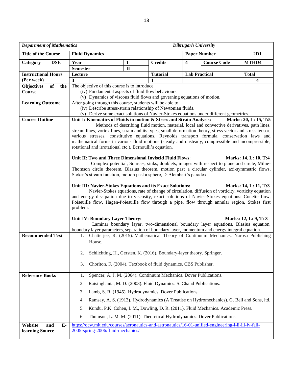| <b>Department of Mathematics</b><br><b>Dibrugarh University</b> |            |                                                                                                                                                                                            |              |                                                                         |                         |                                                                                                    |                         |  |  |
|-----------------------------------------------------------------|------------|--------------------------------------------------------------------------------------------------------------------------------------------------------------------------------------------|--------------|-------------------------------------------------------------------------|-------------------------|----------------------------------------------------------------------------------------------------|-------------------------|--|--|
| <b>Title of the Course</b>                                      |            | <b>Fluid Dynamics</b>                                                                                                                                                                      |              |                                                                         | <b>Paper Number</b>     |                                                                                                    | 2D1                     |  |  |
| Category                                                        | <b>DSE</b> | Year                                                                                                                                                                                       | 1            | <b>Credits</b>                                                          | $\overline{\mathbf{4}}$ | <b>Course Code</b>                                                                                 | MTHD4                   |  |  |
|                                                                 |            | <b>Semester</b>                                                                                                                                                                            | $\mathbf{I}$ |                                                                         |                         |                                                                                                    |                         |  |  |
| <b>Instructional Hours</b>                                      |            | Lecture                                                                                                                                                                                    |              | <b>Tutorial</b>                                                         | <b>Lab Practical</b>    |                                                                                                    | <b>Total</b>            |  |  |
| (Per week)<br><b>Objectives</b>                                 | of<br>the  | 3<br>The objective of this course is to introduce                                                                                                                                          |              |                                                                         |                         |                                                                                                    | $\overline{\mathbf{4}}$ |  |  |
| Course                                                          |            | (iv) Fundamental aspects of fluid flow behaviours.                                                                                                                                         |              |                                                                         |                         |                                                                                                    |                         |  |  |
|                                                                 |            | (v) Dynamics of viscous fluid flows and governing equations of motion.                                                                                                                     |              |                                                                         |                         |                                                                                                    |                         |  |  |
| <b>Learning Outcome</b>                                         |            | After going through this course, students will be able to                                                                                                                                  |              |                                                                         |                         |                                                                                                    |                         |  |  |
|                                                                 |            | (iv) Describe stress-strain relationship of Newtonian fluids.                                                                                                                              |              |                                                                         |                         |                                                                                                    |                         |  |  |
| <b>Course Outline</b>                                           |            | (v) Derive some exact solutions of Navier-Stokes equations under different geometries.<br>Unit I: Kinematics of Fluids in motion & Stress and Strain Analysis:                             |              |                                                                         |                         |                                                                                                    | Marks: 20, L: 15, T:5   |  |  |
|                                                                 |            | stream lines, vortex lines, strain and its types, small deformation theory, stress vector and stress tensor,                                                                               |              |                                                                         |                         | Methods of describing fluid motion, material, local and convective derivatives, path lines,        |                         |  |  |
|                                                                 |            | various stresses, constitutive equations, Reynolds transport formula, conservation laws and                                                                                                |              |                                                                         |                         |                                                                                                    |                         |  |  |
|                                                                 |            | mathematical forms in various fluid motions (steady and unsteady, compressible and incompressible,<br>rotational and irrotational etc.), Bernoulli's equation.                             |              |                                                                         |                         |                                                                                                    |                         |  |  |
|                                                                 |            | Unit II: Two and Three Dimensional Inviscid Fluid Flows:                                                                                                                                   |              |                                                                         |                         |                                                                                                    | Marks: 14, L: 10, T:4   |  |  |
|                                                                 |            |                                                                                                                                                                                            |              |                                                                         |                         | Complex potential, Sources, sinks, doublets, images with respect to plane and circle, Milne-       |                         |  |  |
|                                                                 |            | Thomson circle theorem, Blasius theorem, motion past a circular cylinder, axi-symmetric flows,                                                                                             |              |                                                                         |                         |                                                                                                    |                         |  |  |
|                                                                 |            | Stokes's stream function, motion past a sphere, D-Alembert's paradox.                                                                                                                      |              |                                                                         |                         |                                                                                                    |                         |  |  |
|                                                                 |            | Unit III: Navier-Stokes Equations and its Exact Solutions:                                                                                                                                 |              |                                                                         |                         | Navier-Stokes equations, rate of change of circulation, diffusion of vorticity, vorticity equation | Marks: 14, L: 11, T:3   |  |  |
|                                                                 |            | and energy dissipation due to viscosity, exact solutions of Navier-Stokes equations: Couette flow,                                                                                         |              |                                                                         |                         |                                                                                                    |                         |  |  |
|                                                                 |            | Poiseuille flow, Hagen-Poiesuille flow through a pipe, flow through annular region, Stokes first                                                                                           |              |                                                                         |                         |                                                                                                    |                         |  |  |
|                                                                 |            | problem.                                                                                                                                                                                   |              |                                                                         |                         |                                                                                                    |                         |  |  |
|                                                                 |            | Unit IV: Boundary Layer Theory:                                                                                                                                                            |              |                                                                         |                         |                                                                                                    | Marks: 12, L: 9, T: 3   |  |  |
|                                                                 |            |                                                                                                                                                                                            |              |                                                                         |                         | Laminar boundary layer, two-dimensional boundary layer equations, Blasius equation,                |                         |  |  |
| <b>Recommended Text</b>                                         |            | boundary layer parameters, separation of boundary layer, momentum and energy integral equation.<br>1. Chatterjee, R. (2015). Mathematical Theory of Continuum Mechanics. Narosa Publishing |              |                                                                         |                         |                                                                                                    |                         |  |  |
|                                                                 |            | House.                                                                                                                                                                                     |              |                                                                         |                         |                                                                                                    |                         |  |  |
|                                                                 |            |                                                                                                                                                                                            |              |                                                                         |                         |                                                                                                    |                         |  |  |
|                                                                 |            | 2.                                                                                                                                                                                         |              | Schlichting, H., Gersten, K. (2016). Boundary-layer theory. Springer.   |                         |                                                                                                    |                         |  |  |
|                                                                 |            | 3.                                                                                                                                                                                         |              | Chorlton, F. (2004). Textbook of fluid dynamics. CBS Publisher.         |                         |                                                                                                    |                         |  |  |
| <b>Reference Books</b>                                          |            | 1.                                                                                                                                                                                         |              | Spencer, A. J. M. (2004). Continuum Mechanics. Dover Publications.      |                         |                                                                                                    |                         |  |  |
|                                                                 |            | 2.                                                                                                                                                                                         |              | Raisinghania, M. D. (2003). Fluid Dynamics. S. Chand Publications.      |                         |                                                                                                    |                         |  |  |
|                                                                 |            | 3.<br>Lamb, S. R. (1945). Hydrodynamics. Dover Publications.                                                                                                                               |              |                                                                         |                         |                                                                                                    |                         |  |  |
|                                                                 |            | Ramsay, A. S. (1913). Hydrodynamics (A Treatise on Hydromechanics). G. Bell and Sons, ltd.<br>4.                                                                                           |              |                                                                         |                         |                                                                                                    |                         |  |  |
|                                                                 |            | Kundu, P.K. Cohen, I. M., Dowling, D. R. (2011). Fluid Mechanics. Academic Press.<br>5.                                                                                                    |              |                                                                         |                         |                                                                                                    |                         |  |  |
|                                                                 |            | 6.                                                                                                                                                                                         |              | Thomson, L. M. M. (2011). Theoretical Hydrodynamics. Dover Publications |                         |                                                                                                    |                         |  |  |
| Website                                                         | E-<br>and  | https://ocw.mit.edu/courses/aeronautics-and-astronautics/16-01-unified-engineering-i-ii-iii-iv-fall-                                                                                       |              |                                                                         |                         |                                                                                                    |                         |  |  |
| learning Source                                                 |            | 2005-spring-2006/fluid-mechanics/                                                                                                                                                          |              |                                                                         |                         |                                                                                                    |                         |  |  |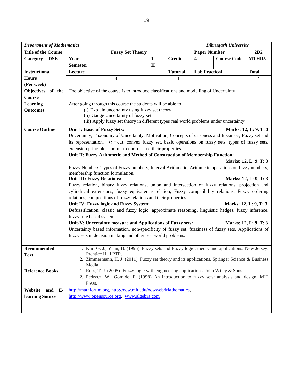| <b>Department of Mathematics</b> |            | <b>Dibrugarh University</b>                                                                               |                                                                                                      |                 |                         |                    |                       |  |  |  |  |
|----------------------------------|------------|-----------------------------------------------------------------------------------------------------------|------------------------------------------------------------------------------------------------------|-----------------|-------------------------|--------------------|-----------------------|--|--|--|--|
| <b>Title of the Course</b>       |            | <b>Paper Number</b><br>2D2<br><b>Fuzzy Set Theory</b>                                                     |                                                                                                      |                 |                         |                    |                       |  |  |  |  |
| Category                         | <b>DSE</b> | Year                                                                                                      | $\mathbf{1}$                                                                                         | <b>Credits</b>  | $\overline{\mathbf{4}}$ | <b>Course Code</b> | MTHD5                 |  |  |  |  |
|                                  |            | <b>Semester</b>                                                                                           | $\mathbf{I}$                                                                                         |                 |                         |                    |                       |  |  |  |  |
| <b>Instructional</b>             |            | Lecture                                                                                                   |                                                                                                      | <b>Tutorial</b> | <b>Lab Practical</b>    |                    | <b>Total</b>          |  |  |  |  |
| <b>Hours</b>                     |            | 3                                                                                                         |                                                                                                      | $\mathbf{1}$    |                         |                    | 4                     |  |  |  |  |
| (Per week)                       |            |                                                                                                           |                                                                                                      |                 |                         |                    |                       |  |  |  |  |
| Objectives of the                |            | The objective of the course is to introduce classifications and modelling of Uncertainty                  |                                                                                                      |                 |                         |                    |                       |  |  |  |  |
| <b>Course</b>                    |            |                                                                                                           |                                                                                                      |                 |                         |                    |                       |  |  |  |  |
| <b>Learning</b>                  |            | After going through this course the students will be able to                                              |                                                                                                      |                 |                         |                    |                       |  |  |  |  |
| <b>Outcomes</b>                  |            |                                                                                                           | (i) Explain uncertainty using fuzzy set theory                                                       |                 |                         |                    |                       |  |  |  |  |
|                                  |            | (ii) Gauge Uncertainty of fuzzy set                                                                       |                                                                                                      |                 |                         |                    |                       |  |  |  |  |
|                                  |            | (iii) Apply fuzzy set theory in different types real world problems under uncertainty                     |                                                                                                      |                 |                         |                    |                       |  |  |  |  |
| <b>Course Outline</b>            |            | Unit I: Basic of Fuzzy Sets:<br>Marks: 12, L: 9, T: 3                                                     |                                                                                                      |                 |                         |                    |                       |  |  |  |  |
|                                  |            |                                                                                                           | Uncertainty, Taxonomy of Uncertainty, Motivation, Concepts of crispness and fuzziness, Fuzzy set and |                 |                         |                    |                       |  |  |  |  |
|                                  |            | its representation, $\alpha$ -cut, convex fuzzy set, basic operations on fuzzy sets, types of fuzzy sets, |                                                                                                      |                 |                         |                    |                       |  |  |  |  |
|                                  |            | extension principle, t-norm, t-conorms and their properties.                                              |                                                                                                      |                 |                         |                    |                       |  |  |  |  |
|                                  |            | Unit II: Fuzzy Arithmetic and Method of Construction of Membership Function:                              |                                                                                                      |                 |                         |                    |                       |  |  |  |  |
|                                  |            |                                                                                                           |                                                                                                      |                 |                         |                    | Marks: 12, L: 9, T: 3 |  |  |  |  |
|                                  |            | Fuzzy Numbers Types of Fuzzy numbers, Interval Arithmetic, Arithmetic operations on fuzzy numbers,        |                                                                                                      |                 |                         |                    |                       |  |  |  |  |
|                                  |            | membership function formulation.<br><b>Unit III: Fuzzy Relations:</b>                                     |                                                                                                      |                 |                         |                    | Marks: 12, L: 9, T: 3 |  |  |  |  |
|                                  |            | Fuzzy relation, binary fuzzy relations, union and intersection of fuzzy relations, projection and         |                                                                                                      |                 |                         |                    |                       |  |  |  |  |
|                                  |            | cylindrical extensions, fuzzy equivalence relation, Fuzzy compatibility relations, Fuzzy ordering         |                                                                                                      |                 |                         |                    |                       |  |  |  |  |
|                                  |            | relations, compositions of fuzzy relations and their properties.                                          |                                                                                                      |                 |                         |                    |                       |  |  |  |  |
|                                  |            | Unit IV: Fuzzy logic and Fuzzy System:                                                                    |                                                                                                      |                 |                         |                    | Marks: 12, L: 9, T: 3 |  |  |  |  |
|                                  |            | Defuzzification, classic and fuzzy logic, approximate reasoning, linguistic hedges, fuzzy inference,      |                                                                                                      |                 |                         |                    |                       |  |  |  |  |
|                                  |            | fuzzy rule based system.                                                                                  |                                                                                                      |                 |                         |                    |                       |  |  |  |  |
|                                  |            | Unit-V: Uncertainty measure and Applications of Fuzzy sets:                                               |                                                                                                      |                 |                         |                    | Marks: 12, L: 9, T: 3 |  |  |  |  |
|                                  |            | Uncertainty based information, non-specificity of fuzzy set, fuzziness of fuzzy sets, Applications of     |                                                                                                      |                 |                         |                    |                       |  |  |  |  |
|                                  |            | fuzzy sets in decision making and other real world problems.                                              |                                                                                                      |                 |                         |                    |                       |  |  |  |  |
|                                  |            |                                                                                                           |                                                                                                      |                 |                         |                    |                       |  |  |  |  |
| Recommended                      |            | 1. Klir, G. J., Yuan, B. (1995). Fuzzy sets and Fuzzy logic: theory and applications. New Jersey:         |                                                                                                      |                 |                         |                    |                       |  |  |  |  |
| <b>Text</b>                      |            | Prentice Hall PTR.                                                                                        |                                                                                                      |                 |                         |                    |                       |  |  |  |  |
|                                  |            | 2. Zimmermann, H. J. (2011). Fuzzy set theory and its applications. Springer Science & Business<br>Media. |                                                                                                      |                 |                         |                    |                       |  |  |  |  |
| <b>Reference Books</b>           |            | 1. Ross, T. J. (2005). Fuzzy logic with engineering applications. John Wiley & Sons.                      |                                                                                                      |                 |                         |                    |                       |  |  |  |  |
|                                  |            | 2. Pedrycz, W., Gomide, F. (1998). An introduction to fuzzy sets: analysis and design. MIT                |                                                                                                      |                 |                         |                    |                       |  |  |  |  |
|                                  |            | Press.                                                                                                    |                                                                                                      |                 |                         |                    |                       |  |  |  |  |
| Website                          | and E-     | http://mathforum.org, http://ocw.mit.edu/ocwweb/Mathematics,                                              |                                                                                                      |                 |                         |                    |                       |  |  |  |  |
| learning Source                  |            | http://www.opensource.org, www.algebra.com                                                                |                                                                                                      |                 |                         |                    |                       |  |  |  |  |
|                                  |            |                                                                                                           |                                                                                                      |                 |                         |                    |                       |  |  |  |  |
|                                  |            |                                                                                                           |                                                                                                      |                 |                         |                    |                       |  |  |  |  |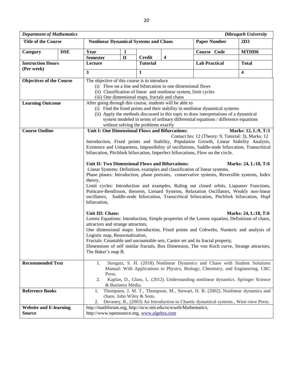| <b>Department of Mathematics</b>       |            | <b>Dibrugarh University</b>                                                                                        |                   |                                                                                                                                                                            |                         |                                                                                                 |                         |  |  |  |
|----------------------------------------|------------|--------------------------------------------------------------------------------------------------------------------|-------------------|----------------------------------------------------------------------------------------------------------------------------------------------------------------------------|-------------------------|-------------------------------------------------------------------------------------------------|-------------------------|--|--|--|
| <b>Title of the Course</b>             |            | <b>Nonlinear Dynamical Systems and Chaos</b>                                                                       |                   |                                                                                                                                                                            |                         | <b>Paper Number</b>                                                                             | 2D3                     |  |  |  |
| Category                               | <b>DSE</b> | Year                                                                                                               | 1                 |                                                                                                                                                                            |                         | Course Code                                                                                     | MTHD6                   |  |  |  |
|                                        |            | <b>Semester</b>                                                                                                    | $\mathbf{I}$      | <b>Credit</b>                                                                                                                                                              | $\overline{\mathbf{4}}$ |                                                                                                 |                         |  |  |  |
| <b>Instruction Hours</b><br>(Per week) |            | Lecture                                                                                                            |                   | <b>Tutorial</b>                                                                                                                                                            |                         | <b>Lab Practical</b>                                                                            | <b>Total</b>            |  |  |  |
|                                        |            | $\overline{\mathbf{3}}$                                                                                            |                   | $\mathbf{1}$                                                                                                                                                               |                         |                                                                                                 | $\overline{\mathbf{4}}$ |  |  |  |
| <b>Objectives of the Course</b>        |            | The objective of this course is to introduce                                                                       |                   |                                                                                                                                                                            |                         |                                                                                                 |                         |  |  |  |
|                                        |            | (i) Flow on a line and bifurcation in one dimensional flows                                                        |                   |                                                                                                                                                                            |                         |                                                                                                 |                         |  |  |  |
|                                        |            | (ii) Classification of linear and nonlinear system, limit cycles<br>(iii) One dimensional maps, fractals and chaos |                   |                                                                                                                                                                            |                         |                                                                                                 |                         |  |  |  |
| <b>Learning Outcome</b>                |            | After going through this course, students will be able to                                                          |                   |                                                                                                                                                                            |                         |                                                                                                 |                         |  |  |  |
|                                        |            |                                                                                                                    |                   |                                                                                                                                                                            |                         | (i) Find the fixed points and their stability in nonlinear dynamical systems                    |                         |  |  |  |
|                                        |            |                                                                                                                    |                   |                                                                                                                                                                            |                         | (ii) Apply the methods discussed in this topic to draw interpretations of a dynamical           |                         |  |  |  |
|                                        |            |                                                                                                                    |                   |                                                                                                                                                                            |                         | system modeled in terms of ordinary differential equations / difference equations               |                         |  |  |  |
| <b>Course Outline</b>                  |            | Unit I: One Dimensional Flows and Bifurcations:                                                                    |                   | without solving the problems exactly                                                                                                                                       |                         |                                                                                                 |                         |  |  |  |
|                                        |            |                                                                                                                    |                   |                                                                                                                                                                            |                         | Contact hrs: 12 (Theory: 9, Tutorial: 3), Marks: 12                                             | Marks: 12, L:9, T:3     |  |  |  |
|                                        |            |                                                                                                                    |                   |                                                                                                                                                                            |                         | Introduction, Fixed points and Stability, Population Growth, Linear Stability Analysis,         |                         |  |  |  |
|                                        |            |                                                                                                                    |                   |                                                                                                                                                                            |                         | Existence and Uniqueness, Impossibility of oscillations, Saddle-node bifurcation, Transcritical |                         |  |  |  |
|                                        |            |                                                                                                                    |                   |                                                                                                                                                                            |                         | bifurcation, Pitchfork bifurcation, Imperfect bifurcations, Flow on the circle.                 |                         |  |  |  |
|                                        |            | Unit II: Two Dimensional Flows and Bifurcations:                                                                   |                   |                                                                                                                                                                            |                         |                                                                                                 | Marks: 24, L:18, T:6    |  |  |  |
|                                        |            |                                                                                                                    |                   |                                                                                                                                                                            |                         | Linear Systems: Definition, examples and classification of linear systems,                      |                         |  |  |  |
|                                        |            |                                                                                                                    |                   |                                                                                                                                                                            |                         | Phase planes: Introduction, phase portraits, conservative systems, Reversible systems, Index    |                         |  |  |  |
|                                        |            | theory,                                                                                                            |                   |                                                                                                                                                                            |                         |                                                                                                 |                         |  |  |  |
|                                        |            |                                                                                                                    |                   |                                                                                                                                                                            |                         | Limit cycles: Introduction and examples, Ruling out closed orbits, Liapunov Functions,          |                         |  |  |  |
|                                        |            | oscillators,                                                                                                       |                   | Poincare-Bendixson, theorem, Lienard Systems, Relaxation Oscillators, Weakly non-linear<br>Saddle-node bifurcation, Transcritical bifurcation, Pitchfork bifurcation, Hopf |                         |                                                                                                 |                         |  |  |  |
|                                        |            | bifurcation,                                                                                                       |                   |                                                                                                                                                                            |                         |                                                                                                 |                         |  |  |  |
|                                        |            |                                                                                                                    |                   |                                                                                                                                                                            |                         |                                                                                                 |                         |  |  |  |
|                                        |            | Unit III: Chaos:                                                                                                   |                   |                                                                                                                                                                            |                         |                                                                                                 | Marks: 24, L:18, T:6    |  |  |  |
|                                        |            | attractors and strange attractors,                                                                                 |                   |                                                                                                                                                                            |                         | Lorenz Equations: Introduction, Simple properties of the Lorenz equation, Definitions of chaos, |                         |  |  |  |
|                                        |            |                                                                                                                    |                   |                                                                                                                                                                            |                         | One dimensional maps: Introduction, Fixed points and Cobwebs, Numeric and analysis of           |                         |  |  |  |
|                                        |            | Logistic map, Renormalization,                                                                                     |                   |                                                                                                                                                                            |                         |                                                                                                 |                         |  |  |  |
|                                        |            |                                                                                                                    |                   |                                                                                                                                                                            |                         | Fractals: Countable and uncountable sets, Cantor set and its fractal property,                  |                         |  |  |  |
|                                        |            |                                                                                                                    |                   |                                                                                                                                                                            |                         | Dimensions of self similar fractals, Box Dimension, The von Koch curve, Strange attractors,     |                         |  |  |  |
|                                        |            | The Baker's map B.                                                                                                 |                   |                                                                                                                                                                            |                         |                                                                                                 |                         |  |  |  |
| <b>Recommended Text</b>                |            | 1.                                                                                                                 |                   |                                                                                                                                                                            |                         | Strogatz, S. H. (2018). Nonlinear Dynamics and Chaos with Student Solutions                     |                         |  |  |  |
|                                        |            |                                                                                                                    |                   |                                                                                                                                                                            |                         | Manual: With Applications to Physics, Biology, Chemistry, and Engineering. CRC                  |                         |  |  |  |
|                                        |            | Press.                                                                                                             |                   |                                                                                                                                                                            |                         |                                                                                                 |                         |  |  |  |
|                                        |            | 2.                                                                                                                 | & Business Media. |                                                                                                                                                                            |                         | Kaplan, D., Glass, L. (2012). Understanding nonlinear dynamics. Springer Science                |                         |  |  |  |
| <b>Reference Books</b>                 |            | 1.                                                                                                                 |                   |                                                                                                                                                                            |                         | Thompson, J. M. T., Thompson, M., Stewart, H. B. (2002). Nonlinear dynamics and                 |                         |  |  |  |
|                                        |            |                                                                                                                    |                   | chaos. John Wiley & Sons.                                                                                                                                                  |                         |                                                                                                 |                         |  |  |  |
|                                        |            | 2.                                                                                                                 |                   |                                                                                                                                                                            |                         | Devaney, R., (2003) An Introduction to Chaotic dynamical systems., West-view Press.             |                         |  |  |  |
| <b>Website and E-learning</b>          |            | http://mathforum.org, http://ocw.mit.edu/ocwweb/Mathematics,                                                       |                   |                                                                                                                                                                            |                         |                                                                                                 |                         |  |  |  |
| <b>Source</b>                          |            | http://www.opensource.org, www.algebra.com                                                                         |                   |                                                                                                                                                                            |                         |                                                                                                 |                         |  |  |  |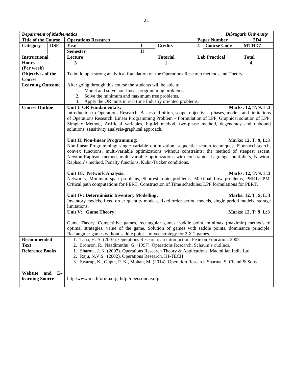| <b>Department of Mathematics</b> |             |                                                                                                                                                                                                    |                                                                                                                                                                                                                  |                 |   |                      | <b>Dibrugarh University</b> |  |  |  |  |
|----------------------------------|-------------|----------------------------------------------------------------------------------------------------------------------------------------------------------------------------------------------------|------------------------------------------------------------------------------------------------------------------------------------------------------------------------------------------------------------------|-----------------|---|----------------------|-----------------------------|--|--|--|--|
| <b>Title of the Course</b>       |             | <b>Operations Research</b>                                                                                                                                                                         |                                                                                                                                                                                                                  |                 |   | <b>Paper Number</b>  | 2D4                         |  |  |  |  |
| Category                         | <b>DSE</b>  | Year                                                                                                                                                                                               | 1                                                                                                                                                                                                                | <b>Credits</b>  | 4 | <b>Course Code</b>   | MTHD7                       |  |  |  |  |
|                                  |             | <b>Semester</b>                                                                                                                                                                                    | $\mathbf{I}$                                                                                                                                                                                                     |                 |   |                      |                             |  |  |  |  |
| <b>Instructional</b>             |             | Lecture                                                                                                                                                                                            |                                                                                                                                                                                                                  | <b>Tutorial</b> |   | <b>Lab Practical</b> | <b>Total</b>                |  |  |  |  |
| <b>Hours</b>                     |             | 3                                                                                                                                                                                                  |                                                                                                                                                                                                                  | 1               |   |                      | 4                           |  |  |  |  |
| (Per week)                       |             |                                                                                                                                                                                                    |                                                                                                                                                                                                                  |                 |   |                      |                             |  |  |  |  |
| Objectives of the                |             | To build up a strong analytical foundation of the Operations Research methods and Theory                                                                                                           |                                                                                                                                                                                                                  |                 |   |                      |                             |  |  |  |  |
| Course                           |             |                                                                                                                                                                                                    |                                                                                                                                                                                                                  |                 |   |                      |                             |  |  |  |  |
| <b>Learning Outcome</b>          |             | After going through this course the students will be able to                                                                                                                                       |                                                                                                                                                                                                                  |                 |   |                      |                             |  |  |  |  |
|                                  |             | 1. Model and solve non-linear programming problems.                                                                                                                                                |                                                                                                                                                                                                                  |                 |   |                      |                             |  |  |  |  |
|                                  |             | Solve the minimum and maximum tree problems.                                                                                                                                                       |                                                                                                                                                                                                                  |                 |   |                      |                             |  |  |  |  |
|                                  |             | 3. Apply the OR tools in real time Industry oriented problems.                                                                                                                                     |                                                                                                                                                                                                                  |                 |   |                      |                             |  |  |  |  |
| <b>Course Outline</b>            |             | <b>Unit I: OR Fundamentals:</b>                                                                                                                                                                    |                                                                                                                                                                                                                  |                 |   |                      | Marks: 12, T: 9, L:3        |  |  |  |  |
|                                  |             |                                                                                                                                                                                                    | Introduction to Operations Research: Basics definition, scope, objectives, phases, models and limitations<br>of Operations Research. Linear Programming Problem – Formulation of LPP, Graphical solution of LPP. |                 |   |                      |                             |  |  |  |  |
|                                  |             |                                                                                                                                                                                                    | Simplex Method, Artificial variables, big-M method, two-phase method, degeneracy and unbound                                                                                                                     |                 |   |                      |                             |  |  |  |  |
|                                  |             | solutions, sensitivity analysis-graphical approach.                                                                                                                                                |                                                                                                                                                                                                                  |                 |   |                      |                             |  |  |  |  |
|                                  |             |                                                                                                                                                                                                    |                                                                                                                                                                                                                  |                 |   |                      |                             |  |  |  |  |
|                                  |             | Unit II: Non-linear Programming:                                                                                                                                                                   |                                                                                                                                                                                                                  |                 |   |                      | Marks: 12, T: 9, L:3        |  |  |  |  |
|                                  |             | Non-linear Programming: single variable optimization, sequential search techniques, Fibonacci search,                                                                                              |                                                                                                                                                                                                                  |                 |   |                      |                             |  |  |  |  |
|                                  |             | convex functions, multi-variable optimizations without constraints: the method of steepest ascent,                                                                                                 |                                                                                                                                                                                                                  |                 |   |                      |                             |  |  |  |  |
|                                  |             | Newton-Raphson method, multi-variable optimizations with constraints: Lagrange multipliers, Newton-                                                                                                |                                                                                                                                                                                                                  |                 |   |                      |                             |  |  |  |  |
|                                  |             | Raphson's method, Penalty functions, Kuhn-Tucker conditions.                                                                                                                                       |                                                                                                                                                                                                                  |                 |   |                      |                             |  |  |  |  |
|                                  |             |                                                                                                                                                                                                    |                                                                                                                                                                                                                  |                 |   |                      |                             |  |  |  |  |
|                                  |             | Unit III: Network Analysis:                                                                                                                                                                        |                                                                                                                                                                                                                  |                 |   |                      | Marks: 12, T: 9, L:3        |  |  |  |  |
|                                  |             | Networks, Minimum-span problems, Shortest route problems, Maximal flow problems, PERT/CPM.                                                                                                         |                                                                                                                                                                                                                  |                 |   |                      |                             |  |  |  |  |
|                                  |             | Critical path computations for PERT, Construction of Time schedules. LPP formulations for PERT.                                                                                                    |                                                                                                                                                                                                                  |                 |   |                      |                             |  |  |  |  |
|                                  |             |                                                                                                                                                                                                    |                                                                                                                                                                                                                  |                 |   |                      |                             |  |  |  |  |
|                                  |             | Unit IV: Deterministic Inventory Modelling:                                                                                                                                                        |                                                                                                                                                                                                                  |                 |   |                      | Marks: 12, T: 9, L:3        |  |  |  |  |
|                                  |             | Inventory models, fixed order quantity models, fixed order period models, single period models, storage                                                                                            |                                                                                                                                                                                                                  |                 |   |                      |                             |  |  |  |  |
|                                  |             | limitations.                                                                                                                                                                                       |                                                                                                                                                                                                                  |                 |   |                      |                             |  |  |  |  |
|                                  |             | Unit V: Game Theory:                                                                                                                                                                               |                                                                                                                                                                                                                  |                 |   |                      | Marks: 12, T: 9, L:3        |  |  |  |  |
|                                  |             |                                                                                                                                                                                                    |                                                                                                                                                                                                                  |                 |   |                      |                             |  |  |  |  |
|                                  |             | Game Theory. Competitive games, rectangular games, saddle point, minimax (maximin) methods of<br>optimal strategies, value of the game. Solution of games with saddle points, dominance principle. |                                                                                                                                                                                                                  |                 |   |                      |                             |  |  |  |  |
|                                  |             | Rectangular games without saddle point – mixed strategy for $2 \times 2$ games.                                                                                                                    |                                                                                                                                                                                                                  |                 |   |                      |                             |  |  |  |  |
| Recommended                      |             | 1. Taha, H. A. (2007). Operations Research: an introduction. Pearson Education, 2007.                                                                                                              |                                                                                                                                                                                                                  |                 |   |                      |                             |  |  |  |  |
| <b>Text</b>                      |             | 2. Bronson, R., Naadimuthu, G. (1997). Operations Research, Schaum's outlines.                                                                                                                     |                                                                                                                                                                                                                  |                 |   |                      |                             |  |  |  |  |
| <b>Reference Books</b>           |             |                                                                                                                                                                                                    | 1. Sharma, J. K. (2007). Operations Research Theory & Applications. Macmillan India Ltd.                                                                                                                         |                 |   |                      |                             |  |  |  |  |
|                                  |             | 2. Raju, N.V.S. (2002). Operations Research. HI-TECH.                                                                                                                                              |                                                                                                                                                                                                                  |                 |   |                      |                             |  |  |  |  |
|                                  |             | 3. Swarup, K., Gupta, P. K., Mohan, M. (2014). Operation Research. Sharma, S. Chand & Sons.                                                                                                        |                                                                                                                                                                                                                  |                 |   |                      |                             |  |  |  |  |
|                                  |             |                                                                                                                                                                                                    |                                                                                                                                                                                                                  |                 |   |                      |                             |  |  |  |  |
| Website                          | $E-$<br>and |                                                                                                                                                                                                    |                                                                                                                                                                                                                  |                 |   |                      |                             |  |  |  |  |
| learning Source                  |             | http:/www.mathforum.org, http:/opensource.org                                                                                                                                                      |                                                                                                                                                                                                                  |                 |   |                      |                             |  |  |  |  |
|                                  |             |                                                                                                                                                                                                    |                                                                                                                                                                                                                  |                 |   |                      |                             |  |  |  |  |
|                                  |             |                                                                                                                                                                                                    |                                                                                                                                                                                                                  |                 |   |                      |                             |  |  |  |  |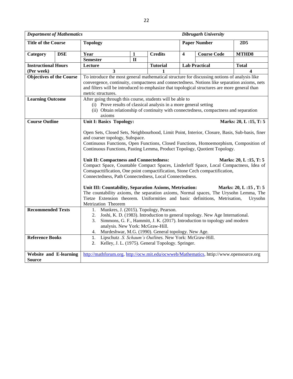| <b>Department of Mathematics</b><br><b>Dibrugarh University</b>                                 |            |                                                                                                                                                  |              |                                                         |                         |                                                                               |                       |  |  |  |
|-------------------------------------------------------------------------------------------------|------------|--------------------------------------------------------------------------------------------------------------------------------------------------|--------------|---------------------------------------------------------|-------------------------|-------------------------------------------------------------------------------|-----------------------|--|--|--|
| <b>Title of the Course</b>                                                                      |            | <b>Topology</b>                                                                                                                                  |              |                                                         |                         | <b>Paper Number</b>                                                           | 2D <sub>5</sub>       |  |  |  |
| Category                                                                                        | <b>DSE</b> | Year                                                                                                                                             | 1            | <b>Credits</b>                                          | $\overline{\mathbf{4}}$ | <b>Course Code</b>                                                            | MTHD8                 |  |  |  |
|                                                                                                 |            | <b>Semester</b>                                                                                                                                  | $\mathbf{I}$ |                                                         |                         |                                                                               |                       |  |  |  |
| <b>Instructional Hours</b>                                                                      |            | Lecture                                                                                                                                          |              | <b>Tutorial</b>                                         |                         | <b>Lab Practical</b>                                                          | <b>Total</b>          |  |  |  |
| (Per week)                                                                                      |            | 3                                                                                                                                                |              |                                                         |                         |                                                                               | 4                     |  |  |  |
| <b>Objectives of the Course</b>                                                                 |            | To introduce the most general mathematical structure for discussing notions of analysis like                                                     |              |                                                         |                         |                                                                               |                       |  |  |  |
|                                                                                                 |            | convergence, continuity, compactness and connectedness. Notions like separation axioms, nets                                                     |              |                                                         |                         |                                                                               |                       |  |  |  |
|                                                                                                 |            | and filters will be introduced to emphasize that topological structures are more general than                                                    |              |                                                         |                         |                                                                               |                       |  |  |  |
|                                                                                                 |            | metric structures.<br>After going through this course, students will be able to                                                                  |              |                                                         |                         |                                                                               |                       |  |  |  |
| <b>Learning Outcome</b>                                                                         |            |                                                                                                                                                  |              |                                                         |                         |                                                                               |                       |  |  |  |
|                                                                                                 |            | (i) Prove results of classical analysis in a more general setting                                                                                |              |                                                         |                         |                                                                               |                       |  |  |  |
| (ii) Obtain relationship of continuity with connectedness, compactness and separation<br>axioms |            |                                                                                                                                                  |              |                                                         |                         |                                                                               |                       |  |  |  |
| <b>Course Outline</b>                                                                           |            | <b>Unit I: Basics Topology:</b>                                                                                                                  |              |                                                         |                         |                                                                               | Marks: 20, L:15, T:5  |  |  |  |
|                                                                                                 |            |                                                                                                                                                  |              |                                                         |                         |                                                                               |                       |  |  |  |
|                                                                                                 |            | Open Sets, Closed Sets, Neighbourhood, Limit Point, Interior, Closure, Basis, Sub-basis, finer                                                   |              |                                                         |                         |                                                                               |                       |  |  |  |
|                                                                                                 |            | and coarser topology, Subspace.                                                                                                                  |              |                                                         |                         |                                                                               |                       |  |  |  |
|                                                                                                 |            | Continuous Functions, Open Functions, Closed Functions, Homoemorphism, Composition of                                                            |              |                                                         |                         |                                                                               |                       |  |  |  |
|                                                                                                 |            | Continuous Functions, Pasting Lemma, Product Topology, Quotient Topology.                                                                        |              |                                                         |                         |                                                                               |                       |  |  |  |
|                                                                                                 |            |                                                                                                                                                  |              |                                                         |                         |                                                                               |                       |  |  |  |
|                                                                                                 |            | Unit II: Compactness and Connectedness:                                                                                                          |              |                                                         |                         |                                                                               | Marks: 20, L:15, T: 5 |  |  |  |
|                                                                                                 |            | Compact Space, Countable Compact Spaces, Linderloff Space, Local Compactness, Idea of                                                            |              |                                                         |                         |                                                                               |                       |  |  |  |
|                                                                                                 |            | Comapacttification, One point compactification, Stone Cech compactification,                                                                     |              |                                                         |                         |                                                                               |                       |  |  |  |
|                                                                                                 |            | Connectedness, Path Connectedness, Local Connectedness.                                                                                          |              |                                                         |                         |                                                                               |                       |  |  |  |
|                                                                                                 |            |                                                                                                                                                  |              |                                                         |                         |                                                                               | Marks: 20, L:15, T: 5 |  |  |  |
|                                                                                                 |            | Unit III: Countability, Separation Axioms, Metrisation:<br>The countability axioms, the separation axioms, Normal spaces, The Urysohn Lemma, The |              |                                                         |                         |                                                                               |                       |  |  |  |
|                                                                                                 |            | Tietze Extension theorem. Uniformities and basic definitions, Metrisation,                                                                       |              |                                                         |                         |                                                                               | Urysohn               |  |  |  |
|                                                                                                 |            | Metrization Theorem                                                                                                                              |              |                                                         |                         |                                                                               |                       |  |  |  |
| <b>Recommended Texts</b>                                                                        |            | Munkres, J. (2015). Topology, Pearson.<br>1.                                                                                                     |              |                                                         |                         |                                                                               |                       |  |  |  |
|                                                                                                 |            | 2.                                                                                                                                               |              |                                                         |                         | Joshi, K. D. (1983). Introduction to general topology. New Age International. |                       |  |  |  |
|                                                                                                 |            | 3.                                                                                                                                               |              |                                                         |                         | Simmons, G. F., Hammitt, J. K. (2017). Introduction to topology and modern    |                       |  |  |  |
|                                                                                                 |            | analysis. New York: McGraw-Hill.                                                                                                                 |              |                                                         |                         |                                                                               |                       |  |  |  |
|                                                                                                 |            | 4.                                                                                                                                               |              | Murdeshwar, M.G. (1990). General topology. New Age.     |                         |                                                                               |                       |  |  |  |
| <b>Reference Books</b>                                                                          |            | 1.                                                                                                                                               |              | Lipschutz .S. Schaum's Outlines. New York: McGraw-Hill. |                         |                                                                               |                       |  |  |  |
|                                                                                                 |            | Kelley, J. L. (1975). General Topology. Springer.<br>2.                                                                                          |              |                                                         |                         |                                                                               |                       |  |  |  |
|                                                                                                 |            |                                                                                                                                                  |              |                                                         |                         |                                                                               |                       |  |  |  |
| <b>Website and E-learning</b>                                                                   |            | http://mathforum.org, http://ocw.mit.edu/ocwweb/Mathematics, httip://www.opensource.org                                                          |              |                                                         |                         |                                                                               |                       |  |  |  |
| <b>Source</b>                                                                                   |            |                                                                                                                                                  |              |                                                         |                         |                                                                               |                       |  |  |  |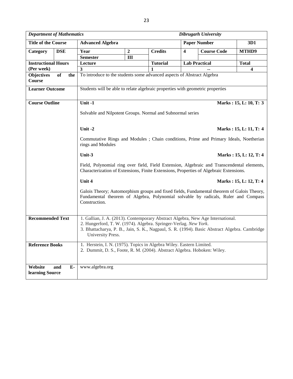| <b>Department of Mathematics</b> |                                                |                                                                                                                                                                                                                                                                           |                        |                 |                         | Dibrugarh University |                        |  |  |  |
|----------------------------------|------------------------------------------------|---------------------------------------------------------------------------------------------------------------------------------------------------------------------------------------------------------------------------------------------------------------------------|------------------------|-----------------|-------------------------|----------------------|------------------------|--|--|--|
| <b>Title of the Course</b>       | <b>Paper Number</b><br><b>Advanced Algebra</b> |                                                                                                                                                                                                                                                                           |                        |                 |                         |                      | 3D1                    |  |  |  |
| Category                         | <b>DSE</b>                                     | Year                                                                                                                                                                                                                                                                      | $\overline{2}$         | <b>Credits</b>  | $\overline{\mathbf{4}}$ | <b>Course Code</b>   | MTHD9                  |  |  |  |
|                                  |                                                | <b>Semester</b>                                                                                                                                                                                                                                                           | III                    |                 |                         |                      |                        |  |  |  |
| <b>Instructional Hours</b>       |                                                | Lecture                                                                                                                                                                                                                                                                   |                        | <b>Tutorial</b> |                         | <b>Lab Practical</b> | <b>Total</b>           |  |  |  |
| (Per week)                       |                                                | 3                                                                                                                                                                                                                                                                         |                        |                 |                         |                      | 4                      |  |  |  |
| <b>Objectives</b><br>Course      | $\overline{of}$<br>the                         | To introduce to the students some advanced aspects of Abstract Algebra                                                                                                                                                                                                    |                        |                 |                         |                      |                        |  |  |  |
| <b>Learner Outcome</b>           |                                                | Students will be able to relate algebraic properties with geometric properties                                                                                                                                                                                            |                        |                 |                         |                      |                        |  |  |  |
| <b>Course Outline</b>            |                                                | Unit -1                                                                                                                                                                                                                                                                   | Marks: 15, L: 10, T: 3 |                 |                         |                      |                        |  |  |  |
|                                  |                                                | Solvable and Nilpotent Groups. Normal and Subnormal series                                                                                                                                                                                                                |                        |                 |                         |                      |                        |  |  |  |
|                                  |                                                | Unit-2                                                                                                                                                                                                                                                                    |                        |                 |                         |                      | Marks: 15, L: 11, T: 4 |  |  |  |
|                                  |                                                | Commutative Rings and Modules ; Chain conditions, Prime and Primary Ideals, Noetherian<br>rings and Modules                                                                                                                                                               |                        |                 |                         |                      |                        |  |  |  |
|                                  |                                                | Unit-3                                                                                                                                                                                                                                                                    |                        |                 |                         |                      | Marks: 15, L: 12, T: 4 |  |  |  |
|                                  |                                                | Field, Polynomial ring over field, Field Extension, Algebraic and Transcendental elements,<br>Characterization of Extensions, Finite Extensions, Properties of Algebraic Extensions.                                                                                      |                        |                 |                         |                      |                        |  |  |  |
|                                  |                                                | Unit 4                                                                                                                                                                                                                                                                    |                        |                 |                         |                      | Marks: 15, L: 12, T: 4 |  |  |  |
|                                  |                                                | Galois Theory; Automorphism groups and fixed fields, Fundamental theorem of Galois Theory,<br>Fundamental theorem of Algebra, Polynomial solvable by radicals, Ruler and Compass<br>Construction.                                                                         |                        |                 |                         |                      |                        |  |  |  |
| <b>Recommended Text</b>          |                                                | 1. Gallian, J. A. (2013). Contemporary Abstract Algebra, New Age International.<br>2. Hungerford, T. W. (1974). Algebra. Springer-Verlag. New York.<br>3. Bhattacharya, P. B., Jain, S. K., Nagpaul, S. R. (1994). Basic Abstract Algebra. Cambridge<br>University Press. |                        |                 |                         |                      |                        |  |  |  |
| <b>Reference Books</b>           |                                                | 1. Herstein, I. N. (1975). Topics in Algebra Wiley. Eastern Limited.<br>2. Dummit, D. S., Foote, R. M. (2004). Abstract Algebra. Hoboken: Wiley.                                                                                                                          |                        |                 |                         |                      |                        |  |  |  |
| Website<br>learning Source       | and<br>Е-                                      | www.algebra.org                                                                                                                                                                                                                                                           |                        |                 |                         |                      |                        |  |  |  |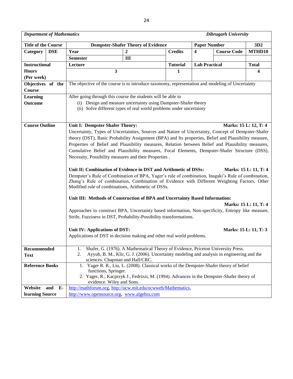ヿ

| <b>Title of the Course</b>  |             |                                                                                                                                                                                                                                                                                                                                                                                                                                                                                                                                                                                                                                                                                                                                                                                                                                                                                                                                                                                                         | <b>Dempster-Shafer Theory of Evidence</b>                                                                                                                                |                 |                                                                                |  | 3D2                   |  |  |  |  |
|-----------------------------|-------------|---------------------------------------------------------------------------------------------------------------------------------------------------------------------------------------------------------------------------------------------------------------------------------------------------------------------------------------------------------------------------------------------------------------------------------------------------------------------------------------------------------------------------------------------------------------------------------------------------------------------------------------------------------------------------------------------------------------------------------------------------------------------------------------------------------------------------------------------------------------------------------------------------------------------------------------------------------------------------------------------------------|--------------------------------------------------------------------------------------------------------------------------------------------------------------------------|-----------------|--------------------------------------------------------------------------------|--|-----------------------|--|--|--|--|
| Category                    | <b>DSE</b>  | Year                                                                                                                                                                                                                                                                                                                                                                                                                                                                                                                                                                                                                                                                                                                                                                                                                                                                                                                                                                                                    | 2                                                                                                                                                                        | <b>Credits</b>  | <b>Paper Number</b><br><b>Course Code</b><br>$\overline{\mathbf{4}}$<br>MTHD10 |  |                       |  |  |  |  |
|                             |             | <b>Semester</b>                                                                                                                                                                                                                                                                                                                                                                                                                                                                                                                                                                                                                                                                                                                                                                                                                                                                                                                                                                                         | Ш                                                                                                                                                                        |                 |                                                                                |  |                       |  |  |  |  |
| <b>Instructional</b>        |             | Lecture                                                                                                                                                                                                                                                                                                                                                                                                                                                                                                                                                                                                                                                                                                                                                                                                                                                                                                                                                                                                 |                                                                                                                                                                          | <b>Tutorial</b> | <b>Lab Practical</b>                                                           |  | <b>Total</b>          |  |  |  |  |
| <b>Hours</b>                |             |                                                                                                                                                                                                                                                                                                                                                                                                                                                                                                                                                                                                                                                                                                                                                                                                                                                                                                                                                                                                         | $\mathbf{3}$                                                                                                                                                             | 1               |                                                                                |  | 4                     |  |  |  |  |
| (Per week)                  |             |                                                                                                                                                                                                                                                                                                                                                                                                                                                                                                                                                                                                                                                                                                                                                                                                                                                                                                                                                                                                         |                                                                                                                                                                          |                 |                                                                                |  |                       |  |  |  |  |
| Objectives of the<br>Course |             | The objective of the course is to introduce taxonomy, representation and modeling of Uncertainty                                                                                                                                                                                                                                                                                                                                                                                                                                                                                                                                                                                                                                                                                                                                                                                                                                                                                                        |                                                                                                                                                                          |                 |                                                                                |  |                       |  |  |  |  |
| <b>Learning</b>             |             |                                                                                                                                                                                                                                                                                                                                                                                                                                                                                                                                                                                                                                                                                                                                                                                                                                                                                                                                                                                                         | After going through this course the students will be able to                                                                                                             |                 |                                                                                |  |                       |  |  |  |  |
| Outcome                     |             |                                                                                                                                                                                                                                                                                                                                                                                                                                                                                                                                                                                                                                                                                                                                                                                                                                                                                                                                                                                                         | (i) Design and measure uncertainty using Dampster-Shafer theory<br>(ii) Solve different types of real world problems under uncertainty                                   |                 |                                                                                |  |                       |  |  |  |  |
| <b>Course Outline</b>       |             | Unit I: Dempster Shafer Theory:<br>Marks: 15 L: 12, T: 4<br>Uncertainty, Types of Uncertainties, Sources and Nature of Uncertainty, Concept of Dempster-Shafer<br>theory (DST), Basic Probability Assignment (BPA) and Its properties, Belief and Plausibility measure,<br>Properties of Belief and Plausibility measures, Relation between Belief and Plausibility measures,<br>Cumulative Belief and Plausibility measures, Focal Elements, Dempster-Shafer Structure (DSS),<br>Necessity, Possibility measures and their Properties.<br>Unit II: Combination of Evidence in DST and Arithmetic of DSSs:<br>Marks: 15 L: 11, T: 4<br>Dempster's Rule of Combination of BPA, Yager's rule of combination, Inagaki's Rule of combination,<br>Zhang's Rule of combination, Combination of Evidence with Different Weighting Factors, Other<br>Modified rule of combinations, Arithmetic of DSSs.<br>Unit III: Methods of Construction of BPA and Uncertainty Based Information:<br>Marks: 15 L: 11, T: 4 |                                                                                                                                                                          |                 |                                                                                |  |                       |  |  |  |  |
|                             |             | Unit IV: Applications of DST:                                                                                                                                                                                                                                                                                                                                                                                                                                                                                                                                                                                                                                                                                                                                                                                                                                                                                                                                                                           | Approaches to construct BPA, Uncertainty based information, Non-specificity, Entropy like measure,<br>Strife, Fuzziness in DST, Probability-Possibility transformations. |                 |                                                                                |  | Marks: 15 L: 11, T: 3 |  |  |  |  |
|                             |             |                                                                                                                                                                                                                                                                                                                                                                                                                                                                                                                                                                                                                                                                                                                                                                                                                                                                                                                                                                                                         | Applications of DST in decision making and other real world problems.                                                                                                    |                 |                                                                                |  |                       |  |  |  |  |
| Recommended<br><b>Text</b>  |             | Shafer, G. (1976). A Mathematical Theory of Evidence, Priceton University Press.<br>1.<br>Ayyub, B. M., Klir, G. J. (2006). Uncertainty modeling and analysis in engineering and the<br>2.<br>sciences. Chapman and Hall/CRC.                                                                                                                                                                                                                                                                                                                                                                                                                                                                                                                                                                                                                                                                                                                                                                           |                                                                                                                                                                          |                 |                                                                                |  |                       |  |  |  |  |
| <b>Reference Books</b>      |             | 1. Yager R. R., Liu, L. (2008). Classical works of the Dempster-Shafer theory of belief<br>functions, Springer.<br>2. Yager, R., Kacprzyk J., Fedrizzi, M. (1994). Advances in the Dempster-Shafer theory of<br>evidence. Wiley and Sons.                                                                                                                                                                                                                                                                                                                                                                                                                                                                                                                                                                                                                                                                                                                                                               |                                                                                                                                                                          |                 |                                                                                |  |                       |  |  |  |  |
| Website                     | and<br>$E-$ |                                                                                                                                                                                                                                                                                                                                                                                                                                                                                                                                                                                                                                                                                                                                                                                                                                                                                                                                                                                                         | http://mathforum.org. http://ocw.mit.edu/ocwweb/Mathematics.                                                                                                             |                 |                                                                                |  |                       |  |  |  |  |
| learning Source             |             |                                                                                                                                                                                                                                                                                                                                                                                                                                                                                                                                                                                                                                                                                                                                                                                                                                                                                                                                                                                                         | http://www.opensource.org, www.algebra.com                                                                                                                               |                 |                                                                                |  |                       |  |  |  |  |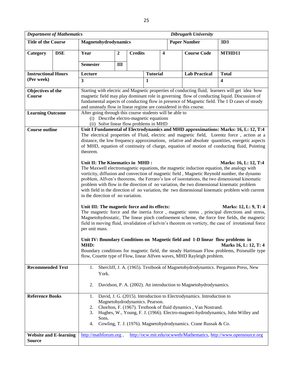|                                                | <b>Department of Mathematics</b><br><b>Dibrugarh University</b> |                                                                                                                                                                                                                                                                                                                                                                                                                                 |                                                                                                                                                                                                                      |                |                 |                            |                                                                                                                                                          |                                                                                                                                                                                                                                                                                                                                                                                                                                                                                                                                                                                                                                                                                                                                                                                                                                                                                                                                                                                                                                                                                                                                                                                                                                                                                                                                                                      |  |  |  |
|------------------------------------------------|-----------------------------------------------------------------|---------------------------------------------------------------------------------------------------------------------------------------------------------------------------------------------------------------------------------------------------------------------------------------------------------------------------------------------------------------------------------------------------------------------------------|----------------------------------------------------------------------------------------------------------------------------------------------------------------------------------------------------------------------|----------------|-----------------|----------------------------|----------------------------------------------------------------------------------------------------------------------------------------------------------|----------------------------------------------------------------------------------------------------------------------------------------------------------------------------------------------------------------------------------------------------------------------------------------------------------------------------------------------------------------------------------------------------------------------------------------------------------------------------------------------------------------------------------------------------------------------------------------------------------------------------------------------------------------------------------------------------------------------------------------------------------------------------------------------------------------------------------------------------------------------------------------------------------------------------------------------------------------------------------------------------------------------------------------------------------------------------------------------------------------------------------------------------------------------------------------------------------------------------------------------------------------------------------------------------------------------------------------------------------------------|--|--|--|
| <b>Title of the Course</b>                     |                                                                 | Magnetohydrodynamics                                                                                                                                                                                                                                                                                                                                                                                                            |                                                                                                                                                                                                                      |                |                 | <b>Paper Number</b><br>3D3 |                                                                                                                                                          |                                                                                                                                                                                                                                                                                                                                                                                                                                                                                                                                                                                                                                                                                                                                                                                                                                                                                                                                                                                                                                                                                                                                                                                                                                                                                                                                                                      |  |  |  |
| Category                                       | <b>DSE</b>                                                      | Year                                                                                                                                                                                                                                                                                                                                                                                                                            | $\overline{2}$                                                                                                                                                                                                       | <b>Credits</b> |                 | 4                          | <b>Course Code</b>                                                                                                                                       | MTHD11                                                                                                                                                                                                                                                                                                                                                                                                                                                                                                                                                                                                                                                                                                                                                                                                                                                                                                                                                                                                                                                                                                                                                                                                                                                                                                                                                               |  |  |  |
|                                                |                                                                 | <b>Semester</b>                                                                                                                                                                                                                                                                                                                                                                                                                 | Ш                                                                                                                                                                                                                    |                |                 |                            |                                                                                                                                                          |                                                                                                                                                                                                                                                                                                                                                                                                                                                                                                                                                                                                                                                                                                                                                                                                                                                                                                                                                                                                                                                                                                                                                                                                                                                                                                                                                                      |  |  |  |
| <b>Instructional Hours</b>                     |                                                                 | Lecture                                                                                                                                                                                                                                                                                                                                                                                                                         |                                                                                                                                                                                                                      |                | <b>Tutorial</b> |                            | <b>Lab Practical</b>                                                                                                                                     | <b>Total</b>                                                                                                                                                                                                                                                                                                                                                                                                                                                                                                                                                                                                                                                                                                                                                                                                                                                                                                                                                                                                                                                                                                                                                                                                                                                                                                                                                         |  |  |  |
| (Per week)                                     |                                                                 | $\overline{\mathbf{3}}$<br>4<br>1                                                                                                                                                                                                                                                                                                                                                                                               |                                                                                                                                                                                                                      |                |                 |                            |                                                                                                                                                          |                                                                                                                                                                                                                                                                                                                                                                                                                                                                                                                                                                                                                                                                                                                                                                                                                                                                                                                                                                                                                                                                                                                                                                                                                                                                                                                                                                      |  |  |  |
| Objectives of the<br>Course                    |                                                                 | Starting with electric and Magnetic properties of conducting fluid, learners will get idea how<br>magnetic field may play dominant role in governing flow of conducting liquid. Discussion of<br>fundamental aspects of conducting flow in presence of Magnetic field. The 1 D cases of steady<br>and unsteady flow in linear regime are considered in this course.<br>After going through this course students will be able to |                                                                                                                                                                                                                      |                |                 |                            |                                                                                                                                                          |                                                                                                                                                                                                                                                                                                                                                                                                                                                                                                                                                                                                                                                                                                                                                                                                                                                                                                                                                                                                                                                                                                                                                                                                                                                                                                                                                                      |  |  |  |
| <b>Learning Outcome</b>                        |                                                                 | (i) Describe electro-magnetic equations<br>(ii) Solve linear flow problems in MHD                                                                                                                                                                                                                                                                                                                                               |                                                                                                                                                                                                                      |                |                 |                            |                                                                                                                                                          |                                                                                                                                                                                                                                                                                                                                                                                                                                                                                                                                                                                                                                                                                                                                                                                                                                                                                                                                                                                                                                                                                                                                                                                                                                                                                                                                                                      |  |  |  |
| <b>Course outline</b>                          |                                                                 | theorem.<br>Unit II: The Kinematics in MHD:<br>in the direction of no variation.<br>Unit III: The magnetic force and its effects:<br>per unit mass.<br>MHD:                                                                                                                                                                                                                                                                     |                                                                                                                                                                                                                      |                |                 |                            | Unit IV: Boundary Conditions on Magnetic field and 1-D linear flow problems in<br>flow, Couette type of Flow, linear Alfven waves, MHD Rayleigh problem. | Unit I: Fundamental of Electrodynamics and MHD approximations: Marks: 16, L: 12, T:4<br>The electrical properties of Fluid, electric and magnetic field, Lorentz force, action at a<br>distance, the low frequency approximations, relative and absolute quantities, energetic aspects<br>of MHD, equation of continuity of charge, equation of motion of conducting fluid, Pointing<br>Marks: 16, L: 12, T:4<br>The Maxwell electromagnetic equations, the magnetic induction equation, the analogy with<br>vorticity, diffusion and convection of magnetic field, Magnetic Reynold number, the dynamo<br>problem, Alfven's theorems, the Ferraro's law of isorotations, the two dimensional kinematic<br>problem with flow in the direction of no variation, the two dimensional kinematic problem<br>with field in the direction of no variation, the two dimensional kinematic problem with current<br>Marks: 12, L: 9, T: 4<br>The magnetic force and the inertia force, magnetic stress, principal directions and stress,<br>Magnetohydrostatic, The linear pinch confinement scheme, the force free fields, the magnetic<br>field in moving fluid, invalidation of kelvin's theorem on vorticty, the case of irrotational force<br><b>Marks 16, L: 12, T: 4</b><br>Boundary conditions for magnetic field, the steady Hartmaan Flow problems, Poiseuille type |  |  |  |
| <b>Recommended Text</b>                        |                                                                 | Shercliff, J. A. (1965). Textbook of Magnetohydrodynamics. Pergamon Press, New<br>1.<br>York.<br>Davidson, P. A. (2002). An introduction to Magnetohydrodynamics.<br>2.                                                                                                                                                                                                                                                         |                                                                                                                                                                                                                      |                |                 |                            |                                                                                                                                                          |                                                                                                                                                                                                                                                                                                                                                                                                                                                                                                                                                                                                                                                                                                                                                                                                                                                                                                                                                                                                                                                                                                                                                                                                                                                                                                                                                                      |  |  |  |
| <b>Reference Books</b>                         |                                                                 | David, J. G. (2015). Introduction to Electrodynamics. Introduction to<br>1.<br>Magnetohydrodynamics. Pearson.                                                                                                                                                                                                                                                                                                                   |                                                                                                                                                                                                                      |                |                 |                            |                                                                                                                                                          |                                                                                                                                                                                                                                                                                                                                                                                                                                                                                                                                                                                                                                                                                                                                                                                                                                                                                                                                                                                                                                                                                                                                                                                                                                                                                                                                                                      |  |  |  |
|                                                |                                                                 | 2.<br>3.<br>Sons.<br>4.                                                                                                                                                                                                                                                                                                                                                                                                         | Chorlton, F. (1967). Textbook of fluid dynamics, Van Nostrand.<br>Hughes, W., Young, F. J. (1966). Electro-magneti-hydrodynamics, John Willey and<br>Cowling, T. J. (1976). Magnetohydrodynamics. Crane Russak & Co. |                |                 |                            |                                                                                                                                                          |                                                                                                                                                                                                                                                                                                                                                                                                                                                                                                                                                                                                                                                                                                                                                                                                                                                                                                                                                                                                                                                                                                                                                                                                                                                                                                                                                                      |  |  |  |
| <b>Website and E-learning</b><br><b>Source</b> |                                                                 | http://mathforum.org,                                                                                                                                                                                                                                                                                                                                                                                                           |                                                                                                                                                                                                                      |                |                 |                            |                                                                                                                                                          | http://ocw.mit.edu/ocwweb/Mathematics, http://www.opensource.org                                                                                                                                                                                                                                                                                                                                                                                                                                                                                                                                                                                                                                                                                                                                                                                                                                                                                                                                                                                                                                                                                                                                                                                                                                                                                                     |  |  |  |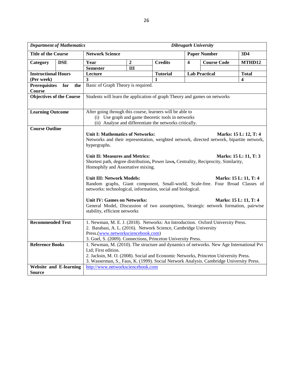|                                 | <b>Department of Mathematics</b>                                 | Dibrugarh University                                                                                          |                |                 |                                                                                      |                      |                       |  |  |
|---------------------------------|------------------------------------------------------------------|---------------------------------------------------------------------------------------------------------------|----------------|-----------------|--------------------------------------------------------------------------------------|----------------------|-----------------------|--|--|
| <b>Title of the Course</b>      |                                                                  | <b>Network Science</b>                                                                                        |                |                 |                                                                                      | <b>Paper Number</b>  | 3D4                   |  |  |
| Category                        | <b>DSE</b>                                                       | Year                                                                                                          | $\overline{2}$ | <b>Credits</b>  | $\overline{\mathbf{4}}$                                                              | <b>Course Code</b>   | MTHD12                |  |  |
|                                 |                                                                  | <b>Semester</b>                                                                                               | III            |                 |                                                                                      |                      |                       |  |  |
| <b>Instructional Hours</b>      |                                                                  | Lecture                                                                                                       |                | <b>Tutorial</b> |                                                                                      | <b>Lab Practical</b> | <b>Total</b>          |  |  |
| (Per week)                      |                                                                  | 3                                                                                                             |                | 1               |                                                                                      |                      | 4                     |  |  |
| <b>Prerequisites</b>            | for<br>the                                                       | Basic of Graph Theory is required.                                                                            |                |                 |                                                                                      |                      |                       |  |  |
| <b>Course</b>                   |                                                                  |                                                                                                               |                |                 |                                                                                      |                      |                       |  |  |
| <b>Objectives of the Course</b> |                                                                  | Students will learn the application of graph Theory and games on networks                                     |                |                 |                                                                                      |                      |                       |  |  |
|                                 |                                                                  |                                                                                                               |                |                 |                                                                                      |                      |                       |  |  |
|                                 |                                                                  | After going through this course, learners will be able to                                                     |                |                 |                                                                                      |                      |                       |  |  |
| <b>Learning Outcome</b>         |                                                                  |                                                                                                               |                |                 |                                                                                      |                      |                       |  |  |
|                                 |                                                                  | (i) Use graph and game theoretic tools in networks<br>(ii) Analyse and differentiate the networks critically. |                |                 |                                                                                      |                      |                       |  |  |
| <b>Course Outline</b>           |                                                                  |                                                                                                               |                |                 |                                                                                      |                      |                       |  |  |
|                                 |                                                                  | <b>Unit I: Mathematics of Networks:</b>                                                                       |                |                 |                                                                                      |                      | Marks: 15 L: 12, T: 4 |  |  |
|                                 |                                                                  | Networks and their representation, weighted network, directed network, bipartite network,                     |                |                 |                                                                                      |                      |                       |  |  |
|                                 |                                                                  | hypergraphs.                                                                                                  |                |                 |                                                                                      |                      |                       |  |  |
|                                 |                                                                  |                                                                                                               |                |                 |                                                                                      |                      |                       |  |  |
|                                 |                                                                  | Unit II: Measures and Metrics:                                                                                |                |                 |                                                                                      |                      | Marks: 15 L: 11, T: 3 |  |  |
|                                 |                                                                  |                                                                                                               |                |                 | Shortest path, degree distribution, Power laws, Centrality, Reciprocity, Similarity, |                      |                       |  |  |
|                                 |                                                                  | Homophily and Assortative mixing.                                                                             |                |                 |                                                                                      |                      |                       |  |  |
|                                 |                                                                  |                                                                                                               |                |                 |                                                                                      |                      |                       |  |  |
|                                 |                                                                  | <b>Unit III: Network Models:</b><br>Marks: 15 L: 11, T: 4                                                     |                |                 |                                                                                      |                      |                       |  |  |
|                                 |                                                                  | Random graphs, Giant component, Small-world, Scale-free. Four Broad Classes of                                |                |                 |                                                                                      |                      |                       |  |  |
|                                 |                                                                  | networks: technological, information, social and biological.                                                  |                |                 |                                                                                      |                      |                       |  |  |
|                                 |                                                                  |                                                                                                               |                |                 |                                                                                      |                      |                       |  |  |
|                                 |                                                                  | <b>Unit IV: Games on Networks:</b><br>Marks: 15 L: 11, T: 4                                                   |                |                 |                                                                                      |                      |                       |  |  |
|                                 |                                                                  | General Model, Discussion of two assumptions, Strategic network formation, pairwise                           |                |                 |                                                                                      |                      |                       |  |  |
|                                 |                                                                  | stability, efficient networks                                                                                 |                |                 |                                                                                      |                      |                       |  |  |
| <b>Recommended Text</b>         |                                                                  |                                                                                                               |                |                 |                                                                                      |                      |                       |  |  |
|                                 |                                                                  | 1. Newman, M. E. J. (2018). Networks: An Introduction. Oxford University Press.                               |                |                 |                                                                                      |                      |                       |  |  |
|                                 | 2. Barabasi, A. L. (2016). Network Science, Cambridge University |                                                                                                               |                |                 |                                                                                      |                      |                       |  |  |
|                                 |                                                                  | Press.(www.networksciencebook.com)<br>3. Goel, S. (2009). Connections, Princeton University Press.            |                |                 |                                                                                      |                      |                       |  |  |
| <b>Reference Books</b>          |                                                                  | 1. Newman, M. (2010). The structure and dynamics of networks. New Age International Pvt                       |                |                 |                                                                                      |                      |                       |  |  |
|                                 |                                                                  | Ltd; First edition.                                                                                           |                |                 |                                                                                      |                      |                       |  |  |
|                                 |                                                                  | 2. Jacksin, M. O. (2008). Social and Economic Networks, Princeton University Press.                           |                |                 |                                                                                      |                      |                       |  |  |
|                                 |                                                                  | 3. Wasserman, S., Faus, K. (1999). Social Network Analysis. Cambridge University Press.                       |                |                 |                                                                                      |                      |                       |  |  |
|                                 | <b>Website and E-learning</b>                                    | http://www.networksciencebook.com                                                                             |                |                 |                                                                                      |                      |                       |  |  |
| <b>Source</b>                   |                                                                  |                                                                                                               |                |                 |                                                                                      |                      |                       |  |  |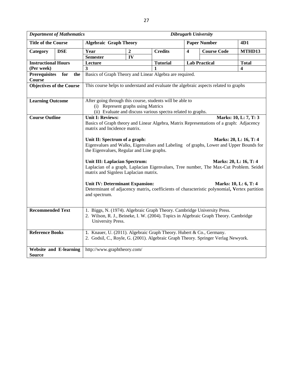| <b>Department of Mathematics</b> |            |                                                                                                                                                           |                | <b>Dibrugarh University</b>                                  |                         |                                                                                      |                         |  |  |  |
|----------------------------------|------------|-----------------------------------------------------------------------------------------------------------------------------------------------------------|----------------|--------------------------------------------------------------|-------------------------|--------------------------------------------------------------------------------------|-------------------------|--|--|--|
| <b>Title of the Course</b>       |            | <b>Algebraic Graph Theory</b>                                                                                                                             |                |                                                              |                         | <b>Paper Number</b>                                                                  | 4D1                     |  |  |  |
| Category                         | <b>DSE</b> | Year                                                                                                                                                      | $\overline{2}$ | <b>Credits</b>                                               | $\overline{\mathbf{4}}$ | <b>Course Code</b>                                                                   | MTHD13                  |  |  |  |
|                                  |            | <b>Semester</b>                                                                                                                                           | IV             |                                                              |                         |                                                                                      |                         |  |  |  |
| <b>Instructional Hours</b>       |            | Lecture                                                                                                                                                   |                | <b>Tutorial</b>                                              |                         | <b>Lab Practical</b>                                                                 | <b>Total</b>            |  |  |  |
| (Per week)                       |            | 3                                                                                                                                                         |                | $\mathbf{1}$                                                 |                         |                                                                                      | $\overline{\mathbf{4}}$ |  |  |  |
| <b>Prerequisites</b>             | for<br>the |                                                                                                                                                           |                | Basics of Graph Theory and Linear Algebra are required.      |                         |                                                                                      |                         |  |  |  |
| <b>Course</b>                    |            |                                                                                                                                                           |                |                                                              |                         |                                                                                      |                         |  |  |  |
| <b>Objectives of the Course</b>  |            |                                                                                                                                                           |                |                                                              |                         | This course helps to understand and evaluate the algebraic aspects related to graphs |                         |  |  |  |
|                                  |            |                                                                                                                                                           |                |                                                              |                         |                                                                                      |                         |  |  |  |
| <b>Learning Outcome</b>          |            |                                                                                                                                                           |                | After going through this course, students will be able to    |                         |                                                                                      |                         |  |  |  |
|                                  |            | (i) Represent graphs using Matrics                                                                                                                        |                |                                                              |                         |                                                                                      |                         |  |  |  |
|                                  |            |                                                                                                                                                           |                | (ii) Evaluate and discuss various spectra related to graphs. |                         |                                                                                      |                         |  |  |  |
| <b>Course Outline</b>            |            | <b>Unit I: Reviews:</b>                                                                                                                                   |                |                                                              |                         |                                                                                      | Marks: 10, L: 7, T: 3   |  |  |  |
|                                  |            | Basics of Graph theory and Linear Algebra, Matrix Representations of a graph: Adjacency                                                                   |                |                                                              |                         |                                                                                      |                         |  |  |  |
|                                  |            | matrix and Incidence matrix.                                                                                                                              |                |                                                              |                         |                                                                                      |                         |  |  |  |
|                                  |            |                                                                                                                                                           |                |                                                              |                         |                                                                                      |                         |  |  |  |
|                                  |            | Unit II: Spectrum of a graph:<br>Marks: 20, L: 16, T: 4                                                                                                   |                |                                                              |                         |                                                                                      |                         |  |  |  |
|                                  |            | Eigenvalues and Walks, Eigenvalues and Labeling of graphs, Lower and Upper Bounds for                                                                     |                |                                                              |                         |                                                                                      |                         |  |  |  |
|                                  |            | the Eigenvalues, Regular and Line graphs.                                                                                                                 |                |                                                              |                         |                                                                                      |                         |  |  |  |
|                                  |            |                                                                                                                                                           |                |                                                              |                         |                                                                                      |                         |  |  |  |
|                                  |            | <b>Unit III: Laplacian Spectrum:</b><br>Marks: 20, L: 16, T: 4                                                                                            |                |                                                              |                         |                                                                                      |                         |  |  |  |
|                                  |            | Laplacian of a graph, Laplacian Eigenvalues, Tree number, The Max-Cut Problem. Seidel<br>matrix and Signless Laplacian matrix.                            |                |                                                              |                         |                                                                                      |                         |  |  |  |
|                                  |            |                                                                                                                                                           |                |                                                              |                         |                                                                                      |                         |  |  |  |
|                                  |            | <b>Unit IV: Determinant Expansion:</b><br>Marks: 10, L: 6, T: 4                                                                                           |                |                                                              |                         |                                                                                      |                         |  |  |  |
|                                  |            | Determinant of adjacency matrix, coefficients of characteristic polynomial, Vertex partition                                                              |                |                                                              |                         |                                                                                      |                         |  |  |  |
|                                  |            | and spectrum.                                                                                                                                             |                |                                                              |                         |                                                                                      |                         |  |  |  |
|                                  |            |                                                                                                                                                           |                |                                                              |                         |                                                                                      |                         |  |  |  |
|                                  |            |                                                                                                                                                           |                |                                                              |                         |                                                                                      |                         |  |  |  |
| <b>Recommended Text</b>          |            |                                                                                                                                                           |                |                                                              |                         | 1. Biggs, N. (1974). Algebraic Graph Theory. Cambridge University Press.             |                         |  |  |  |
|                                  |            | 2. Wilson, R. J., Beineke, I. W. (2004). Topics in Algebraic Graph Theory. Cambridge                                                                      |                |                                                              |                         |                                                                                      |                         |  |  |  |
|                                  |            | University Press.                                                                                                                                         |                |                                                              |                         |                                                                                      |                         |  |  |  |
| <b>Reference Books</b>           |            |                                                                                                                                                           |                |                                                              |                         |                                                                                      |                         |  |  |  |
|                                  |            | 1. Knauer, U. (2011). Algebraic Graph Theory. Hubert & Co., Germany.<br>2. Godsil, C., Royle, G. (2001). Algebraic Graph Theory. Springer Verlag Newyork. |                |                                                              |                         |                                                                                      |                         |  |  |  |
|                                  |            |                                                                                                                                                           |                |                                                              |                         |                                                                                      |                         |  |  |  |
| <b>Website and E-learning</b>    |            | http://www.graphtheory.com/                                                                                                                               |                |                                                              |                         |                                                                                      |                         |  |  |  |
| <b>Source</b>                    |            |                                                                                                                                                           |                |                                                              |                         |                                                                                      |                         |  |  |  |
|                                  |            |                                                                                                                                                           |                |                                                              |                         |                                                                                      |                         |  |  |  |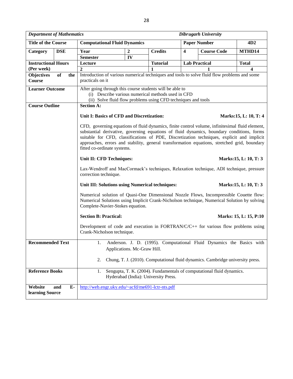|                                                                                                                                                                                                                                                                                                                                                                                                                           | <b>Department of Mathematics</b><br>Dibrugarh University                                                         |                                                                                                                                                                                                                           |                |                                      |                         |                                                                                |                        |  |  |  |
|---------------------------------------------------------------------------------------------------------------------------------------------------------------------------------------------------------------------------------------------------------------------------------------------------------------------------------------------------------------------------------------------------------------------------|------------------------------------------------------------------------------------------------------------------|---------------------------------------------------------------------------------------------------------------------------------------------------------------------------------------------------------------------------|----------------|--------------------------------------|-------------------------|--------------------------------------------------------------------------------|------------------------|--|--|--|
| <b>Title of the Course</b>                                                                                                                                                                                                                                                                                                                                                                                                |                                                                                                                  | <b>Computational Fluid Dynamics</b>                                                                                                                                                                                       |                |                                      | <b>Paper Number</b>     |                                                                                | 4D <sub>2</sub>        |  |  |  |
| Category                                                                                                                                                                                                                                                                                                                                                                                                                  | <b>DSE</b>                                                                                                       | Year                                                                                                                                                                                                                      | $\overline{2}$ | <b>Credits</b>                       | $\overline{\mathbf{4}}$ | <b>Course Code</b>                                                             | MTHD14                 |  |  |  |
|                                                                                                                                                                                                                                                                                                                                                                                                                           |                                                                                                                  | <b>Semester</b>                                                                                                                                                                                                           | IV             |                                      |                         |                                                                                |                        |  |  |  |
| <b>Instructional Hours</b>                                                                                                                                                                                                                                                                                                                                                                                                |                                                                                                                  | Lecture                                                                                                                                                                                                                   |                | <b>Tutorial</b>                      |                         | <b>Lab Practical</b>                                                           | <b>Total</b>           |  |  |  |
| (Per week)                                                                                                                                                                                                                                                                                                                                                                                                                |                                                                                                                  | $\boldsymbol{2}$                                                                                                                                                                                                          |                |                                      |                         |                                                                                | 4                      |  |  |  |
| <b>Objectives</b><br>Course                                                                                                                                                                                                                                                                                                                                                                                               | of<br>the                                                                                                        | Introduction of various numerical techniques and tools to solve fluid flow problems and some<br>practicals on it                                                                                                          |                |                                      |                         |                                                                                |                        |  |  |  |
| <b>Learner Outcome</b>                                                                                                                                                                                                                                                                                                                                                                                                    |                                                                                                                  | After going through this course students will be able to<br>(i) Describe various numerical methods used in CFD<br>(ii) Solve fluid flow problems using CFD techniques and tools                                           |                |                                      |                         |                                                                                |                        |  |  |  |
| <b>Course Outline</b>                                                                                                                                                                                                                                                                                                                                                                                                     |                                                                                                                  | <b>Section A:</b>                                                                                                                                                                                                         |                |                                      |                         |                                                                                |                        |  |  |  |
|                                                                                                                                                                                                                                                                                                                                                                                                                           |                                                                                                                  | Unit I: Basics of CFD and Discretization:                                                                                                                                                                                 |                |                                      |                         |                                                                                | Marks: 15, L: 10, T: 4 |  |  |  |
| CFD, governing equations of fluid dynamics, finite control volume, infinitesimal fluid element,<br>substantial derivative, governing equations of fluid dynamics, boundary conditions, forms<br>suitable for CFD, classifications of PDE, Discretization techniques, explicit and implicit<br>approaches, errors and stability, general transformation equations, stretched grid, boundary<br>fitted co-ordinate systems. |                                                                                                                  |                                                                                                                                                                                                                           |                |                                      |                         |                                                                                |                        |  |  |  |
|                                                                                                                                                                                                                                                                                                                                                                                                                           |                                                                                                                  | Unit II: CFD Techniques:                                                                                                                                                                                                  |                |                                      |                         |                                                                                | Marks: 15, L: 10, T: 3 |  |  |  |
|                                                                                                                                                                                                                                                                                                                                                                                                                           |                                                                                                                  | Lax-Wendroff and MacCormack's techniques, Relaxation technique, ADI technique, pressure<br>correction technique.                                                                                                          |                |                                      |                         |                                                                                |                        |  |  |  |
|                                                                                                                                                                                                                                                                                                                                                                                                                           |                                                                                                                  | Unit III: Solutions using Numerical techniques:                                                                                                                                                                           |                |                                      |                         |                                                                                | Marks: 15, L: 10, T: 3 |  |  |  |
|                                                                                                                                                                                                                                                                                                                                                                                                                           |                                                                                                                  | Numerical solution of Quasi-One Dimensional Nozzle Flows, Incompressible Couette flow:<br>Numerical Solutions using Implicit Crank-Nicholson technique, Numerical Solution by solving<br>Complete-Navier-Stokes equation. |                |                                      |                         |                                                                                |                        |  |  |  |
|                                                                                                                                                                                                                                                                                                                                                                                                                           |                                                                                                                  | <b>Section B: Practical:</b>                                                                                                                                                                                              |                |                                      |                         |                                                                                | Marks: 15, L: 15, P:10 |  |  |  |
|                                                                                                                                                                                                                                                                                                                                                                                                                           | Development of code and execution in FORTRAN/C/C++ for various flow problems using<br>Crank-Nicholson technique. |                                                                                                                                                                                                                           |                |                                      |                         |                                                                                |                        |  |  |  |
| <b>Recommended Text</b>                                                                                                                                                                                                                                                                                                                                                                                                   |                                                                                                                  | Anderson. J. D. (1995). Computational Fluid Dynamics the Basics with<br>Applications. Mc-Graw Hill.                                                                                                                       |                |                                      |                         |                                                                                |                        |  |  |  |
|                                                                                                                                                                                                                                                                                                                                                                                                                           |                                                                                                                  | 2.                                                                                                                                                                                                                        |                |                                      |                         | Chung, T. J. (2010). Computational fluid dynamics. Cambridge university press. |                        |  |  |  |
| <b>Reference Books</b>                                                                                                                                                                                                                                                                                                                                                                                                    |                                                                                                                  | 1.                                                                                                                                                                                                                        |                | Hyderabad (India): University Press. |                         | Sengupta, T. K. (2004). Fundamentals of computational fluid dynamics.          |                        |  |  |  |
| Website<br>learning Source                                                                                                                                                                                                                                                                                                                                                                                                | E-<br>and                                                                                                        | http://web.engr.uky.edu/~acfd/me691-lctr-nts.pdf                                                                                                                                                                          |                |                                      |                         |                                                                                |                        |  |  |  |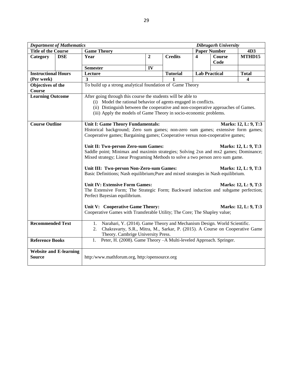| <b>Department of Mathematics</b><br>Dibrugarh University                                                                                                                                                                                                                                                                                                                                                                                                                                                                                                                                                                                                                                                                                                                                                                                                                                                                                                                                            |                               |                                                                                                                                                                                                             |    |                 |                      |        |              |  |  |  |
|-----------------------------------------------------------------------------------------------------------------------------------------------------------------------------------------------------------------------------------------------------------------------------------------------------------------------------------------------------------------------------------------------------------------------------------------------------------------------------------------------------------------------------------------------------------------------------------------------------------------------------------------------------------------------------------------------------------------------------------------------------------------------------------------------------------------------------------------------------------------------------------------------------------------------------------------------------------------------------------------------------|-------------------------------|-------------------------------------------------------------------------------------------------------------------------------------------------------------------------------------------------------------|----|-----------------|----------------------|--------|--------------|--|--|--|
| <b>Title of the Course</b>                                                                                                                                                                                                                                                                                                                                                                                                                                                                                                                                                                                                                                                                                                                                                                                                                                                                                                                                                                          |                               | <b>Game Theory</b>                                                                                                                                                                                          |    |                 | <b>Paper Number</b>  |        | 4D3          |  |  |  |
| Category                                                                                                                                                                                                                                                                                                                                                                                                                                                                                                                                                                                                                                                                                                                                                                                                                                                                                                                                                                                            | <b>DSE</b>                    | $\overline{2}$<br><b>Credits</b><br>Year                                                                                                                                                                    |    | 4               | <b>Course</b>        | MTHD15 |              |  |  |  |
|                                                                                                                                                                                                                                                                                                                                                                                                                                                                                                                                                                                                                                                                                                                                                                                                                                                                                                                                                                                                     |                               |                                                                                                                                                                                                             |    |                 |                      | Code   |              |  |  |  |
|                                                                                                                                                                                                                                                                                                                                                                                                                                                                                                                                                                                                                                                                                                                                                                                                                                                                                                                                                                                                     |                               | <b>Semester</b>                                                                                                                                                                                             | IV |                 |                      |        |              |  |  |  |
| <b>Instructional Hours</b>                                                                                                                                                                                                                                                                                                                                                                                                                                                                                                                                                                                                                                                                                                                                                                                                                                                                                                                                                                          |                               | Lecture                                                                                                                                                                                                     |    | <b>Tutorial</b> | <b>Lab Practical</b> |        | <b>Total</b> |  |  |  |
| (Per week)                                                                                                                                                                                                                                                                                                                                                                                                                                                                                                                                                                                                                                                                                                                                                                                                                                                                                                                                                                                          |                               | 3                                                                                                                                                                                                           |    |                 |                      |        | 4            |  |  |  |
| Objectives of the<br>Course                                                                                                                                                                                                                                                                                                                                                                                                                                                                                                                                                                                                                                                                                                                                                                                                                                                                                                                                                                         |                               | To build up a strong analytical foundation of Game Theory                                                                                                                                                   |    |                 |                      |        |              |  |  |  |
| <b>Learning Outcome</b><br>After going through this course the students will be able to<br>(i) Model the rational behavior of agents engaged in conflicts.<br>(ii) Distinguish between the cooperative and non-cooperative approaches of Games.<br>(iii) Apply the models of Game Theory in socio-economic problems.                                                                                                                                                                                                                                                                                                                                                                                                                                                                                                                                                                                                                                                                                |                               |                                                                                                                                                                                                             |    |                 |                      |        |              |  |  |  |
| <b>Course Outline</b><br><b>Unit I: Game Theory Fundamentals:</b><br>Marks: 12, L: 9, T:3<br>Historical background; Zero sum games; non-zero sum games; extensive form games;<br>Cooperative games; Bargaining games; Cooperative versus non-cooperative games;<br>Unit II: Two-person Zero-sum Games:<br>Marks: 12, L: 9, T:3<br>Saddle point; Minimax and maximin strategies; Solving 2xn and mx2 games; Dominance;<br>Mixed strategy; Linear Programing Methods to solve a two person zero sum game.<br>Unit III: Two-person Non-Zero-sum Games:<br>Marks: 12, L: 9, T:3<br>Basic Definitions; Nash equilibrium; Pure and mixed strategies in Nash equilibrium.<br><b>Unit IV: Extensive Form Games:</b><br>Marks: 12, L: 9, T:3<br>The Extensive Form; The Strategic Form; Backward induction and subgame perfection;<br>Perfect Bayesian equilibrium.<br>Unit V: Cooperative Game Theory:<br>Marks: 12, L: 9, T:3<br>Cooperative Games with Transferable Utility; The Core; The Shapley value; |                               |                                                                                                                                                                                                             |    |                 |                      |        |              |  |  |  |
| <b>Recommended Text</b>                                                                                                                                                                                                                                                                                                                                                                                                                                                                                                                                                                                                                                                                                                                                                                                                                                                                                                                                                                             |                               | Narahari, Y. (2014). Game Theory and Mechanism Design. World Scientific.<br>1.<br>Chakravarty, S.R., Mitra, M., Sarkar, P. (2015). A Course on Cooperative Game<br>2.<br>Theory. Cambrige University Press. |    |                 |                      |        |              |  |  |  |
| <b>Reference Books</b>                                                                                                                                                                                                                                                                                                                                                                                                                                                                                                                                                                                                                                                                                                                                                                                                                                                                                                                                                                              | <b>Website and E-learning</b> | Peter, H. (2008). Game Theory - A Multi-leveled Approach. Springer.<br>1.                                                                                                                                   |    |                 |                      |        |              |  |  |  |
| <b>Source</b>                                                                                                                                                                                                                                                                                                                                                                                                                                                                                                                                                                                                                                                                                                                                                                                                                                                                                                                                                                                       |                               | http:/www.mathforum.org, http:/opensource.org                                                                                                                                                               |    |                 |                      |        |              |  |  |  |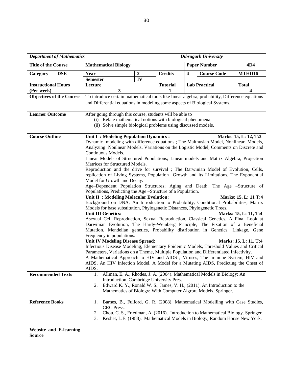|                                                   | <b>Department of Mathematics</b> | <b>Dibrugarh University</b>                                                                                                                                                                                                                                                                                                                                                                                                                                                                                                                                                                                                                                                                                                                                                                                                                                                                                                                                                                                                                                                                                                                                                                                                                                                                                                                                                                                                                                                                                                                                                                                                                                                                                                                                                                    |                  |                 |                         |                                                                                                                                                                  |                         |  |
|---------------------------------------------------|----------------------------------|------------------------------------------------------------------------------------------------------------------------------------------------------------------------------------------------------------------------------------------------------------------------------------------------------------------------------------------------------------------------------------------------------------------------------------------------------------------------------------------------------------------------------------------------------------------------------------------------------------------------------------------------------------------------------------------------------------------------------------------------------------------------------------------------------------------------------------------------------------------------------------------------------------------------------------------------------------------------------------------------------------------------------------------------------------------------------------------------------------------------------------------------------------------------------------------------------------------------------------------------------------------------------------------------------------------------------------------------------------------------------------------------------------------------------------------------------------------------------------------------------------------------------------------------------------------------------------------------------------------------------------------------------------------------------------------------------------------------------------------------------------------------------------------------|------------------|-----------------|-------------------------|------------------------------------------------------------------------------------------------------------------------------------------------------------------|-------------------------|--|
| <b>Title of the Course</b>                        |                                  | <b>Mathematical Biology</b>                                                                                                                                                                                                                                                                                                                                                                                                                                                                                                                                                                                                                                                                                                                                                                                                                                                                                                                                                                                                                                                                                                                                                                                                                                                                                                                                                                                                                                                                                                                                                                                                                                                                                                                                                                    |                  |                 |                         | <b>Paper Number</b>                                                                                                                                              | 4D4                     |  |
| Category                                          | <b>DSE</b>                       | Year                                                                                                                                                                                                                                                                                                                                                                                                                                                                                                                                                                                                                                                                                                                                                                                                                                                                                                                                                                                                                                                                                                                                                                                                                                                                                                                                                                                                                                                                                                                                                                                                                                                                                                                                                                                           | $\boldsymbol{2}$ | <b>Credits</b>  | $\overline{\mathbf{4}}$ | <b>Course Code</b>                                                                                                                                               | MTHD16                  |  |
|                                                   |                                  | <b>Semester</b>                                                                                                                                                                                                                                                                                                                                                                                                                                                                                                                                                                                                                                                                                                                                                                                                                                                                                                                                                                                                                                                                                                                                                                                                                                                                                                                                                                                                                                                                                                                                                                                                                                                                                                                                                                                | IV               |                 |                         |                                                                                                                                                                  |                         |  |
| <b>Instructional Hours</b>                        |                                  | Lecture                                                                                                                                                                                                                                                                                                                                                                                                                                                                                                                                                                                                                                                                                                                                                                                                                                                                                                                                                                                                                                                                                                                                                                                                                                                                                                                                                                                                                                                                                                                                                                                                                                                                                                                                                                                        |                  | <b>Tutorial</b> |                         | <b>Lab Practical</b>                                                                                                                                             | <b>Total</b>            |  |
| (Per week)                                        |                                  | 3                                                                                                                                                                                                                                                                                                                                                                                                                                                                                                                                                                                                                                                                                                                                                                                                                                                                                                                                                                                                                                                                                                                                                                                                                                                                                                                                                                                                                                                                                                                                                                                                                                                                                                                                                                                              |                  |                 |                         |                                                                                                                                                                  | $\overline{\mathbf{4}}$ |  |
|                                                   | <b>Objectives of the Course</b>  | To introduce certain mathematical tools like linear algebra, probability, Difference equations                                                                                                                                                                                                                                                                                                                                                                                                                                                                                                                                                                                                                                                                                                                                                                                                                                                                                                                                                                                                                                                                                                                                                                                                                                                                                                                                                                                                                                                                                                                                                                                                                                                                                                 |                  |                 |                         |                                                                                                                                                                  |                         |  |
|                                                   |                                  | and Differential equations in modeling some aspects of Biological Systems.                                                                                                                                                                                                                                                                                                                                                                                                                                                                                                                                                                                                                                                                                                                                                                                                                                                                                                                                                                                                                                                                                                                                                                                                                                                                                                                                                                                                                                                                                                                                                                                                                                                                                                                     |                  |                 |                         |                                                                                                                                                                  |                         |  |
| <b>Learner Outcome</b>                            |                                  | After going through this course, students will be able to<br>(i) Relate mathematical notions with biological phenomena<br>(ii) Solve simple biological problems using discussed models.                                                                                                                                                                                                                                                                                                                                                                                                                                                                                                                                                                                                                                                                                                                                                                                                                                                                                                                                                                                                                                                                                                                                                                                                                                                                                                                                                                                                                                                                                                                                                                                                        |                  |                 |                         |                                                                                                                                                                  |                         |  |
| <b>Course Outline</b><br><b>Recommended Texts</b> |                                  | Unit I: Modeling Population Dynamics:<br>Marks: 15, L: 12, T:3<br>Dynamic modeling with difference equations; The Malthusian Model, Nonlinear Models,<br>Analyzing Nonlnear Models, Variations on the Logistic Model, Comments on Discrete and<br>Continuous Models.<br>Linear Models of Structured Populations; Linear models and Matrix Algebra, Projection<br>Matrices for Structured Models.<br>Reproduction and the drive for survival ; The Darwinian Model of Evolution, Cells,<br>replication of Living Systems, Population Growth and its Limitations, The Exponential<br>Model for Growth and Decay.<br>Age-Dependent Population Structures; Aging and Death, The Age -Structure of<br>Populations, Predicting the Age -Structure of a Population.<br>Unit II : Modeling Molecular Evolution:<br>Marks: 15, L: 11 T:4<br>Background on DNA, An Introduction to Probability, Conditional Probabilities, Matrix<br>Models for base substitution, Phylogenetic Distances, Phylogenetic Trees.<br><b>Unit III Genetics:</b><br>Marks: 15, L: 11, T:4<br>Asexual Cell Reproduction, Sexual Reproduction, Classical Genetics, A Final Look at<br>Darwinian Evolution, The Hardy-Weinberg Principle, The Fixation of a Beneficial<br>Mutation. Mendelian genetics, Probability distribution in Genetics, Linkage, Gene<br>Frequency in populations.<br><b>Unit IV Modeling Disease Spread:</b><br>Marks: 15, L: 11, T:4<br>Infectious Disease Modeling; Elementary Epidemic Models, Threshold Values and Critical<br>Parameters, Variations on a Theme, Multiple Population and Differentiated Infectivity.<br>A Mathematical Approach to HIV and AIDS ; Viruses, The Immune System, HIV and<br>AIDS, An HIV Infection Model, A Model for a Mutating AIDS, Predicting the Onset of<br>AIDS, |                  |                 |                         |                                                                                                                                                                  |                         |  |
|                                                   |                                  | 2.                                                                                                                                                                                                                                                                                                                                                                                                                                                                                                                                                                                                                                                                                                                                                                                                                                                                                                                                                                                                                                                                                                                                                                                                                                                                                                                                                                                                                                                                                                                                                                                                                                                                                                                                                                                             |                  |                 |                         | Edward K. Y., Ronald W. S., James, V. H., (2011). An Introduction to the<br>Mathematics of Biology: With Computer Algrbra Models. Springer.                      |                         |  |
| <b>Reference Books</b>                            |                                  | 1.                                                                                                                                                                                                                                                                                                                                                                                                                                                                                                                                                                                                                                                                                                                                                                                                                                                                                                                                                                                                                                                                                                                                                                                                                                                                                                                                                                                                                                                                                                                                                                                                                                                                                                                                                                                             |                  |                 |                         | Barnes, B., Fulford, G. R. (2008). Mathematical Modelling with Case Studies,                                                                                     |                         |  |
|                                                   |                                  | CRC Press.                                                                                                                                                                                                                                                                                                                                                                                                                                                                                                                                                                                                                                                                                                                                                                                                                                                                                                                                                                                                                                                                                                                                                                                                                                                                                                                                                                                                                                                                                                                                                                                                                                                                                                                                                                                     |                  |                 |                         |                                                                                                                                                                  |                         |  |
|                                                   |                                  | 2.<br>3.                                                                                                                                                                                                                                                                                                                                                                                                                                                                                                                                                                                                                                                                                                                                                                                                                                                                                                                                                                                                                                                                                                                                                                                                                                                                                                                                                                                                                                                                                                                                                                                                                                                                                                                                                                                       |                  |                 |                         | Chou. C. S., Friedman, A. (2016). Introduction to Mathematical Biology. Springer.<br>Keshet, L.E. (1988). Mathematical Models in Biology, Random House New York. |                         |  |
|                                                   | <b>Website and E-learning</b>    |                                                                                                                                                                                                                                                                                                                                                                                                                                                                                                                                                                                                                                                                                                                                                                                                                                                                                                                                                                                                                                                                                                                                                                                                                                                                                                                                                                                                                                                                                                                                                                                                                                                                                                                                                                                                |                  |                 |                         |                                                                                                                                                                  |                         |  |
| <b>Source</b>                                     |                                  |                                                                                                                                                                                                                                                                                                                                                                                                                                                                                                                                                                                                                                                                                                                                                                                                                                                                                                                                                                                                                                                                                                                                                                                                                                                                                                                                                                                                                                                                                                                                                                                                                                                                                                                                                                                                |                  |                 |                         |                                                                                                                                                                  |                         |  |
|                                                   |                                  |                                                                                                                                                                                                                                                                                                                                                                                                                                                                                                                                                                                                                                                                                                                                                                                                                                                                                                                                                                                                                                                                                                                                                                                                                                                                                                                                                                                                                                                                                                                                                                                                                                                                                                                                                                                                |                  |                 |                         |                                                                                                                                                                  |                         |  |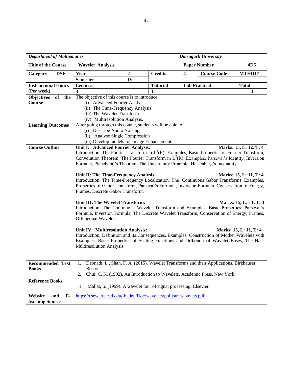| <b>Department of Mathematics</b><br><b>Dibrugarh University</b> |             |                                                                                                                                                                                                                                                                                       |                  |                 |                         |                      |                         |  |  |
|-----------------------------------------------------------------|-------------|---------------------------------------------------------------------------------------------------------------------------------------------------------------------------------------------------------------------------------------------------------------------------------------|------------------|-----------------|-------------------------|----------------------|-------------------------|--|--|
| <b>Title of the Course</b>                                      |             | <b>Wavelet Analysis</b>                                                                                                                                                                                                                                                               |                  |                 |                         | <b>Paper Number</b>  | 4D <sub>5</sub>         |  |  |
| Category                                                        | <b>DSE</b>  | Year                                                                                                                                                                                                                                                                                  | $\boldsymbol{2}$ | <b>Credits</b>  | $\overline{\mathbf{4}}$ | <b>Course Code</b>   | MTHD17                  |  |  |
|                                                                 |             | <b>Semester</b>                                                                                                                                                                                                                                                                       | IV               |                 |                         |                      |                         |  |  |
| <b>Instructional Hours</b>                                      |             | Lecture                                                                                                                                                                                                                                                                               |                  | <b>Tutorial</b> |                         | <b>Lab Practical</b> | <b>Total</b>            |  |  |
| (Per week)                                                      |             | $\overline{\mathbf{3}}$                                                                                                                                                                                                                                                               |                  |                 |                         |                      | $\overline{\mathbf{4}}$ |  |  |
| <b>Objectives</b>                                               | of the      | The objective of this course is to introduce                                                                                                                                                                                                                                          |                  |                 |                         |                      |                         |  |  |
| Course                                                          |             | (i) Advanced Fourier Analysis                                                                                                                                                                                                                                                         |                  |                 |                         |                      |                         |  |  |
|                                                                 |             | (ii) The Time-Frequency Analysis                                                                                                                                                                                                                                                      |                  |                 |                         |                      |                         |  |  |
|                                                                 |             | (iii) The Wavelet Transform                                                                                                                                                                                                                                                           |                  |                 |                         |                      |                         |  |  |
|                                                                 |             | (iv) Multiresolution Analysis.                                                                                                                                                                                                                                                        |                  |                 |                         |                      |                         |  |  |
| <b>Learning Outcomes</b>                                        |             | After going through this course, students will be able to                                                                                                                                                                                                                             |                  |                 |                         |                      |                         |  |  |
|                                                                 |             | (i) Describe Audio Noising,                                                                                                                                                                                                                                                           |                  |                 |                         |                      |                         |  |  |
|                                                                 |             | (ii) Analyse Single Compression                                                                                                                                                                                                                                                       |                  |                 |                         |                      |                         |  |  |
|                                                                 |             | (iii) Develop models for Image Enhancement.                                                                                                                                                                                                                                           |                  |                 |                         |                      |                         |  |  |
| <b>Course Outline</b>                                           |             | Unit I: Advanced Fourier Analysis:                                                                                                                                                                                                                                                    |                  |                 |                         |                      | Marks: 15, L: 12, T: 4  |  |  |
|                                                                 |             | Introduction, The Fourier Transform in $L^{1}(R)$ , Examples, Basic Properties of Fourier Transform,<br>Convolution Theorem, The Fourier Transform in $L^2(R)$ , Examples, Parseval's Identity, Inversion                                                                             |                  |                 |                         |                      |                         |  |  |
|                                                                 |             | Formula, Plancheral's Theorem, The Uncertainty Principle, Heisenberg's Inequality                                                                                                                                                                                                     |                  |                 |                         |                      |                         |  |  |
|                                                                 |             |                                                                                                                                                                                                                                                                                       |                  |                 |                         |                      |                         |  |  |
|                                                                 |             | Unit II: The Time-Frequency Analysis:<br>Introduction, The Time-Frequency Localization, The Continuous Gabor Transforms, Examples,<br>Properties of Gabor Transform, Parseval's Formula, Inversion Formula, Conservation of Energy,<br>Frames, Discrete Gabor Transform.              |                  |                 |                         |                      | Marks: 15, L: 11, T: 4  |  |  |
|                                                                 |             |                                                                                                                                                                                                                                                                                       |                  |                 |                         |                      |                         |  |  |
|                                                                 |             | Unit III: The Wavelet Transform:<br>Marks: 15, L: 11, T: 3<br>Introduction, The Continuous Wavelet Transform and Examples, Basic Properties, Parseval's<br>Formula, Inversion Formula, The Discrete Wavelet Transform, Conservation of Energy, Frames,<br>Orthogonal Wavelets         |                  |                 |                         |                      |                         |  |  |
|                                                                 |             | Unit IV: Multiresolution Analysis:<br>Marks: 15, L: 11, T: 4<br>Introduction, Definition and its Consequences, Examples, Construction of Mother Wavelets with<br>Examples, Basic Properties of Scaling Functions and Orthonormal Wavelet Bases, The Haar<br>Multiresolution Analysis. |                  |                 |                         |                      |                         |  |  |
| <b>Recommended Text</b>                                         |             | Debnath, L., Shah, F. A. (2015). Wavelet Transforms and their Applications, Birkhauser,<br>1.                                                                                                                                                                                         |                  |                 |                         |                      |                         |  |  |
| <b>Books</b>                                                    |             | Boston.                                                                                                                                                                                                                                                                               |                  |                 |                         |                      |                         |  |  |
|                                                                 |             | Chui, C. K. (1992). An Introduction to Wavelets. Academic Press, New York.<br>2.                                                                                                                                                                                                      |                  |                 |                         |                      |                         |  |  |
| <b>Reference Books</b>                                          |             | Mallat, S. (1999). A wavelet tour of signal processing. Elsevier.<br>1.                                                                                                                                                                                                               |                  |                 |                         |                      |                         |  |  |
| Website                                                         | $E-$<br>and | https://cseweb.ucsd.edu/-badeu/Doc/wavelets/polikar_wavelets.pdf                                                                                                                                                                                                                      |                  |                 |                         |                      |                         |  |  |
| learning Source                                                 |             |                                                                                                                                                                                                                                                                                       |                  |                 |                         |                      |                         |  |  |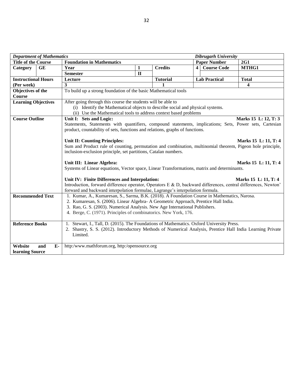|                            | <b>Department of Mathematics</b> |                                                                                                                | <b>Dibrugarh University</b> |                 |                     |                      |                         |  |  |  |  |
|----------------------------|----------------------------------|----------------------------------------------------------------------------------------------------------------|-----------------------------|-----------------|---------------------|----------------------|-------------------------|--|--|--|--|
| <b>Title of the Course</b> |                                  | <b>Foundation in Mathematics</b>                                                                               |                             |                 | <b>Paper Number</b> |                      | 2G1                     |  |  |  |  |
| Category                   | <b>GE</b>                        | Year                                                                                                           | 1                           | <b>Credits</b>  |                     | 4 Course Code        | MTHG1                   |  |  |  |  |
|                            |                                  | <b>Semester</b>                                                                                                | $\mathbf{I}$                |                 |                     |                      |                         |  |  |  |  |
| <b>Instructional Hours</b> |                                  | Lecture                                                                                                        |                             | <b>Tutorial</b> |                     | <b>Lab Practical</b> | <b>Total</b>            |  |  |  |  |
| (Per week)                 |                                  | 3                                                                                                              |                             | 1               |                     |                      | $\overline{\mathbf{4}}$ |  |  |  |  |
| Objectives of the          |                                  | To build up a strong foundation of the basic Mathematical tools                                                |                             |                 |                     |                      |                         |  |  |  |  |
| <b>Course</b>              |                                  |                                                                                                                |                             |                 |                     |                      |                         |  |  |  |  |
| <b>Learning Objectives</b> |                                  | After going through this course the students will be able to                                                   |                             |                 |                     |                      |                         |  |  |  |  |
|                            |                                  | (i) Identify the Mathematical objects to describe social and physical systems.                                 |                             |                 |                     |                      |                         |  |  |  |  |
|                            |                                  | (ii) Use the Mathematical tools to address context based problems                                              |                             |                 |                     |                      |                         |  |  |  |  |
| <b>Course Outline</b>      |                                  | Unit I: Sets and Logic:                                                                                        |                             |                 |                     |                      | Marks 15 L: 12, T: 3    |  |  |  |  |
|                            |                                  | Statements, Statements with quantifiers, compound statements, implications; Sets, Power sets, Cartesian        |                             |                 |                     |                      |                         |  |  |  |  |
|                            |                                  | product, countability of sets, functions and relations, graphs of functions.                                   |                             |                 |                     |                      |                         |  |  |  |  |
|                            |                                  |                                                                                                                |                             |                 |                     |                      |                         |  |  |  |  |
|                            |                                  | Unit II: Counting Principles:<br>Marks 15 L: 11, T: 4                                                          |                             |                 |                     |                      |                         |  |  |  |  |
|                            |                                  | Sum and Product rule of counting, permutation and combination, multinomial theorem, Pigeon hole principle,     |                             |                 |                     |                      |                         |  |  |  |  |
|                            |                                  | inclusion-exclusion principle, set partitions, Catalan numbers.                                                |                             |                 |                     |                      |                         |  |  |  |  |
|                            |                                  | Unit III: Linear Algebra:                                                                                      | Marks 15 L: 11, T: 4        |                 |                     |                      |                         |  |  |  |  |
|                            |                                  | Systems of Linear equations, Vector space, Linear Transformations, matrix and determinants.                    |                             |                 |                     |                      |                         |  |  |  |  |
|                            |                                  |                                                                                                                |                             |                 |                     |                      |                         |  |  |  |  |
|                            |                                  | Unit IV: Finite Differences and Interpolation:                                                                 |                             |                 |                     |                      | Marks 15 L: 11, T: 4    |  |  |  |  |
|                            |                                  | Introduction, forward difference operator, Operators E & D, backward differences, central differences, Newton' |                             |                 |                     |                      |                         |  |  |  |  |
|                            |                                  | forward and backward interpolation formulae, Lagrange's interpolation formula.                                 |                             |                 |                     |                      |                         |  |  |  |  |
| <b>Recommended Text</b>    |                                  | 1. Kumar, A., Kumaresan, S., Sarma, B.K. (2018). A Foundation Course in Mathematics, Narosa.                   |                             |                 |                     |                      |                         |  |  |  |  |
|                            |                                  | 2. Kumaresan, S. (2006). Linear Algebra- A Geometric Approach, Prentice Hall India.                            |                             |                 |                     |                      |                         |  |  |  |  |
|                            |                                  | 3. Rao, G. S. (2003). Numerical Analysis. New Age International Publishers.                                    |                             |                 |                     |                      |                         |  |  |  |  |
|                            |                                  | 4. Berge, C. (1971). Principles of combinatorics. New York, 176.                                               |                             |                 |                     |                      |                         |  |  |  |  |
|                            |                                  |                                                                                                                |                             |                 |                     |                      |                         |  |  |  |  |
| <b>Reference Books</b>     |                                  | 1. Stewart, I., Tall, D. (2015). The Foundations of Mathematics. Oxford University Press.                      |                             |                 |                     |                      |                         |  |  |  |  |
|                            |                                  | 2. Shastry, S. S. (2012). Introductory Methods of Numerical Analysis, Prentice Hall India Learning Private     |                             |                 |                     |                      |                         |  |  |  |  |
|                            |                                  | Limited.                                                                                                       |                             |                 |                     |                      |                         |  |  |  |  |
|                            |                                  |                                                                                                                |                             |                 |                     |                      |                         |  |  |  |  |
| Website                    | $E-$<br>and                      | http:/www.mathforum.org, http:/opensource.org                                                                  |                             |                 |                     |                      |                         |  |  |  |  |
| learning Source            |                                  |                                                                                                                |                             |                 |                     |                      |                         |  |  |  |  |